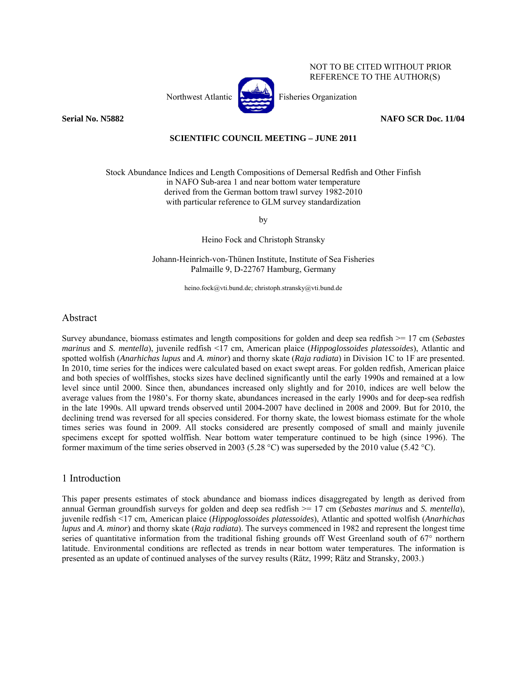



NOT TO BE CITED WITHOUT PRIOR REFERENCE TO THE AUTHOR(S)

**Serial No. N5882 NAFO SCR Doc. 11/04** 

### **SCIENTIFIC COUNCIL MEETING – JUNE 2011**

Stock Abundance Indices and Length Compositions of Demersal Redfish and Other Finfish in NAFO Sub-area 1 and near bottom water temperature derived from the German bottom trawl survey 1982-2010 with particular reference to GLM survey standardization

by

Heino Fock and Christoph Stransky

Johann-Heinrich-von-Thünen Institute, Institute of Sea Fisheries Palmaille 9, D-22767 Hamburg, Germany

heino.fock@vti.bund.de; christoph.stransky@vti.bund.de

## Abstract

Survey abundance, biomass estimates and length compositions for golden and deep sea redfish >= 17 cm (*Sebastes marinus* and *S. mentella*), juvenile redfish <17 cm, American plaice (*Hippoglossoides platessoides*), Atlantic and spotted wolfish (*Anarhichas lupus* and *A. minor*) and thorny skate (*Raja radiata*) in Division 1C to 1F are presented. In 2010, time series for the indices were calculated based on exact swept areas. For golden redfish, American plaice and both species of wolffishes, stocks sizes have declined significantly until the early 1990s and remained at a low level since until 2000. Since then, abundances increased only slightly and for 2010, indices are well below the average values from the 1980's. For thorny skate, abundances increased in the early 1990s and for deep-sea redfish in the late 1990s. All upward trends observed until 2004-2007 have declined in 2008 and 2009. But for 2010, the declining trend was reversed for all species considered. For thorny skate, the lowest biomass estimate for the whole times series was found in 2009. All stocks considered are presently composed of small and mainly juvenile specimens except for spotted wolffish. Near bottom water temperature continued to be high (since 1996). The former maximum of the time series observed in 2003 (5.28 °C) was superseded by the 2010 value (5.42 °C).

# 1 Introduction

This paper presents estimates of stock abundance and biomass indices disaggregated by length as derived from annual German groundfish surveys for golden and deep sea redfish >= 17 cm (*Sebastes marinus* and *S. mentella*), juvenile redfish <17 cm, American plaice (*Hippoglossoides platessoides*), Atlantic and spotted wolfish (*Anarhichas lupus* and *A. minor*) and thorny skate (*Raja radiata*). The surveys commenced in 1982 and represent the longest time series of quantitative information from the traditional fishing grounds off West Greenland south of 67° northern latitude. Environmental conditions are reflected as trends in near bottom water temperatures. The information is presented as an update of continued analyses of the survey results (Rätz, 1999; Rätz and Stransky, 2003.)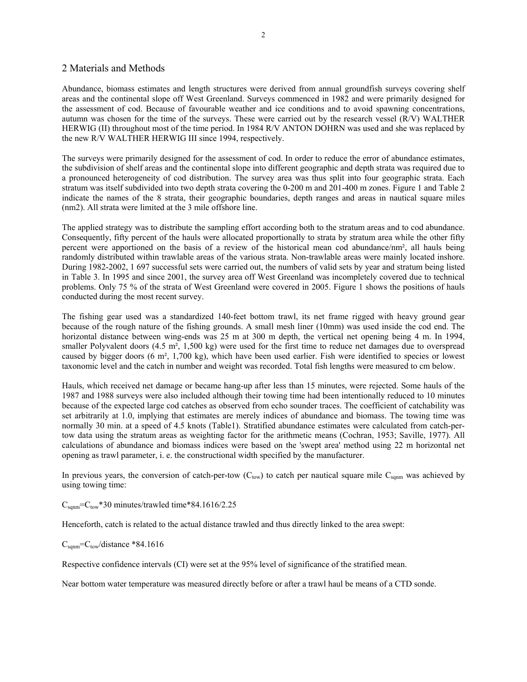### 2 Materials and Methods

Abundance, biomass estimates and length structures were derived from annual groundfish surveys covering shelf areas and the continental slope off West Greenland. Surveys commenced in 1982 and were primarily designed for the assessment of cod. Because of favourable weather and ice conditions and to avoid spawning concentrations, autumn was chosen for the time of the surveys. These were carried out by the research vessel (R/V) WALTHER HERWIG (II) throughout most of the time period. In 1984 R/V ANTON DOHRN was used and she was replaced by the new R/V WALTHER HERWIG III since 1994, respectively.

The surveys were primarily designed for the assessment of cod. In order to reduce the error of abundance estimates, the subdivision of shelf areas and the continental slope into different geographic and depth strata was required due to a pronounced heterogeneity of cod distribution. The survey area was thus split into four geographic strata. Each stratum was itself subdivided into two depth strata covering the 0-200 m and 201-400 m zones. Figure 1 and Table 2 indicate the names of the 8 strata, their geographic boundaries, depth ranges and areas in nautical square miles (nm2). All strata were limited at the 3 mile offshore line.

The applied strategy was to distribute the sampling effort according both to the stratum areas and to cod abundance. Consequently, fifty percent of the hauls were allocated proportionally to strata by stratum area while the other fifty percent were apportioned on the basis of a review of the historical mean cod abundance/nm², all hauls being randomly distributed within trawlable areas of the various strata. Non-trawlable areas were mainly located inshore. During 1982-2002, 1 697 successful sets were carried out, the numbers of valid sets by year and stratum being listed in Table 3. In 1995 and since 2001, the survey area off West Greenland was incompletely covered due to technical problems. Only 75 % of the strata of West Greenland were covered in 2005. Figure 1 shows the positions of hauls conducted during the most recent survey.

The fishing gear used was a standardized 140-feet bottom trawl, its net frame rigged with heavy ground gear because of the rough nature of the fishing grounds. A small mesh liner (10mm) was used inside the cod end. The horizontal distance between wing-ends was 25 m at 300 m depth, the vertical net opening being 4 m. In 1994, smaller Polyvalent doors  $(4.5 \text{ m}^2, 1,500 \text{ kg})$  were used for the first time to reduce net damages due to overspread caused by bigger doors (6 m², 1,700 kg), which have been used earlier. Fish were identified to species or lowest taxonomic level and the catch in number and weight was recorded. Total fish lengths were measured to cm below.

Hauls, which received net damage or became hang-up after less than 15 minutes, were rejected. Some hauls of the 1987 and 1988 surveys were also included although their towing time had been intentionally reduced to 10 minutes because of the expected large cod catches as observed from echo sounder traces. The coefficient of catchability was set arbitrarily at 1.0, implying that estimates are merely indices of abundance and biomass. The towing time was normally 30 min. at a speed of 4.5 knots (Table1). Stratified abundance estimates were calculated from catch-pertow data using the stratum areas as weighting factor for the arithmetic means (Cochran, 1953; Saville, 1977). All calculations of abundance and biomass indices were based on the 'swept area' method using 22 m horizontal net opening as trawl parameter, i. e. the constructional width specified by the manufacturer.

In previous years, the conversion of catch-per-tow  $(C_{\text{tow}})$  to catch per nautical square mile  $C_{\text{spam}}$  was achieved by using towing time:

 $C_{\text{sam}}=C_{\text{tow}}*30$  minutes/trawled time\*84.1616/2.25

Henceforth, catch is related to the actual distance trawled and thus directly linked to the area swept:

 $C_{\text{sgnm}}=C_{\text{tow}}/distance$  \*84.1616

Respective confidence intervals (CI) were set at the 95% level of significance of the stratified mean.

Near bottom water temperature was measured directly before or after a trawl haul be means of a CTD sonde.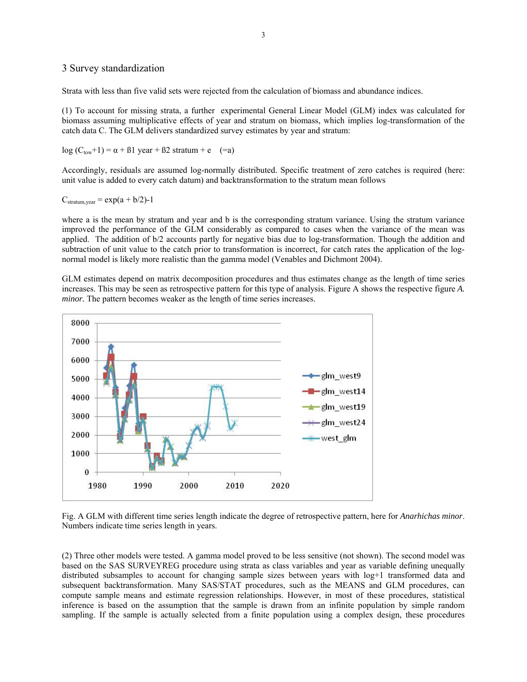#### 3 Survey standardization

Strata with less than five valid sets were rejected from the calculation of biomass and abundance indices.

(1) To account for missing strata, a further experimental General Linear Model (GLM) index was calculated for biomass assuming multiplicative effects of year and stratum on biomass, which implies log-transformation of the catch data C. The GLM delivers standardized survey estimates by year and stratum:

log  $(C_{\text{tow}}+1) = \alpha + \beta 1$  year +  $\beta 2$  stratum + e (=a)

Accordingly, residuals are assumed log-normally distributed. Specific treatment of zero catches is required (here: unit value is added to every catch datum) and backtransformation to the stratum mean follows

 $C_{\text{stratum year}} = \exp(a + b/2) - 1$ 

where a is the mean by stratum and year and b is the corresponding stratum variance. Using the stratum variance improved the performance of the GLM considerably as compared to cases when the variance of the mean was applied. The addition of b/2 accounts partly for negative bias due to log-transformation. Though the addition and subtraction of unit value to the catch prior to transformation is incorrect, for catch rates the application of the lognormal model is likely more realistic than the gamma model (Venables and Dichmont 2004).

GLM estimates depend on matrix decomposition procedures and thus estimates change as the length of time series increases. This may be seen as retrospective pattern for this type of analysis. Figure A shows the respective figure *A. minor*. The pattern becomes weaker as the length of time series increases.



Fig. A GLM with different time series length indicate the degree of retrospective pattern, here for *Anarhichas minor*. Numbers indicate time series length in years.

(2) Three other models were tested. A gamma model proved to be less sensitive (not shown). The second model was based on the SAS SURVEYREG procedure using strata as class variables and year as variable defining unequally distributed subsamples to account for changing sample sizes between years with log+1 transformed data and subsequent backtransformation. Many SAS/STAT procedures, such as the MEANS and GLM procedures, can compute sample means and estimate regression relationships. However, in most of these procedures, statistical inference is based on the assumption that the sample is drawn from an infinite population by simple random sampling. If the sample is actually selected from a finite population using a complex design, these procedures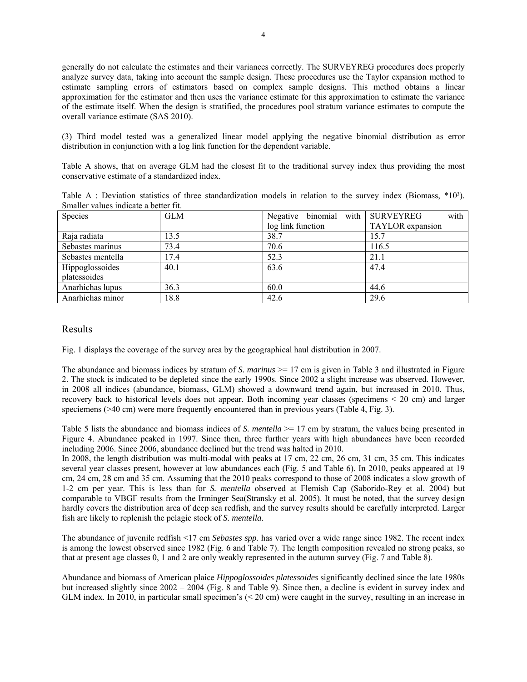generally do not calculate the estimates and their variances correctly. The SURVEYREG procedures does properly analyze survey data, taking into account the sample design. These procedures use the Taylor expansion method to estimate sampling errors of estimators based on complex sample designs. This method obtains a linear approximation for the estimator and then uses the variance estimate for this approximation to estimate the variance of the estimate itself. When the design is stratified, the procedures pool stratum variance estimates to compute the overall variance estimate (SAS 2010).

(3) Third model tested was a generalized linear model applying the negative binomial distribution as error distribution in conjunction with a log link function for the dependent variable.

Table A shows, that on average GLM had the closest fit to the traditional survey index thus providing the most conservative estimate of a standardized index.

| Table A : Deviation statistics of three standardization models in relation to the survey index (Biomass, $*103$ ). |  |  |  |  |  |  |
|--------------------------------------------------------------------------------------------------------------------|--|--|--|--|--|--|
| Smaller values indicate a better fit.                                                                              |  |  |  |  |  |  |

| Species           | <b>GLM</b> | Negative binomial with SURVEYREG | with             |
|-------------------|------------|----------------------------------|------------------|
|                   |            | log link function                | TAYLOR expansion |
| Raja radiata      | 13.5       | 38.7                             | 15.7             |
| Sebastes marinus  | 73.4       | 70.6                             | 116.5            |
| Sebastes mentella | 17.4       | 52.3                             | 21.1             |
| Hippoglossoides   | 40.1       | 63.6                             | 47.4             |
| platessoides      |            |                                  |                  |
| Anarhichas lupus  | 36.3       | 60.0                             | 44.6             |
| Anarhichas minor  | 18.8       | 42.6                             | 29.6             |

### Results

Fig. 1 displays the coverage of the survey area by the geographical haul distribution in 2007.

The abundance and biomass indices by stratum of *S. marinus*  $\ge$  17 cm is given in Table 3 and illustrated in Figure 2. The stock is indicated to be depleted since the early 1990s. Since 2002 a slight increase was observed. However, in 2008 all indices (abundance, biomass, GLM) showed a downward trend again, but increased in 2010. Thus, recovery back to historical levels does not appear. Both incoming year classes (specimens < 20 cm) and larger speciemens (>40 cm) were more frequently encountered than in previous years (Table 4, Fig. 3).

Table 5 lists the abundance and biomass indices of *S. mentella* >= 17 cm by stratum, the values being presented in Figure 4. Abundance peaked in 1997. Since then, three further years with high abundances have been recorded including 2006. Since 2006, abundance declined but the trend was halted in 2010.

In 2008, the length distribution was multi-modal with peaks at 17 cm, 22 cm, 26 cm, 31 cm, 35 cm. This indicates several year classes present, however at low abundances each (Fig. 5 and Table 6). In 2010, peaks appeared at 19 cm, 24 cm, 28 cm and 35 cm. Assuming that the 2010 peaks correspond to those of 2008 indicates a slow growth of 1-2 cm per year. This is less than for *S. mentella* observed at Flemish Cap (Saborido-Rey et al. 2004) but comparable to VBGF results from the Irminger Sea(Stransky et al. 2005). It must be noted, that the survey design hardly covers the distribution area of deep sea redfish, and the survey results should be carefully interpreted. Larger fish are likely to replenish the pelagic stock of *S. mentella*.

The abundance of juvenile redfish <17 cm *Sebastes spp.* has varied over a wide range since 1982. The recent index is among the lowest observed since 1982 (Fig. 6 and Table 7). The length composition revealed no strong peaks, so that at present age classes 0, 1 and 2 are only weakly represented in the autumn survey (Fig. 7 and Table 8).

Abundance and biomass of American plaice *Hippoglossoides platessoides* significantly declined since the late 1980s but increased slightly since 2002 – 2004 (Fig. 8 and Table 9). Since then, a decline is evident in survey index and GLM index. In 2010, in particular small specimen's (< 20 cm) were caught in the survey, resulting in an increase in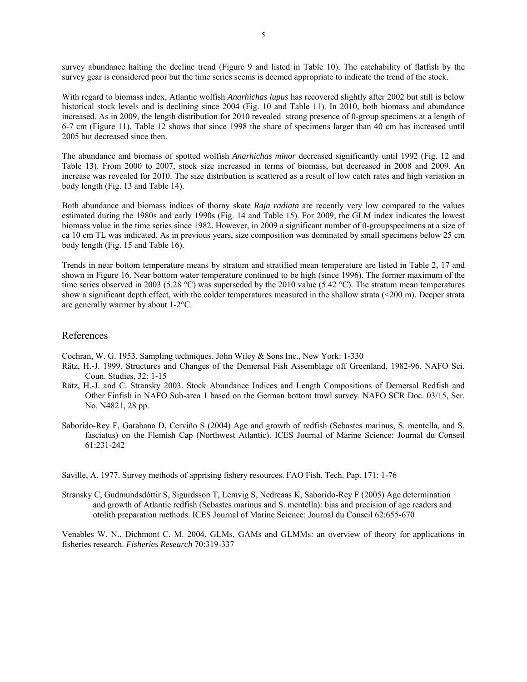survey abundance halting the decline trend (Figure 9 and listed in Table 10). The catchability of flatfish by the survey gear is considered poor but the time series seems is deemed appropriate to indicate the trend of the stock.

With regard to biomass index, Atlantic wolfish *Anarhichas lupus* has recovered slightly after 2002 but still is below historical stock levels and is declining since 2004 (Fig. 10 and Table 11). In 2010, both biomass and abundance increased. As in 2009, the length distribution for 2010 revealed strong presence of 0-group specimens at a length of 6-7 cm (Figure 11). Table 12 shows that since 1998 the share of specimens larger than 40 cm has increased until 2005 but decreased since then.

The abundance and biomass of spotted wolfish *Anarhichas minor* decreased significantly until 1992 (Fig. 12 and Table 13). From 2000 to 2007, stock size increased in terms of biomass, but decreased in 2008 and 2009. An increase was revealed for 2010. The size distribution is scattered as a result of low catch rates and high variation in body length (Fig. 13 and Table 14).

Both abundance and biomass indices of thorny skate *Raja radiata* are recently very low compared to the values estimated during the 1980s and early 1990s (Fig. 14 and Table 15). For 2009, the GLM index indicates the lowest biomass value in the time series since 1982. However, in 2009 a significant number of 0-groupspecimens at a size of ca 10 cm TL was indicated. As in previous years, size composition was dominated by small specimens below 25 cm body length (Fig. 15 and Table 16).

Trends in near bottom temperature means by stratum and stratified mean temperature are listed in Table 2, 17 and shown in Figure 16. Near bottom water temperature continued to be high (since 1996). The former maximum of the time series observed in 2003 (5.28 °C) was superseded by the 2010 value (5.42 °C). The stratum mean temperatures show a significant depth effect, with the colder temperatures measured in the shallow strata (<200 m). Deeper strata are generally warmer by about 1-2°C.

### References

Cochran, W. G. 1953. Sampling techniques. John Wiley & Sons Inc., New York: 1-330

- Rätz, H.-J. 1999. Structures and Changes of the Demersal Fish Assemblage off Greenland, 1982-96. NAFO Sci. Coun. Studies, 32: 1-15
- Rätz, H.-J. and C. Stransky 2003. Stock Abundance Indices and Length Compositions of Demersal Redfish and Other Finfish in NAFO Sub-area 1 based on the German bottom trawl survey. NAFO SCR Doc. 03/15, Ser. No. N4821, 28 pp.
- Saborido-Rey F, Garabana D, Cerviño S (2004) Age and growth of redfish (Sebastes marinus, S. mentella, and S. fasciatus) on the Flemish Cap (Northwest Atlantic). ICES Journal of Marine Science: Journal du Conseil 61:231-242

Saville, A. 1977. Survey methods of apprising fishery resources. FAO Fish. Tech. Pap. 171: 1-76

Stransky C, Gudmundsdóttir S, Sigurdsson T, Lemvig S, Nedreaas K, Saborido-Rey F (2005) Age determination and growth of Atlantic redfish (Sebastes marinus and S. mentella): bias and precision of age readers and otolith preparation methods. ICES Journal of Marine Science: Journal du Conseil 62:655-670

Venables W. N., Dichmont C. M. 2004. GLMs, GAMs and GLMMs: an overview of theory for applications in fisheries research. *Fisheries Research* 70:319-337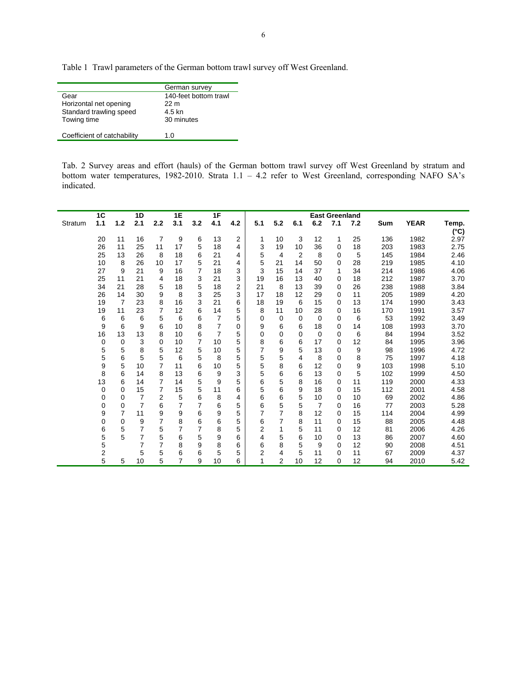Table 1 Trawl parameters of the German bottom trawl survey off West Greenland.

|                             | German survey         |
|-----------------------------|-----------------------|
| Gear                        | 140-feet bottom trawl |
| Horizontal net opening      | 22 m                  |
| Standard trawling speed     | 4.5 kn                |
| Towing time                 | 30 minutes            |
|                             |                       |
| Coefficient of catchability | 1.0                   |

Tab. 2 Survey areas and effort (hauls) of the German bottom trawl survey off West Greenland by stratum and bottom water temperatures, 1982-2010. Strata 1.1 – 4.2 refer to West Greenland, corresponding NAFO SA's indicated.

|         | 1C  |       | 1D  |                | 1E             |                | 1F  |     |     |                |                         |          | <b>East Greenland</b> |     |     |             |                        |
|---------|-----|-------|-----|----------------|----------------|----------------|-----|-----|-----|----------------|-------------------------|----------|-----------------------|-----|-----|-------------|------------------------|
| Stratum | 1.1 | $1.2$ | 2.1 | 2.2            | 3.1            | 3.2            | 4.1 | 4.2 | 5.1 | 5.2            | 6.1                     | 6.2      | 7.1                   | 7.2 | Sum | <b>YEAR</b> | Temp.<br>$(^{\circ}C)$ |
|         | 20  | 11    | 16  | 7              | 9              | 6              | 13  | 2   | 1   | 10             | 3                       | 12       | 1                     | 25  | 136 | 1982        | 2.97                   |
|         | 26  | 11    | 25  | 11             | 17             | 5              | 18  | 4   | 3   | 19             | 10                      | 36       | 0                     | 18  | 203 | 1983        | 2.75                   |
|         | 25  | 13    | 26  | 8              | 18             | 6              | 21  | 4   | 5   | 4              | 2                       | 8        | 0                     | 5   | 145 | 1984        | 2.46                   |
|         | 10  | 8     | 26  | 10             | 17             | 5              | 21  | 4   | 5   | 21             | 14                      | 50       | 0                     | 28  | 219 | 1985        | 4.10                   |
|         | 27  | 9     | 21  | 9              | 16             | $\overline{7}$ | 18  | 3   | 3   | 15             | 14                      | 37       | 1                     | 34  | 214 | 1986        | 4.06                   |
|         | 25  | 11    | 21  | 4              | 18             | 3              | 21  | 3   | 19  | 16             | 13                      | 40       | 0                     | 18  | 212 | 1987        | 3.70                   |
|         | 34  | 21    | 28  | 5              | 18             | 5              | 18  | 2   | 21  | 8              | 13                      | 39       | 0                     | 26  | 238 | 1988        | 3.84                   |
|         | 26  | 14    | 30  | 9              | 8              | 3              | 25  | 3   | 17  | 18             | 12                      | 29       | 0                     | 11  | 205 | 1989        | 4.20                   |
|         | 19  | 7     | 23  | 8              | 16             | 3              | 21  | 6   | 18  | 19             | 6                       | 15       | 0                     | 13  | 174 | 1990        | 3.43                   |
|         | 19  | 11    | 23  | $\overline{7}$ | 12             | 6              | 14  | 5   | 8   | 11             | 10                      | 28       | 0                     | 16  | 170 | 1991        | 3.57                   |
|         | 6   | 6     | 6   | 5              | 6              | 6              | 7   | 5   | 0   | 0              | 0                       | $\Omega$ | 0                     | 6   | 53  | 1992        | 3.49                   |
|         | 9   | 6     | 9   | 6              | 10             | 8              | 7   | 0   | 9   | 6              | 6                       | 18       | 0                     | 14  | 108 | 1993        | 3.70                   |
|         | 16  | 13    | 13  | 8              | 10             | 6              | 7   | 5   | 0   | 0              | 0                       | $\Omega$ | 0                     | 6   | 84  | 1994        | 3.52                   |
|         | 0   | 0     | 3   | 0              | 10             | $\overline{7}$ | 10  | 5   | 8   | 6              | 6                       | 17       | 0                     | 12  | 84  | 1995        | 3.96                   |
|         | 5   | 5     | 8   | 5              | 12             | 5              | 10  | 5   | 7   | 9              | 5                       | 13       | 0                     | 9   | 98  | 1996        | 4.72                   |
|         | 5   | 6     | 5   | 5              | 6              | 5              | 8   | 5   | 5   | 5              | $\overline{\mathbf{4}}$ | 8        | $\Omega$              | 8   | 75  | 1997        | 4.18                   |
|         | 9   | 5     | 10  | 7              | 11             | 6              | 10  | 5   | 5   | 8              | 6                       | 12       | 0                     | 9   | 103 | 1998        | 5.10                   |
|         | 8   | 6     | 14  | 8              | 13             | 6              | 9   | 3   | 5   | 6              | 6                       | 13       | $\Omega$              | 5   | 102 | 1999        | 4.50                   |
|         | 13  | 6     | 14  | $\overline{7}$ | 14             | 5              | 9   | 5   | 6   | 5              | 8                       | 16       | 0                     | 11  | 119 | 2000        | 4.33                   |
|         | 0   | 0     | 15  | $\overline{7}$ | 15             | 5              | 11  | 6   | 5   | 6              | 9                       | 18       | $\Omega$              | 15  | 112 | 2001        | 4.58                   |
|         | 0   | 0     | 7   | $\overline{2}$ | 5              | 6              | 8   | 4   | 6   | 6              | 5                       | 10       | 0                     | 10  | 69  | 2002        | 4.86                   |
|         | 0   | 0     | 7   | 6              | 7              | 7              | 6   | 5   | 6   | 5              | 5                       | 7        | 0                     | 16  | 77  | 2003        | 5.28                   |
|         | 9   | 7     | 11  | 9              | 9              | 6              | 9   | 5   | 7   | $\overline{7}$ | 8                       | 12       | 0                     | 15  | 114 | 2004        | 4.99                   |
|         | 0   | 0     | 9   | 7              | 8              | 6              | 6   | 5   | 6   | 7              | 8                       | 11       | 0                     | 15  | 88  | 2005        | 4.48                   |
|         | 6   | 5     | 7   | 5              | 7              | 7              | 8   | 5   | 2   | 1              | 5                       | 11       | 0                     | 12  | 81  | 2006        | 4.26                   |
|         | 5   | 5     | 7   | 5              | 6              | 5              | 9   | 6   | 4   | 5              | 6                       | 10       | 0                     | 13  | 86  | 2007        | 4.60                   |
|         | 5   |       | 7   | 7              | 8              | 9              | 8   | 6   | 6   | 8              | 5                       | 9        | 0                     | 12  | 90  | 2008        | 4.51                   |
|         | 2   |       | 5   | 5              | 6              | 6              | 5   | 5   | 2   | 4              | 5                       | 11       | 0                     | 11  | 67  | 2009        | 4.37                   |
|         | 5   | 5     | 10  | 5              | $\overline{7}$ | 9              | 10  | 6   | 1   | 2              | 10                      | 12       | $\Omega$              | 12  | 94  | 2010        | 5.42                   |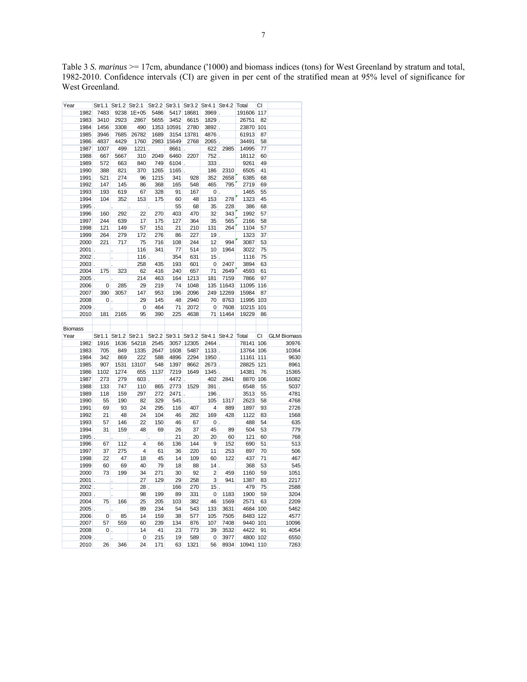Table 3 *S. marinus* >= 17cm, abundance ('1000) and biomass indices (tons) for West Greenland by stratum and total, 1982-2010. Confidence intervals (CI) are given in per cent of the stratified mean at 95% level of significance for West Greenland.

| Year           |               |                          |                                                                               | Str1.1 Str1.2 Str2.1 Str2.2 Str3.1 Str3.2 Str4.1 Str4.2 Total |            |            |             |                                |              |                                                               | CI |                    |
|----------------|---------------|--------------------------|-------------------------------------------------------------------------------|---------------------------------------------------------------|------------|------------|-------------|--------------------------------|--------------|---------------------------------------------------------------|----|--------------------|
|                |               | 1982 7483                |                                                                               | 9238 1E+05                                                    | 5486       |            | 5417 18681  |                                | $3969$ .     | 191606 117                                                    |    |                    |
|                | 1983          | 3410                     | 2923                                                                          | 2867                                                          | 5655       | 3452       | 6615        | $1829$ .                       |              | 26751                                                         | 82 |                    |
|                | 1984          | 1456                     | 3308                                                                          | 490                                                           |            | 1353 10591 | 2780        |                                | $3892$ .     | 23870 101                                                     |    |                    |
|                | 1985          | 3946                     | 7685                                                                          | 26782                                                         | 1689       |            | 3154 13781  | 4876.                          |              | 61913                                                         | 87 |                    |
|                | 1986          | 4837                     | 4429                                                                          | 1760                                                          |            | 2983 15649 | 2768        | $2065$ .                       |              | 34491                                                         | 58 |                    |
|                | 1987          | 1007                     | 499                                                                           | 1221                                                          |            | 8661.      |             | 622                            | 2985         | 14995                                                         | 77 |                    |
|                | 1988          | 667                      | 5667                                                                          | 310                                                           | 2049       | 6460       | 2207        | $752$ .                        |              | 18112                                                         | 60 |                    |
|                | 1989          | 572                      | 663                                                                           | 840                                                           | 749        | $6104$ .   |             | $333$ .                        |              | 9261                                                          | 49 |                    |
|                | 1990          | 388                      | 821                                                                           | 370                                                           | 1265       | $1165$ .   |             | 186                            | 2310         | 6505                                                          | 41 |                    |
|                | 1991          | 521                      | 274                                                                           | 96                                                            | 1215       | 341        | 928         | 352                            | 2658         | 6385                                                          | 68 |                    |
|                | 1992          | 147                      | 145                                                                           | 86                                                            | 368        | 165        | 548         | 465                            | 795          | 2719                                                          | 69 |                    |
|                | 1993          | 193                      | 619                                                                           | 67                                                            | 328        | 91         | 167         | $\mathbf{0}$ .                 |              | 1465                                                          | 55 |                    |
|                | 1994          | 104                      | 352                                                                           | 153                                                           | 175        | 60         | - 48        | 153                            | 278          | 1323                                                          | 45 |                    |
|                | 1995.         |                          | $\ddot{\phantom{a}}$                                                          |                                                               |            | 55         | 68          | 35                             | 228          | 386                                                           | 68 |                    |
|                | 1996          | 160                      | 292                                                                           | 22                                                            | 270        | 403        | 470         | 32                             | 343          | 1992                                                          | 57 |                    |
|                | 1997          | 244                      | 639                                                                           | 17                                                            | 175        | 127        | 364         | 35                             | 565          | 2166                                                          | 58 |                    |
|                | 1998          | 121                      | 149                                                                           | 57                                                            | 151        | 21         | 210         | 131                            | 264          | 1104                                                          | 57 |                    |
|                | 1999          | 264                      | 279                                                                           | 172                                                           | 276        | 86         | 227         | $19$ .                         |              | 1323                                                          | 37 |                    |
|                | 2000          | 221                      | 717                                                                           | 75                                                            | 716        | 108        | 244         | 12                             | 994          | 3087                                                          | 53 |                    |
|                | $2001$ .      |                          |                                                                               |                                                               | 341        | 77         | 514         | 10                             | 1964         | 3022                                                          | 75 |                    |
|                |               |                          | $\mathcal{L}^{\text{max}}$                                                    | 116                                                           |            |            |             |                                |              |                                                               |    |                    |
|                | $2002$ .      |                          | $\mathcal{L}^{\text{max}}$                                                    | $116$ .                                                       |            | 354        | 631         | $15$ .                         |              | 1116                                                          | 75 |                    |
|                |               | 2003.                    |                                                                               | 258                                                           | 435        | 193        | 601         | $\overline{\mathbf{0}}$        | 2407         | 3894                                                          | 63 |                    |
|                | 2004          | 175                      | 323                                                                           | 62                                                            | 416        | 240        | 657         | 71                             | 2649         | 4593                                                          | 61 |                    |
|                |               | $2005$ .                 | k.                                                                            | 214                                                           | 463        | 164        | 1213        | 181                            | 7159         | 7866                                                          | 97 |                    |
|                | 2006          | $\overline{\phantom{0}}$ | 285                                                                           | 29                                                            | 219        | 74         | 1048        |                                | 135 11643    | 11095 116                                                     |    |                    |
|                | 2007          | 390                      | 3057                                                                          | 147                                                           | 953        | 196        | 2096        |                                | 249 12269    | 15984                                                         | 87 |                    |
|                | 2008          |                          | $\begin{array}{ c c c c c }\n\hline\n0 & \multicolumn{1}{ c }{c} \end{array}$ | 29                                                            | 145        | 48         | 2940        | 70                             | 8763         | 11995 103                                                     |    |                    |
|                | 2009.         |                          | $\mathcal{L}^{\pm}$                                                           | $\overline{\mathbf{0}}$                                       | 464        | 71         | 2072        |                                | 0 7608       | 10215 101                                                     |    |                    |
|                | 2010          | 181                      | 2165                                                                          | 95                                                            | 390        | 225        | 4638        |                                | 71 11464     | 19229                                                         | 86 |                    |
|                |               |                          |                                                                               |                                                               |            |            |             |                                |              |                                                               |    |                    |
|                |               |                          |                                                                               |                                                               |            |            |             |                                |              |                                                               |    |                    |
| <b>Biomass</b> |               |                          |                                                                               |                                                               |            |            |             |                                |              |                                                               |    |                    |
| Year           |               |                          |                                                                               |                                                               |            |            |             |                                |              | Str1.1 Str1.2 Str2.1 Str2.2 Str3.1 Str3.2 Str4.1 Str4.2 Total | CI | <b>GLM Biomass</b> |
|                | 1982          | 1916                     | 1636                                                                          | 54218                                                         | 2545       |            | 3057 12305  |                                | $2464$ .     | 78141 106                                                     |    | 30976              |
|                | 1983          | 705                      | 849                                                                           | 1335                                                          | 2647       | 1608       | 5487        |                                | $1133$ .     | 13764 106                                                     |    | 10364              |
|                | 1984          | 342                      | 869                                                                           | 222                                                           | 588        | 4896       | 2294        |                                | $1950$ .     | 11161 111                                                     |    | 9630               |
|                | 1985          | 907                      | 1531                                                                          | 13107                                                         | 548        | 1397       | 8662        |                                | $2673$ .     | 28825 121                                                     |    | 8961               |
|                | 1986          | 1102                     | 1274                                                                          | 655                                                           | 1137       | 7219       | 1649        | $1345$ .                       |              | 14381                                                         | 76 | 15365              |
|                | 1987          | 273                      | 279                                                                           |                                                               | $603$ .    | 4472.      |             | 402                            | 2841         | 8870 106                                                      |    | 16082              |
|                | 1988          | 133                      | 747                                                                           | 110                                                           | 865        | 2773       | 1529        | $391$ .                        |              |                                                               | 55 | 5037               |
|                | 1989          | 118                      | 159                                                                           | 297                                                           | 272        | $2471$ .   |             | $196$ .                        |              | 6548<br>3513                                                  | 55 | 4781               |
|                | 1990          | - 55                     | 190                                                                           | 82                                                            | 329        |            | $545$ .     |                                | 105 1317     | 2623                                                          | 58 | 4768               |
|                | 1991          | 69                       | 93                                                                            | 24                                                            | 295        | 116        | 407         | $\overline{4}$                 | 889          | 1897                                                          | 93 | 2726               |
|                | 1992          | 21                       | 48                                                                            | 24                                                            | 104        | 46         | 282         | 169                            | 428          | 1122                                                          | 83 | 1568               |
|                | 1993          | 57                       | 146                                                                           | 22                                                            | 150        | 46         | 67          |                                | $ 0 $ .      | 488                                                           | 54 | 635                |
|                | 1994          | 31                       | 159                                                                           | 48                                                            | 69         | 26         | 37          | 45                             | 89           | 504                                                           | 53 | 779                |
|                | 1995.         |                          |                                                                               |                                                               |            | 21         | 20          | 20                             | 60           | 121                                                           | 60 | 768                |
|                | 1996          |                          |                                                                               |                                                               |            |            |             | $\overline{9}$                 |              | 690                                                           | 51 |                    |
|                |               | 67                       | 112                                                                           | $\overline{\mathbf{4}}$                                       | 66         | 136        | 144         |                                | 152          |                                                               |    | 513                |
|                | 1997          | 37                       | 275                                                                           | $\overline{4}$                                                | 61         | 36         | 220         | 11                             | 253          | 897                                                           | 70 | 506                |
|                | 1998          | 22                       | 47                                                                            | 18                                                            | 45         | 14         | 109         | 60                             | 122          | 437                                                           | 71 | 467                |
|                | 1999          | 60                       | 69                                                                            | 40                                                            | 79         | 18         | 88          | $14$ .                         |              | 368                                                           | 53 | 545                |
|                | 2000          | 73                       | 199                                                                           | 34                                                            | 271        | 30         | 92          | $\overline{2}$                 | 459          | 1160                                                          | 59 | 1051               |
|                | $2001$ .      |                          | ¥,                                                                            | 27                                                            | 129        | 29         | 258         | 3                              | 941          | 1387                                                          | 83 | 2217               |
|                | $2002$ .      |                          |                                                                               | 28                                                            |            | 166        | 270         | $15$ .                         |              | 479                                                           | 75 | 2588               |
|                | $2003$ .      |                          |                                                                               | 98                                                            | 199        | 89         | 331         | $\mathbf 0$                    | 1183         | 1900                                                          | 59 | 3204               |
|                | 2004          | 75                       | 166                                                                           | 25                                                            | 205        | 103        | 382         | 46                             | 1569         | 2571                                                          | 63 | 2209               |
|                | $2005$ .      |                          |                                                                               | 89                                                            | 234        | 54         | 543         | 133                            | 3631         | 4684 100                                                      |    | 5462               |
|                | 2006          | $\overline{\mathbf{0}}$  | 85                                                                            | 14                                                            | 159        | 38         | 577         | 105                            | 7505         | 8483 122                                                      |    | 4577               |
|                | 2007          | 57                       | 559                                                                           | 60                                                            | 239        | 134        | 876         | 107                            | 7408         | 9440 101                                                      |    | 10096              |
|                | 2008          |                          | $\mathbf{0}$ .                                                                | 14                                                            | 41         | 23         | 773         | 39                             | 3532         | 4422                                                          | 91 | 4054               |
|                | 2009.<br>2010 | 26                       | 346                                                                           | $\mathbf 0$<br>24                                             | 215<br>171 | 19<br>63   | 589<br>1321 | $\overline{\phantom{0}}$<br>56 | 3977<br>8934 | 4800 102<br>10941 110                                         |    | 6550<br>7263       |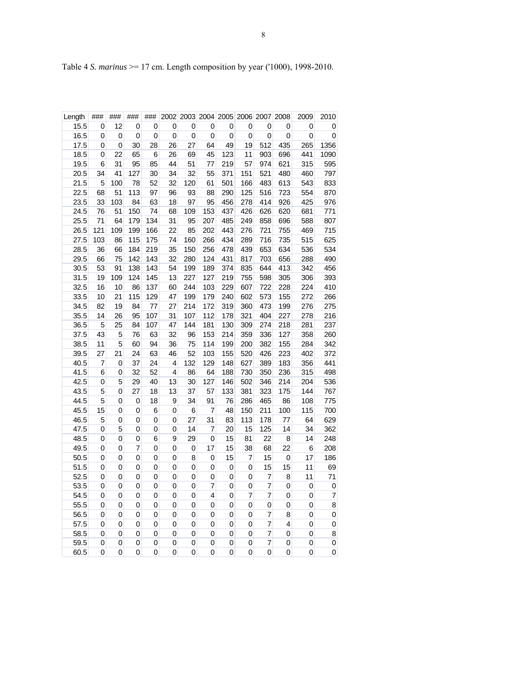| Length       | ###    | ###    | ###     | ###      |         |             |          |           | 2002 2003 2004 2005 2006 2007 |            | 2008      | 2009       | 2010           |
|--------------|--------|--------|---------|----------|---------|-------------|----------|-----------|-------------------------------|------------|-----------|------------|----------------|
| 15.5         | 0      | 12     | 0       | 0        | 0       | 0           | 0        | 0         | 0                             | 0          | 0         | 0          | 0              |
| 16.5         | 0      | 0      | 0       | 0        | 0       | 0           | 0        | 0         | 0                             | 0          | 0         | 0          | 0              |
| 17.5         | 0      | 0      | 30      | 28       | 26      | 27          | 64       | 49        | 19                            | 512        | 435       | 265        | 1356           |
| 18.5         | 0      | 22     | 65      | 6        | 26      | 69          | 45       | 123       | 11                            | 903        | 696       | 441        | 1090           |
| 19.5         | 6      | 31     | 95      | 85       | 44      | 51          | 77       | 219       | 57                            | 974        | 621       | 315        | 595            |
| 20.5         | 34     | 41     | 127     | 30       | 34      | 32          | 55       | 371       | 151                           | 521        | 480       | 460        | 797            |
| 21.5         | 5      | 100    | 78      | 52       | 32      | 120         | 61       | 501       | 166                           | 483        | 613       | 543        | 833            |
| 22.5         | 68     | 51     | 113     | 97       | 96      | 93          | 88       | 290       | 125                           | 516        | 723       | 554        | 870            |
| 23.5         | 33     | 103    | 84      | 63       | 18      | 97          | 95       | 456       | 278                           | 414        | 926       | 425        | 976            |
| 24.5         | 76     | 51     | 150     | 74       | 68      | 109         | 153      | 437       | 426                           | 626        | 620       | 681        | 771            |
| 25.5         | 71     | 64     | 179     | 134      | 31      | 95          | 207      | 485       | 249                           | 858        | 696       | 588        | 807            |
| 26.5         | 121    | 109    | 199     | 166      | 22      | 85          | 202      | 443       | 276                           | 721        | 755       | 469        | 715            |
| 27.5         | 103    | 86     | 115     | 175      | 74      | 160         | 266      | 434       | 289                           | 716        | 735       | 515        | 625            |
| 28.5         | 36     | 66     | 184     | 219      | 35      | 150         | 256      | 478       | 439                           | 653        | 634       | 536        | 534            |
| 29.5         | 66     | 75     | 142     | 143      | 32      | 280         | 124      | 431       | 817                           | 703        | 656       | 288        | 490            |
| 30.5         | 53     | 91     | 138     | 143      | 54      | 199         | 189      | 374       | 835                           | 644        | 413       | 342        | 456            |
| 31.5         | 19     | 109    | 124     | 145      | 13      | 227         | 127      | 219       | 755                           | 598        | 305       | 306        | 393            |
| 32.5         | 16     | 10     | 86      | 137      | 60      | 244         | 103      | 229       | 607                           | 722        | 228       | 224        | 410            |
| 33.5         | 10     | 21     | 115     | 129      | 47      | 199         | 179      | 240       | 602                           | 573        | 155       | 272        | 266            |
| 34.5         | 82     | 19     | 84      | 77       | 27      | 214         | 172      | 319       | 360                           | 473        | 199       | 276        | 275            |
| 35.5         | 14     | 26     | 95      | 107      | 31      | 107         | 112      | 178       | 321                           | 404        | 227       | 278        | 216            |
| 36.5         | 5      | 25     | 84      | 107      | 47      | 144         | 181      | 130       | 309                           | 274        | 218       | 281        | 237            |
| 37.5         | 43     | 5      | 76      | 63       | 32      | 96          | 153      | 214       | 359                           | 336        | 127       | 358        | 260            |
| 38.5         | 11     | 5      | 60      | 94       | 36      | 75          | 114      | 199       | 200                           | 382        | 155       | 284        | 342            |
| 39.5         | 27     | 21     | 24      | 63       | 46      | 52          | 103      | 155       | 520                           | 426        | 223       | 402        | 372            |
| 40.5         | 7      | 0      | 37      | 24       | 4       | 132         | 129      | 148       | 627                           | 389        | 183       | 356        | 441            |
| 41.5         | 6      | 0      | 32      | 52       | 4       | 86          | 64       | 188       | 730                           | 350        | 236       | 315        | 498            |
| 42.5         | 0      | 5      | 29      | 40       | 13      | 30          | 127      | 146       | 502                           | 346        | 214       | 204        | 536            |
| 43.5<br>44.5 | 5<br>5 | 0<br>0 | 27<br>0 | 18<br>18 | 13<br>9 | 37<br>34    | 57<br>91 | 133<br>76 | 381<br>286                    | 323<br>465 | 175<br>86 | 144<br>108 | 767<br>775     |
| 45.5         | 15     | 0      | 0       | 6        | 0       | 6           | 7        | 48        | 150                           | 211        | 100       | 115        | 700            |
| 46.5         | 5      | 0      | 0       | 0        | 0       | 27          | 31       | 83        | 113                           | 178        | 77        | 64         | 629            |
| 47.5         | 0      | 5      | 0       | 0        | 0       | 14          | 7        | 20        | 15                            | 125        | 14        | 34         | 362            |
| 48.5         | 0      | 0      | 0       | 6        | 9       | 29          | 0        | 15        | 81                            | 22         | 8         | 14         | 248            |
| 49.5         | 0      | 0      | 7       | 0        | 0       | 0           | 17       | 15        | 38                            | 68         | 22        | 6          | 208            |
| 50.5         | 0      | 0      | 0       | 0        | 0       | 8           | 0        | 15        | 7                             | 15         | 0         | 17         | 186            |
| 51.5         | 0      | 0      | 0       | 0        | 0       | 0           | 0        | 0         | 0                             | 15         | 15        | 11         | 69             |
| 52.5         | 0      | 0      | 0       | 0        | 0       | 0           | 0        | 0         | 0                             | 7          | 8         | 11         | 71             |
| 53.5         | 0      | 0      | 0       | 0        | 0       | 0           | 7        | 0         | 0                             | 7          | 0         | 0          | 0              |
| 54.5         | 0      | 0      | 0       | 0        | 0       | $\mathbf 0$ | 4        | 0         | 7                             | 7          | 0         | 0          | $\overline{7}$ |
| 55.5         | 0      | 0      | 0       | 0        | 0       | 0           | 0        | 0         | 0                             | 0          | 0         | 0          | 8              |
| 56.5         | 0      | 0      | 0       | 0        | 0       | 0           | 0        | 0         | 0                             | 7          | 8         | 0          | 0              |
| 57.5         | 0      | 0      | 0       | 0        | 0       | 0           | 0        | 0         | 0                             | 7          | 4         | 0          | 0              |
| 58.5         | 0      | 0      | 0       | 0        | 0       | 0           | 0        | 0         | 0                             | 7          | 0         | 0          | 8              |
| 59.5         | 0      | 0      | 0       | 0        | 0       | 0           | 0        | 0         | 0                             | 7          | 0         | 0          | 0              |
| 60.5         | 0      | 0      | 0       | 0        | 0       | 0           | 0        | 0         | 0                             | 0          | 0         | 0          | 0              |

Table 4 *S. marinus* >= 17 cm. Length composition by year ('1000), 1998-2010.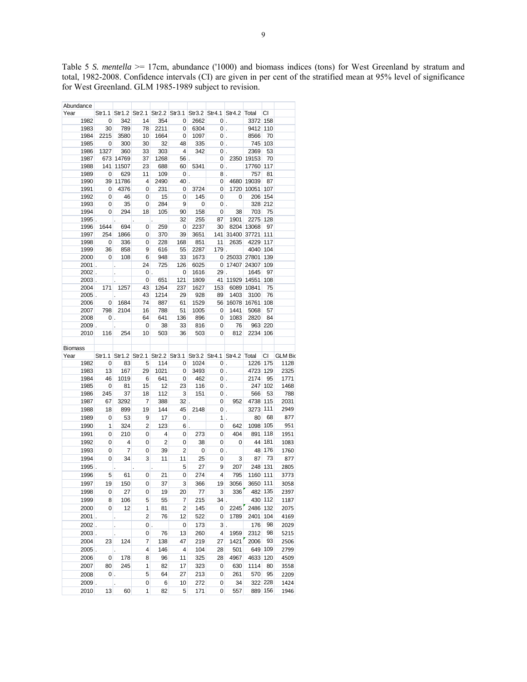Table 5 *S. mentella* >= 17cm, abundance ('1000) and biomass indices (tons) for West Greenland by stratum and total, 1982-2008. Confidence intervals (CI) are given in per cent of the stratified mean at 95% level of significance for West Greenland. GLM 1985-1989 subject to revision.

| Abundance |               |                            |                                                                                                                                 |                          |                |                         |                          |                  |                                                    |                                                               |         |                                                                          |
|-----------|---------------|----------------------------|---------------------------------------------------------------------------------------------------------------------------------|--------------------------|----------------|-------------------------|--------------------------|------------------|----------------------------------------------------|---------------------------------------------------------------|---------|--------------------------------------------------------------------------|
| Year      |               |                            |                                                                                                                                 |                          |                |                         |                          |                  |                                                    | Str1.1 Str1.2 Str2.1 Str2.2 Str3.1 Str3.2 Str4.1 Str4.2 Total | СI      |                                                                          |
|           | 1982          | $\overline{\mathbf{0}}$    | 342                                                                                                                             | 14                       | 354            | $\overline{0}$          | 2662                     | $ 0 $ .          |                                                    | 3372 158                                                      |         |                                                                          |
|           | 1983          |                            | 30 789                                                                                                                          | 78                       | 2211           |                         | $0 \mid 6304 \mid$       | $ 0 $ .          |                                                    | 9412 110                                                      |         |                                                                          |
|           | 1984          | 2215                       | 3580                                                                                                                            | 10                       | 1664           |                         | $0 \quad 1097$           | $\overline{0}$ . |                                                    | 8566                                                          | - 70    |                                                                          |
|           | 1985          | $\overline{\phantom{0}}$   | 300                                                                                                                             | 30 <sup>°</sup>          | 32             | 48                      | 335                      |                  | $ 0 $ .                                            | 745 103                                                       |         |                                                                          |
|           | 1986          | 1327                       | 360                                                                                                                             | 33                       | 303            | $\sim$ 4                | 342                      |                  | $\mathbf{0}$ .                                     | 2369                                                          | 53      |                                                                          |
|           | 1987          |                            | 673 14769                                                                                                                       | 37                       | 1268           |                         | $56$ .                   |                  |                                                    | 0 2350 19153 70                                               |         |                                                                          |
|           | 1988          |                            | 141 11507                                                                                                                       | 23                       | 688            |                         | 60 5341                  |                  | $ 0 $ .                                            | 17760 117                                                     |         |                                                                          |
|           | 1989          | $\overline{\mathbf{0}}$    | 629                                                                                                                             | 11                       | 109            |                         | $ 0 $ .                  |                  | $8$ .                                              | 757 81                                                        |         |                                                                          |
|           | 1990          |                            | 39 11786                                                                                                                        | $\overline{4}$           | 2490           |                         | $40$ .                   |                  |                                                    | 0 4680 19039 87                                               |         |                                                                          |
|           | 1991          | $\overline{\mathbf{0}}$    | 4376                                                                                                                            | $\overline{\mathbf{0}}$  | 231            |                         | $0 \quad 3724$           |                  |                                                    | 0 1720 10051 107                                              |         |                                                                          |
|           | 1992          | $\overline{\mathbf{0}}$    | 46                                                                                                                              | $\overline{\mathbf{0}}$  | 15             | $\overline{\mathbf{0}}$ | 145                      |                  | $\begin{array}{ccc} & & & 0 \\ \hline \end{array}$ | 206 154                                                       |         |                                                                          |
|           | 1993          | $\overline{\phantom{0}}$ 0 | $-35$                                                                                                                           | $\overline{\mathbf{0}}$  | 284            | 9                       | $\overline{\mathbf{0}}$  |                  | $\begin{array}{ccc} & & 0 \\ \end{array}$          | 328 212                                                       |         |                                                                          |
|           |               |                            |                                                                                                                                 |                          |                |                         | 158                      |                  | $0 \overline{\smash)38}$                           | 703                                                           |         |                                                                          |
|           | 1994          | $\overline{\mathbf{0}}$    | 294                                                                                                                             | 18                       | 105            | 90                      |                          |                  |                                                    | 2275 128                                                      | - 75    |                                                                          |
|           | $1995$ .      |                            | $\sim 10^{-11}$                                                                                                                 | ä,                       | <b>Line Co</b> | 32                      | 255                      | 87               | 1901                                               |                                                               |         |                                                                          |
|           | 1996          | 1644                       | 694                                                                                                                             | $\overline{\phantom{0}}$ | 259            | $\overline{\mathbf{0}}$ | 2237                     |                  |                                                    | 30 8204 13068 97                                              |         |                                                                          |
|           | 1997          | 254                        | 1866                                                                                                                            | $\overline{0}$           | 370            | 39                      | 3651                     |                  |                                                    | 141 31400 37721 111                                           |         |                                                                          |
|           | 1998          | $\overline{\phantom{0}}$   | 336                                                                                                                             | $\overline{\phantom{0}}$ | 228            | 168                     | 851                      | 11               |                                                    | 2635 4229 117                                                 |         |                                                                          |
|           | 1999          | 36                         | 858                                                                                                                             | $\overline{9}$           | 616            | $-55$                   | 2287                     |                  | 179 .                                              | 4040 104                                                      |         |                                                                          |
|           | 2000          |                            | $0\qquad$ 108                                                                                                                   | $6\overline{6}$          | 948            | 33                      | 1673                     |                  |                                                    | 0 25033 27801 139                                             |         |                                                                          |
|           |               | $2001$ .                   | L.                                                                                                                              | 24                       | 725            | 126                     | 6025                     |                  |                                                    | 0 17407 24307 109                                             |         |                                                                          |
|           |               | $2002$ .                   | $\mathcal{L}^{\text{max}}$                                                                                                      |                          | $\mathbf{0}$ . | 0                       | 1616                     |                  | $29$ .                                             | 1645 97                                                       |         |                                                                          |
|           |               | $2003$ .                   |                                                                                                                                 | $\overline{\mathbf{0}}$  | 651            | 121                     | 1809                     |                  |                                                    | 41 11929 14551 108                                            |         |                                                                          |
|           | 2004          |                            | 171 1257                                                                                                                        | 43                       | 1264           | 237                     | 1627                     |                  |                                                    | 153 6089 10841 75                                             |         |                                                                          |
|           |               | $2005$ .                   |                                                                                                                                 | 43                       | 1214           | 29                      | 928                      |                  |                                                    | 89 1403 3100 76                                               |         |                                                                          |
|           | 2006          |                            | $\begin{array}{ c c c c c c c c c } \hline \rule{0pt}{12pt} & 1684 \end{array}$                                                 | 74                       | 887            | 61                      | 1529                     |                  |                                                    | 56 16078 16761 108                                            |         |                                                                          |
|           | 2007          |                            | 798 2104                                                                                                                        | 16                       | 788            | 51                      | 1005                     |                  |                                                    | 0 1441 5068 57                                                |         |                                                                          |
|           | 2008          |                            | $\begin{array}{ c c c c c }\n\hline\n0 & \multicolumn{1}{ c }{c} \\ \hline\n0 & \multicolumn{1}{ c }{c} \\ \hline\n\end{array}$ | 64                       | 641            | $\overline{136}$        | 896                      |                  |                                                    | 0 1083 2820                                                   | 84      |                                                                          |
|           |               | $2009$ .                   |                                                                                                                                 | $\overline{\mathbf{0}}$  | 38             | 33                      | 816                      |                  | $0$ 76                                             | 963 220                                                       |         |                                                                          |
|           | 2010          |                            | 116 254                                                                                                                         | 10                       | 503            | 36                      | 503                      |                  | $0$ 812                                            | 2234 106                                                      |         |                                                                          |
|           |               |                            |                                                                                                                                 |                          |                |                         |                          |                  |                                                    |                                                               |         |                                                                          |
|           |               |                            |                                                                                                                                 |                          |                |                         |                          |                  |                                                    |                                                               |         |                                                                          |
|           |               |                            |                                                                                                                                 |                          |                |                         |                          |                  |                                                    |                                                               |         |                                                                          |
| Biomass   |               |                            |                                                                                                                                 |                          |                |                         |                          |                  |                                                    |                                                               |         |                                                                          |
| Year      | and the state |                            |                                                                                                                                 |                          |                |                         |                          |                  |                                                    |                                                               |         | Str1.1 Str1.2 Str2.1 Str2.2 Str3.1 Str3.2 Str4.1 Str4.2 Total CI GLM Bio |
|           | 1982          |                            | $0$ 83                                                                                                                          | $\overline{5}$           |                |                         | $114$ 0 1024 0           |                  |                                                    | 1226 175                                                      |         | 1128                                                                     |
|           | 1983          | 13                         | 167                                                                                                                             | 29                       |                |                         | 1021 0 3493              |                  | $ 0 $ .                                            | 4723 129                                                      |         | 2325                                                                     |
|           | 1984          | 46                         | 1019                                                                                                                            | $6\overline{6}$          | 641            |                         | $0 \quad 462$            |                  | $ 0 $ .                                            | 2174 95                                                       |         | 1771                                                                     |
|           | 1985          | $\overline{\mathbf{0}}$    | 81                                                                                                                              | 15                       | 12             | 23                      | 116                      |                  | $\mathbf{0}$ .                                     | 247 102                                                       |         | 1468                                                                     |
|           | 1986          | 245                        | 37                                                                                                                              | 18                       | 112            | $\overline{\mathbf{3}}$ | 151                      |                  | $\mathbf{0}$ .                                     | 566                                                           | 53      | 788                                                                      |
|           | 1987          | 67                         | 3292                                                                                                                            | $\overline{7}$           | 388            |                         | $32$ .                   |                  |                                                    | 0 952 4738 115                                                |         | 2031                                                                     |
|           | 1988          | 18                         | 899                                                                                                                             | 19                       | 144            |                         | 45 2148                  |                  | $ 0 $ .                                            | 3273 111                                                      |         | 2949                                                                     |
|           | 1989          | $\overline{\mathbf{0}}$    | 53                                                                                                                              | $\overline{9}$           | 17             | $ 0 $ .                 |                          |                  | $1$ .                                              | 80                                                            | 68      | 877                                                                      |
|           | 1990          | $\overline{\phantom{0}}$ 1 | 324                                                                                                                             | $\overline{2}$           | 123            |                         | $6$ .                    |                  | $0 \quad 642$                                      | 1098 105                                                      |         | 951                                                                      |
|           | 1991          | $\overline{\mathbf{0}}$    | 210                                                                                                                             | $\overline{\phantom{0}}$ | $\overline{4}$ | $\overline{0}$          | 273                      |                  | $0$ 404                                            | 891 118                                                       |         | 1951                                                                     |
|           |               |                            |                                                                                                                                 |                          |                |                         |                          |                  |                                                    |                                                               |         |                                                                          |
|           | 1992          | $\overline{\mathbf{0}}$    | $\overline{4}$                                                                                                                  | $\overline{0}$           | $\vert$ 2      | $\overline{0}$          | 38                       | $\overline{0}$   | $\overline{\mathbf{0}}$                            | 44 181                                                        |         | 1083                                                                     |
|           | 1993          | $\overline{0}$             | $\overline{7}$                                                                                                                  | 0                        | 39             | 2                       | $\overline{\phantom{0}}$ | $ 0 $ .          |                                                    | 48 176                                                        |         | 1760                                                                     |
|           | 1994          | $\overline{0}$             | 34                                                                                                                              | 3                        | 11             | 11                      | 25                       | $\overline{0}$   | 3 <sup>l</sup>                                     | 87                                                            | - 73    | 877                                                                      |
|           | 1995.         |                            | $\mathcal{L}^{\text{max}}$                                                                                                      | $\epsilon$               | ¥,             | $5\overline{)}$         | 27                       | 9 <sup>1</sup>   |                                                    | 207 248 131                                                   |         | 2805                                                                     |
|           | 1996          | $\overline{\phantom{0}}$ 5 | 61                                                                                                                              | $\overline{0}$           | 21             | 0                       |                          | $274$ 4          |                                                    | 795 1160 111                                                  |         | 3773                                                                     |
|           | 1997          | 19                         | 150                                                                                                                             | $\overline{0}$           | 37             | 3 <sup>1</sup>          | 366                      | 19               |                                                    | 3056 3650 111                                                 |         | 3058                                                                     |
|           |               |                            |                                                                                                                                 |                          |                |                         |                          |                  |                                                    |                                                               |         |                                                                          |
|           | 1998          | 0                          | 27                                                                                                                              | 0                        | 19             | 20                      | 77                       | 3                | 336                                                |                                                               | 482 135 | 2397                                                                     |
|           | 1999          | 8                          | 106                                                                                                                             | 5                        | 55             | 7                       | 215                      | 34               |                                                    |                                                               | 430 112 | 1187                                                                     |
|           | 2000          | 0                          | 12                                                                                                                              | 1                        | 81             | 2                       | 145                      | 0                | 2245                                               | 2486 132                                                      |         | 2075                                                                     |
|           | $2001$ .      |                            |                                                                                                                                 | $\overline{c}$           | 76             | 12                      | 522                      | 0                | 1789                                               | 2401                                                          | 104     | 4169                                                                     |
|           | $2002$ .      |                            |                                                                                                                                 | $\mathbf 0$              |                | 0                       | 173                      | 3                |                                                    | 176                                                           | 98      | 2029                                                                     |
|           | 2003.         |                            |                                                                                                                                 | 0                        | 76             | 13                      | 260                      | 4                | 1959                                               | 2312                                                          | 98      | 5215                                                                     |
|           | 2004          | 23                         | 124                                                                                                                             | 7                        | 138            | 47                      | 219                      | 27               | 1421                                               | 2006                                                          | 93      | 2506                                                                     |
|           |               |                            |                                                                                                                                 |                          |                |                         |                          |                  |                                                    |                                                               |         |                                                                          |
|           | 2005          |                            |                                                                                                                                 | 4                        | 146            | 4                       | 104                      | 28               | 501                                                |                                                               | 649 109 | 2799                                                                     |
|           | 2006          | 0                          | 178                                                                                                                             | 8                        | 96             | 11                      | 325                      | 28               | 4967                                               | 4633 120                                                      |         | 4509                                                                     |
|           | 2007          | 80                         | 245                                                                                                                             | 1                        | 82             | 17                      | 323                      | 0                | 630                                                | 1114                                                          | 80      | 3558                                                                     |
|           | 2008          | $0$ .                      |                                                                                                                                 | 5                        | 64             | 27                      | 213                      | 0                | 261                                                | 570                                                           | 95      | 2209                                                                     |
|           | $2009$ .      |                            |                                                                                                                                 | 0                        | 6              | 10                      | 272                      | 0                | 34                                                 |                                                               | 322 228 | 1424                                                                     |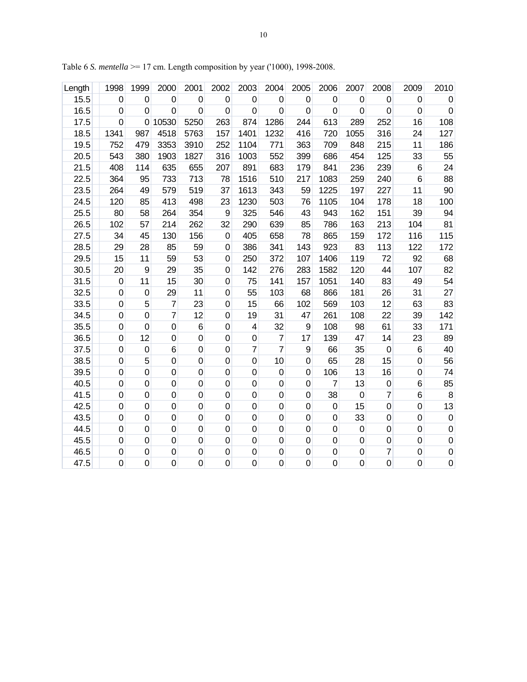| Length | 1998        | 1999             | 2000             | 2001             | 2002             | 2003             | 2004             | 2005        | 2006             | 2007             | 2008             | 2009             | 2010             |
|--------|-------------|------------------|------------------|------------------|------------------|------------------|------------------|-------------|------------------|------------------|------------------|------------------|------------------|
| 15.5   | 0           | 0                | $\boldsymbol{0}$ | $\boldsymbol{0}$ | $\pmb{0}$        | $\mathbf 0$      | $\boldsymbol{0}$ | $\mathbf 0$ | $\mathbf 0$      | $\boldsymbol{0}$ | $\mathbf 0$      | $\boldsymbol{0}$ | $\boldsymbol{0}$ |
| 16.5   | $\mathbf 0$ | $\mathbf 0$      | $\mathbf 0$      | $\mathbf 0$      | $\pmb{0}$        | $\mathbf 0$      | $\boldsymbol{0}$ | 0           | $\mathbf 0$      | 0                | $\boldsymbol{0}$ | $\mathbf 0$      | $\pmb{0}$        |
| 17.5   | $\mathbf 0$ | 0                | 10530            | 5250             | 263              | 874              | 1286             | 244         | 613              | 289              | 252              | 16               | 108              |
| 18.5   | 1341        | 987              | 4518             | 5763             | 157              | 1401             | 1232             | 416         | 720              | 1055             | 316              | 24               | 127              |
| 19.5   | 752         | 479              | 3353             | 3910             | 252              | 1104             | 771              | 363         | 709              | 848              | 215              | 11               | 186              |
| 20.5   | 543         | 380              | 1903             | 1827             | 316              | 1003             | 552              | 399         | 686              | 454              | 125              | 33               | 55               |
| 21.5   | 408         | 114              | 635              | 655              | 207              | 891              | 683              | 179         | 841              | 236              | 239              | $\,6$            | 24               |
| 22.5   | 364         | 95               | 733              | 713              | 78               | 1516             | 510              | 217         | 1083             | 259              | 240              | $\,$ 6           | 88               |
| 23.5   | 264         | 49               | 579              | 519              | 37               | 1613             | 343              | 59          | 1225             | 197              | 227              | 11               | 90               |
| 24.5   | 120         | 85               | 413              | 498              | 23               | 1230             | 503              | 76          | 1105             | 104              | 178              | 18               | 100              |
| 25.5   | 80          | 58               | 264              | 354              | $\boldsymbol{9}$ | 325              | 546              | 43          | 943              | 162              | 151              | 39               | 94               |
| 26.5   | 102         | 57               | 214              | 262              | 32               | 290              | 639              | 85          | 786              | 163              | 213              | 104              | 81               |
| 27.5   | 34          | 45               | 130              | 156              | $\pmb{0}$        | 405              | 658              | 78          | 865              | 159              | 172              | 116              | 115              |
| 28.5   | 29          | 28               | 85               | 59               | $\pmb{0}$        | 386              | 341              | 143         | 923              | 83               | 113              | 122              | 172              |
| 29.5   | 15          | 11               | 59               | 53               | 0                | 250              | 372              | 107         | 1406             | 119              | 72               | 92               | 68               |
| 30.5   | 20          | 9                | 29               | 35               | $\pmb{0}$        | 142              | 276              | 283         | 1582             | 120              | 44               | 107              | 82               |
| 31.5   | $\mathbf 0$ | 11               | 15               | 30               | $\pmb{0}$        | 75               | 141              | 157         | 1051             | 140              | 83               | 49               | 54               |
| 32.5   | $\mathbf 0$ | 0                | 29               | 11               | $\mathbf 0$      | 55               | 103              | 68          | 866              | 181              | 26               | 31               | 27               |
| 33.5   | $\mathbf 0$ | 5                | $\overline{7}$   | 23               | $\boldsymbol{0}$ | 15               | 66               | 102         | 569              | 103              | 12               | 63               | 83               |
| 34.5   | 0           | $\mathbf 0$      | $\overline{7}$   | 12               | $\mathbf 0$      | 19               | 31               | 47          | 261              | 108              | 22               | 39               | 142              |
| 35.5   | 0           | $\boldsymbol{0}$ | $\mathbf 0$      | $\,6$            | $\pmb{0}$        | 4                | 32               | 9           | 108              | 98               | 61               | 33               | 171              |
| 36.5   | $\mathbf 0$ | 12               | $\mathbf 0$      | $\pmb{0}$        | $\mathbf 0$      | $\mathbf 0$      | $\overline{7}$   | 17          | 139              | 47               | 14               | 23               | 89               |
| 37.5   | $\mathbf 0$ | $\pmb{0}$        | 6                | $\pmb{0}$        | $\mathbf 0$      | $\overline{7}$   | $\overline{7}$   | 9           | 66               | 35               | $\pmb{0}$        | $\,6$            | 40               |
| 38.5   | $\mathbf 0$ | 5                | $\mathbf 0$      | $\mathbf 0$      | $\pmb{0}$        | $\mathbf 0$      | 10               | $\mathbf 0$ | 65               | 28               | 15               | $\mathbf 0$      | 56               |
| 39.5   | $\mathbf 0$ | $\mathbf 0$      | $\mathbf 0$      | $\boldsymbol{0}$ | $\mathbf 0$      | $\mathbf 0$      | $\mathbf 0$      | $\mathbf 0$ | 106              | 13               | 16               | $\mathbf 0$      | 74               |
| 40.5   | 0           | $\pmb{0}$        | $\mathbf 0$      | $\pmb{0}$        | $\pmb{0}$        | $\boldsymbol{0}$ | $\mathbf 0$      | $\mathbf 0$ | 7                | 13               | $\pmb{0}$        | $\,6$            | 85               |
| 41.5   | $\mathbf 0$ | $\mathbf 0$      | $\mathbf 0$      | $\mathbf 0$      | $\mathbf 0$      | $\mathbf 0$      | $\mathbf 0$      | 0           | 38               | $\mathbf 0$      | 7                | $\,$ 6           | 8                |
| 42.5   | $\mathbf 0$ | $\mathbf 0$      | $\mathbf 0$      | $\pmb{0}$        | $\pmb{0}$        | $\mathbf 0$      | $\mathbf 0$      | $\mathbf 0$ | $\boldsymbol{0}$ | 15               | $\mathbf 0$      | $\mathbf 0$      | 13               |
| 43.5   | $\mathbf 0$ | $\mathbf 0$      | $\mathbf 0$      | $\pmb{0}$        | $\pmb{0}$        | $\mathbf 0$      | $\mathbf 0$      | 0           | $\mathbf 0$      | 33               | $\mathbf 0$      | $\mathbf 0$      | $\pmb{0}$        |
| 44.5   | 0           | 0                | $\mathbf 0$      | $\boldsymbol{0}$ | $\mathbf 0$      | $\mathbf 0$      | $\mathbf 0$      | 0           | $\mathbf 0$      | $\mathbf 0$      | $\boldsymbol{0}$ | $\boldsymbol{0}$ | $\pmb{0}$        |
| 45.5   | 0           | 0                | $\mathbf 0$      | 0                | $\mathbf 0$      | $\mathbf 0$      | $\mathbf 0$      | 0           | 0                | $\mathbf 0$      | $\pmb{0}$        | $\pmb{0}$        | $\pmb{0}$        |
| 46.5   | 0           | $\mathbf 0$      | $\mathbf 0$      | $\boldsymbol{0}$ | $\boldsymbol{0}$ | $\boldsymbol{0}$ | $\mathbf 0$      | $\mathbf 0$ | $\mathsf 0$      | $\mathbf 0$      | 7                | $\mathbf 0$      | $\overline{0}$   |
| 47.5   | $\mathbf 0$ | $\mathsf 0$      | $\mathbf 0$      | $\mathsf 0$      | $\mathsf 0$      | $\mathbf 0$      | $\mathbf 0$      | $\mathbf 0$ | $\mathbf 0$      | $\mathbf 0$      | $\mathsf 0$      | $\mathbf 0$      | $\pmb{0}$        |

Table 6 *S. mentella* >= 17 cm. Length composition by year ('1000), 1998-2008.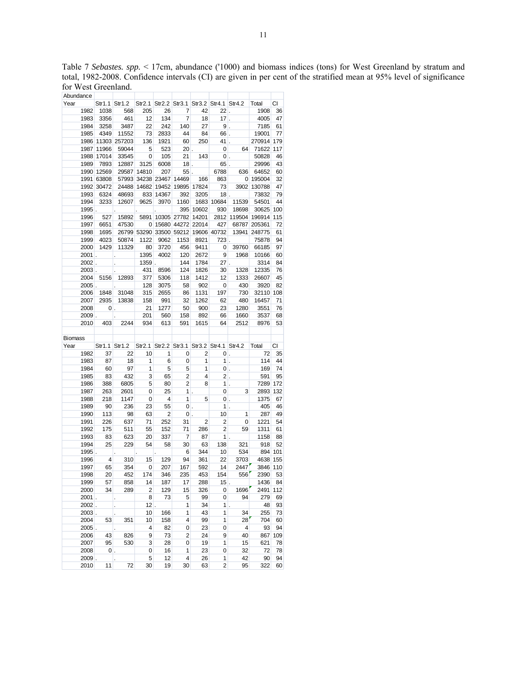Abundance Year Str1.1 Str1.2 Str2.1 Str2.2 Str3.1 Str3.2 Str4.1 Str4.2 Total CI 1982 1038 568 205 26 7 42 22 . 1908 36 1983 3356 461 12 134 7 18 17 . 4005 47 1984 3258 3487 22 242 140 27 9 . 7185 61 1985 4349 11552 73 2833 44 84 66 . 19001 77 1986 11303 257203 136 1921 60 250 41 . 270914 179 1987 11966 59044 5 523 20 . 0 64 71622 117 1988 17014 33545 0 105 21 143 0 . 50828 46 1989 7893 12887 3125 6008 18 . 65 . 29996 43 1990 12569 29587 14810 207 55 . 6788 636 64652 60 1991 63808 57993 34238 23467 14469 166 863 0 195004 32 1992 30472 24488 14682 19452 19895 17824 73 3902 130788 47 1993 6324 48693 833 14367 392 3205 18 . 73832 79 1994 3233 12607 9625 3970 1160 1683 10684 11539 54501 44 1995 . . . . 395 10602 930 18698 30625 100 1996 527 15892 5891 10305 27782 14201 2812 119504 196914 115 1997 6651 47530 0 15680 44272 22014 427 68787 205361 72 1998 1695 26799 53290 33500 59212 19606 40732 13941 248775 61 1999 4023 50874 1122 9062 1153 8921 723 . 75878 94 2000 1429 11329 80 3720 456 9411 0 39760 66185 97 2001 . . 1395 4002 120 2672 9 1968 10166 60 2002 . . 1359 . 144 1784 27 . 3314 84 2003 . . 431 8596 124 1826 30 1328 12335 76 2004 5156 12893 377 5306 118 1412 12 1333 26607 45 2005 . . 128 3075 58 902 0 430 3920 82 2006 1848 31048 315 2655 86 1131 197 730 32110 108 2007 2935 13838 158 991 32 1262 62 480 16457 71 2008 0 . 21 1277 50 900 23 1280 3551 76 2009 . . 201 560 158 892 66 1660 3537 68 2010 403 2244 934 613 591 1615 64 2512 8976 53 **Biomass** Year Str1.1 Str1.2 Str2.1 Str2.2 Str3.1 Str3.2 Str4.1 Str4.2 Total CI 1982 37 22 10 1 0 2 0 . 72 35 1983 87 18 1 6 0 1 1 . 114 44 1984 60 97 1 5 5 1 0 . 169 74 1985 83 432 3 65 2 4 2 . 591 95 1986 388 6805 5 80 2 8 1 . 7289 172 1987 263 2601 0 25 1 . 0 3 2893 132 1988 218 1147 0 4 1 5 0 . 1375 67 1989 90 236 23 55 0 . 1 . 405 46 1990 113 98 63 2 0 . 10 1 287 49 1991 226 637 71 252 31 2 2 0 1221 54 1992 175 511 55 152 71 286 2 59 1311 61 1993 83 623 20 337 7 87 1 . 1158 88 1994 25 229 54 58 30 63 138 321 918 52 1995 . . . . 6 344 10 534 894 101 1996 4 310 15 129 94 361 22 3703 4638 155 1997 65 354 0 207 167 592 14 2447 3846 110 1998 20 452 174 346 235 453 154 556 2390 53 1999 57 858 14 187 17 288 15 . 1436 84 2000 34 289 2 129 15 326 0 1696 2491 112 2001 . . 8 73 5 99 0 94 279 69 2002 . . 12 . 1 34 1 . 48 93 2003 . . 10 166 1 43 1 34 255 73 2004 53 351 10 158 4 99 1 28 704 60 2005 . . 4 82 0 23 0 4 93 94 2006 43 826 9 73 2 24 9 40 867 109 2007 95 530 3 28 0 19 1 15 621 78 2008 0 . 0 16 1 23 0 32 72 78 2009 . . 5 12 4 26 1 42 90 94 2010 11 72 30 19 30 63 2 95 322 60

Table 7 *Sebastes. spp.* < 17cm, abundance ('1000) and biomass indices (tons) for West Greenland by stratum and total, 1982-2008. Confidence intervals (CI) are given in per cent of the stratified mean at 95% level of significance for West Greenland.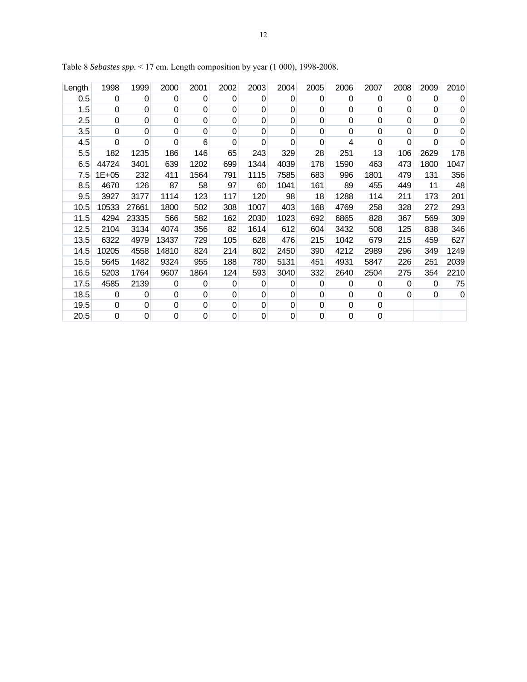| Length | 1998           | 1999           | 2000     | 2001        | 2002           | 2003           | 2004     | 2005           | 2006        | 2007     | 2008 | 2009     | 2010        |
|--------|----------------|----------------|----------|-------------|----------------|----------------|----------|----------------|-------------|----------|------|----------|-------------|
| 0.5    | 0              | 0              | 0        | 0           | 0              | 0              | 0        | 0              | 0           | 0        | 0    | 0        | 0           |
| 1.5    | 0              | 0              | 0        | 0           | 0              | $\mathbf 0$    | 0        | 0              | $\Omega$    | 0        | 0    | $\Omega$ | 0           |
| 2.5    | $\mathbf 0$    | $\mathbf 0$    | 0        | $\mathbf 0$ | 0              | $\mathbf 0$    | 0        | $\mathbf 0$    | $\mathbf 0$ | 0        | 0    | $\Omega$ | $\mathbf 0$ |
| 3.5    | 0              | $\Omega$       | 0        | 0           | $\mathbf 0$    | 0              | $\Omega$ | 0              | $\Omega$    | $\Omega$ | 0    | $\Omega$ | 0           |
| 4.5    | 0              | 0              | $\Omega$ | 6           | $\Omega$       | $\mathbf 0$    | 0        | $\Omega$       | 4           | $\Omega$ | 0    | $\Omega$ | $\Omega$    |
| 5.5    | 182            | 1235           | 186      | 146         | 65             | 243            | 329      | 28             | 251         | 13       | 106  | 2629     | 178         |
| 6.5    | 44724          | 3401           | 639      | 1202        | 699            | 1344           | 4039     | 178            | 1590        | 463      | 473  | 1800     | 1047        |
| 7.5    | $1E + 05$      | 232            | 411      | 1564        | 791            | 1115           | 7585     | 683            | 996         | 1801     | 479  | 131      | 356         |
| 8.5    | 4670           | 126            | 87       | 58          | 97             | 60             | 1041     | 161            | 89          | 455      | 449  | 11       | 48          |
| 9.5    | 3927           | 3177           | 1114     | 123         | 117            | 120            | 98       | 18             | 1288        | 114      | 211  | 173      | 201         |
| 10.5   | 10533          | 27661          | 1800     | 502         | 308            | 1007           | 403      | 168            | 4769        | 258      | 328  | 272      | 293         |
| 11.5   | 4294           | 23335          | 566      | 582         | 162            | 2030           | 1023     | 692            | 6865        | 828      | 367  | 569      | 309         |
| 12.5   | 2104           | 3134           | 4074     | 356         | 82             | 1614           | 612      | 604            | 3432        | 508      | 125  | 838      | 346         |
| 13.5   | 6322           | 4979           | 13437    | 729         | 105            | 628            | 476      | 215            | 1042        | 679      | 215  | 459      | 627         |
| 14.5   | 10205          | 4558           | 14810    | 824         | 214            | 802            | 2450     | 390            | 4212        | 2989     | 296  | 349      | 1249        |
| 15.5   | 5645           | 1482           | 9324     | 955         | 188            | 780            | 5131     | 451            | 4931        | 5847     | 226  | 251      | 2039        |
| 16.5   | 5203           | 1764           | 9607     | 1864        | 124            | 593            | 3040     | 332            | 2640        | 2504     | 275  | 354      | 2210        |
| 17.5   | 4585           | 2139           | 0        | 0           | 0              | 0              | 0        | 0              | 0           | 0        | 0    | 0        | 75          |
| 18.5   | 0              | $\overline{0}$ | 0        | 0           | 0              | $\overline{0}$ | 0        | $\overline{0}$ | $\mathbf 0$ | 0        | 0    | $\Omega$ | $\mathbf 0$ |
| 19.5   | 0              | 0              | 0        | 0           | 0              | $\pmb{0}$      | 0        | 0              | 0           | 0        |      |          |             |
| 20.5   | $\overline{0}$ | 0              | 0        | $\mathbf 0$ | $\overline{0}$ | $\mathbf 0$    | 0        | $\mathbf 0$    | $\mathbf 0$ | 0        |      |          |             |

Table 8 *Sebastes spp.* < 17 cm. Length composition by year (1 000), 1998-2008.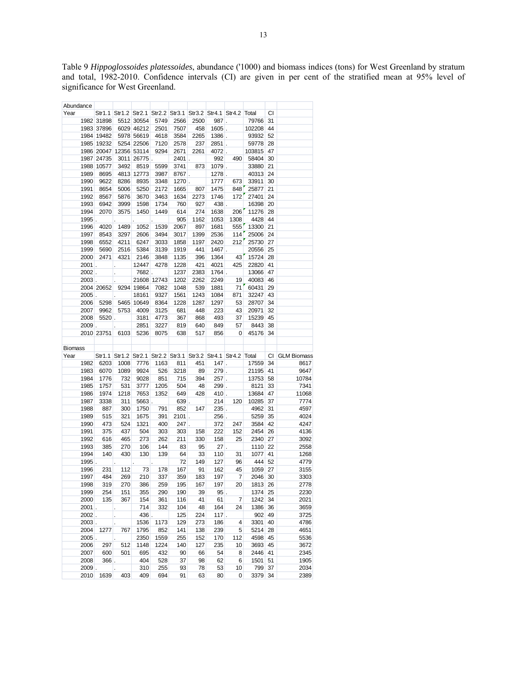Table 9 *Hippoglossoides platessoides*, abundance ('1000) and biomass indices (tons) for West Greenland by stratum and total, 1982-2010. Confidence intervals (CI) are given in per cent of the stratified mean at 95% level of significance for West Greenland.

| Abundance        |            |                        |            |            |          |          |          |                                                               |                                                               |          |                |
|------------------|------------|------------------------|------------|------------|----------|----------|----------|---------------------------------------------------------------|---------------------------------------------------------------|----------|----------------|
| Year             |            |                        |            |            |          |          |          | Str1.1 Str1.2 Str2.1 Str2.2 Str3.1 Str3.2 Str4.1 Str4.2 Total |                                                               | CI       |                |
|                  | 1982 31898 |                        | 5512 30554 | 5749       | 2566     | 2500     | 987.     |                                                               | 79766 31                                                      |          |                |
|                  | 1983 37896 |                        | 6029 46212 | 2501       | 7507     | 458      | $1605$ . |                                                               | 102208                                                        | 44       |                |
|                  | 1984 19482 |                        | 5978 56619 | 4618       | 3584     | 2265     | $1386$ . |                                                               | 93932                                                         | 52       |                |
|                  | 1985 19232 |                        | 5254 22506 | 7120       | 2578     | 237      | $2851$ . |                                                               | 59778                                                         | 28       |                |
|                  |            | 1986 20047 12356 53114 |            | 9294       | 2671     | 2261     | 4072.    |                                                               | 103815                                                        | 47       |                |
|                  | 1987 24735 |                        | 3011 26775 |            | $2401$ . |          | 992      | 490                                                           | 58404                                                         | 30       |                |
|                  | 1988 10577 | 3492                   | 8519       | 5599       | 3741     | 873      | $1079$ . |                                                               | 33880                                                         | 21       |                |
| 1989             | 8695       |                        | 4813 12773 | 3987       | 8767.    |          | 1278.    |                                                               | 40313                                                         | 24       |                |
| 1990             | 9622       | 8286                   | 8935       | 3348       | $1270$ . |          | 1777     | 673                                                           | 33911                                                         | 30       |                |
| 1991             | 8654       | 5006                   | 5250       | 2172       | 1665     | 807      | 1475     | 848                                                           | 25877                                                         | 21       |                |
| 1992             | 8567       | 5876                   | 3670       | 3463       | 1634     | 2273     | 1746     | 172                                                           | 27401                                                         | 24       |                |
| 1993             | 6942       | 3999                   | 1598       | 1734       | 760      | 927      | 438.     |                                                               | 16398                                                         | 20       |                |
| 1994             | 2070       | 3575                   | 1450       | 1449       | 614      | 274      | 1638     | 206                                                           | 11276                                                         | 28       |                |
| 1995             |            |                        |            |            | 905      | 1162     | 1053     | 1308                                                          | 4428                                                          | 44       |                |
| 1996             | 4020       | 1489                   | 1052       | 1539       | 2067     | 897      | 1681     | 555                                                           | 13300                                                         | 21       |                |
| 1997             | 8543       | 3297                   | 2606       | 3494       | 3017     | 1399     | 2536     | 114                                                           | 25006                                                         | 24       |                |
| 1998             | 6552       | 4211                   | 6247       | 3033       | 1858     | 1197     | 2420     | 212                                                           | 25730                                                         | 27       |                |
| 1999             | 5690       | 2516                   | 5384       | 3139       | 1919     | 441      |          | 1467.                                                         | 20556 25                                                      |          |                |
| 2000             | 2471       | 4321                   | 2146       | 3848       | 1135     | 396      | 1364     | 43                                                            | 15724                                                         | 28       |                |
| 2001             | L.         | $\ddot{\phantom{0}}$   | 12447      | 4278       | 1228     | 421      | 4021     | 425                                                           | 22820                                                         | 41       |                |
| $2002$ .         |            | ÷.                     | 7682.      |            | 1237     | 2383     | $1764$ . |                                                               | 13066                                                         | 47       |                |
| $2003$ .         |            |                        | 21608      | 12743      | 1202     | 2262     | 2249     | 19                                                            | 40083                                                         | 46       |                |
|                  | 2004 20652 |                        | 9294 19864 | 7082       | 1048     | 539      | 1881     | 71                                                            | 60431                                                         | 29       |                |
| $2005$ .         |            |                        | 18161      | 9327       | 1561     | 1243     | 1084     | 871                                                           | 32247                                                         | 43       |                |
| 2006             | 5298       |                        | 5465 10649 | 8364       | 1228     | 1287     | 1297     | 53                                                            | 28707                                                         | 34       |                |
| 2007             | 9962       | 5753                   | 4009       | 3125       | 681      | 448      | 223      | 43                                                            | 20971                                                         | 32       |                |
| 2008             |            | $5520$ .               | 3181       | 4773       | 367      | 868      | 493      | 37                                                            | 15239                                                         | 45       |                |
| $2009$ .         |            |                        | 2851       | 3227       | 819      | 640      | 849      | 57                                                            | 8443                                                          | 38       |                |
|                  | 2010 23751 | 6103                   | 5236       | 8075       | 638      | 517      | 856      | 0                                                             | 45176                                                         | 34       |                |
|                  |            |                        |            |            |          |          |          |                                                               |                                                               |          |                |
| Biomass          |            |                        |            |            |          |          |          |                                                               |                                                               |          |                |
| Year             |            |                        |            |            |          |          |          |                                                               | Str1.1 Str1.2 Str2.1 Str2.2 Str3.1 Str3.2 Str4.1 Str4.2 Total |          | CI GLM Biomass |
| 1982             | 6203       | 1008                   | 7776       | 1163       | 811      | 451      |          | $147$ .                                                       | 17559 34                                                      |          | 8617           |
| 1983             | 6070       | 1089                   | 9924       | 526        | 3218     | 89       | $279$ .  |                                                               | 21195 41                                                      |          | 9647           |
| 1984             | 1776       | 732                    | 9028       | 851        | 715      | 394      | $257$ .  |                                                               | 13753                                                         | 58       | 10784          |
| 1985             | 1757       | 531                    | 3777       | 1205       | 504      | 48       | $299$ .  |                                                               |                                                               |          | 7341           |
| 1986             | 1974       | 1218                   | 7653       |            |          |          |          |                                                               |                                                               |          |                |
| 1987             | 3338       |                        |            |            |          |          |          |                                                               | 8121                                                          | 33       |                |
| 1988             |            |                        |            | 1352       | 649      | 428      |          | $410$ .                                                       | 13684                                                         | 47       | 11068          |
|                  |            | 311                    | $5663$ .   |            | $639$ .  |          | 214      | 120                                                           | 10285                                                         | 37       | 7774           |
|                  | 887        | 300                    | 1750       | 791        | 852      | 147      | $235$ .  |                                                               | 4962                                                          | 31       | 4597           |
| 1989             | 515        | 321                    | 1675       | 391        | $2101$ . |          |          | $256$ .                                                       | 5259                                                          | 35       | 4024           |
| 1990             | 473        | 524                    | 1321       | 400        | $247$ .  |          | 372      | 247                                                           | 3584                                                          | 42       | 4247           |
| 1991             | 375        | 437                    | 504        | 303        | 303      | 158      | 222      | 152                                                           | 2454                                                          | 26       | 4136           |
| 1992             | 616        | 465                    | 273        | 262        | 211      | 330      | 158      | 25                                                            | 2340                                                          | 27       | 3092           |
| 1993             | 385        | 270                    | 106        | 144        | 83       | 95       | $27$ .   |                                                               | 1110                                                          | 22       | 2558           |
| 1994             | 140        | 430                    | 130        | 139        | 64       | 33       | 110      | 31                                                            | 1077                                                          | 41       | 1268           |
| 1995             |            |                        |            |            | 72       | 149      | 127      | 96                                                            | 444                                                           | 52       | 4779           |
| 1996             | 231        | 112                    | 73         | 178        | 167      | 91       | 162      | 45                                                            | 1059                                                          | 27       | 3155           |
| 1997             | 484        | 269                    | 210        | 337        | 359      | 183      | 197      | $\overline{7}$                                                | 2046                                                          | 30       | 3303           |
| 1998             | 319        | 270                    | 386        | 259        | 195      | 167      | 197      | 20                                                            | 1813 26                                                       |          | 2778           |
| 1999             | 254        | 151                    | 355        | 290        | 190      | 39       | $95$ .   |                                                               | 1374 25                                                       |          | 2230           |
| 2000             | 135        | 367                    | 154        | 361        | 116      | 41       | 61       | 7                                                             | 1242                                                          | 34       | 2021           |
| $2001$ .         |            |                        | 714        | 332        | 104      | 48       | 164      | 24                                                            | 1386                                                          | 36       | 3659           |
| $2002$ .         |            | $\ddot{\phantom{0}}$   | 436.       |            | 125      | 224      | $117$ .  |                                                               | 902                                                           | 49       | 3725           |
| $2003$ .         |            |                        | 1536       | 1173       | 129      | 273      | 186      | 4                                                             | 3301                                                          | 40       | 4786           |
| 2004             | 1277       | 767                    | 1795       | 852        | 141      | 138      | 239      | 5                                                             | 5214                                                          | 28       | 4651           |
| $2005$ .         |            |                        | 2350       | 1559       | 255      | 152      | 170      | 112                                                           | 4598                                                          | 45       | 5536           |
| 2006             | 297        | 512                    | 1148       | 1224       | 140      | 127      | 235      | 10                                                            | 3693                                                          | 45       | 3672           |
| 2007             | 600        | 501                    | 695        | 432        | 90       | 66       | 54       | 8                                                             | 2446                                                          | 41       | 2345           |
| 2008             | $366$ .    |                        | 404        | 528        | 37       | 98       | 62       | 6                                                             | 1501                                                          | 51       | 1905           |
| $2009$ .<br>2010 | 1639       | 403                    | 310<br>409 | 255<br>694 | 93<br>91 | 78<br>63 | 53<br>80 | 10<br>0                                                       | 799<br>3379                                                   | 37<br>34 | 2034<br>2389   |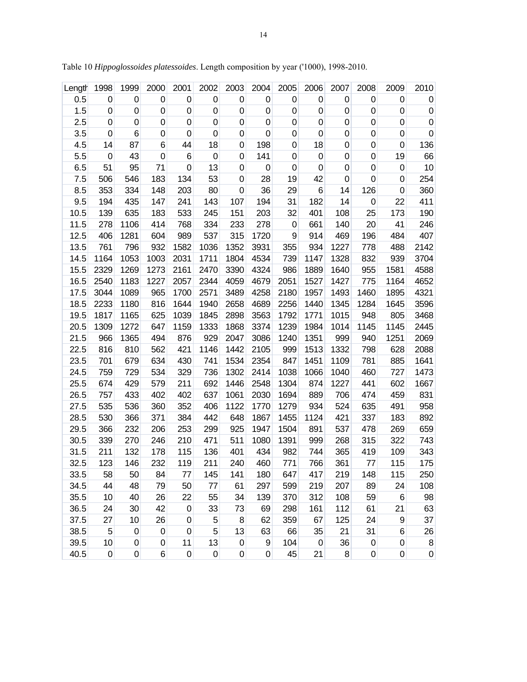| Length | 1998             | 1999             | 2000             | 2001            | 2002             | 2003             | 2004        | 2005        | 2006        | 2007        | 2008             | 2009        | 2010             |
|--------|------------------|------------------|------------------|-----------------|------------------|------------------|-------------|-------------|-------------|-------------|------------------|-------------|------------------|
| 0.5    | $\mathbf 0$      | $\mathbf 0$      | 0                | $\mathbf 0$     | $\boldsymbol{0}$ | $\boldsymbol{0}$ | 0           | $\mathbf 0$ | $\pmb{0}$   | $\mathbf 0$ | $\pmb{0}$        | $\mathbf 0$ | $\boldsymbol{0}$ |
| 1.5    | 0                | $\boldsymbol{0}$ | 0                | $\mathbf 0$     | $\mathbf 0$      | $\pmb{0}$        | 0           | $\mathbf 0$ | $\pmb{0}$   | $\mathbf 0$ | 0                | $\mathbf 0$ | $\pmb{0}$        |
| 2.5    | 0                | $\mathbf 0$      | 0                | $\mathbf 0$     | $\mathbf 0$      | $\pmb{0}$        | 0           | $\mathbf 0$ | $\pmb{0}$   | $\mathbf 0$ | $\pmb{0}$        | $\pmb{0}$   | $\pmb{0}$        |
| 3.5    | 0                | 6                | 0                | $\mathbf 0$     | 0                | $\mathbf 0$      | $\mathbf 0$ | $\mathbf 0$ | $\mathbf 0$ | $\mathbf 0$ | 0                | $\mathbf 0$ | $\mathbf 0$      |
| 4.5    | 14               | 87               | 6                | 44              | 18               | $\boldsymbol{0}$ | 198         | $\mathbf 0$ | 18          | $\mathbf 0$ | 0                | $\mathbf 0$ | 136              |
| 5.5    | $\mathbf 0$      | 43               | $\mathbf 0$      | $6\phantom{1}6$ | $\mathbf 0$      | $\mathbf 0$      | 141         | $\mathbf 0$ | $\pmb{0}$   | $\mathbf 0$ | 0                | 19          | 66               |
| 6.5    | 51               | 95               | 71               | $\mathbf 0$     | 13               | $\mathbf 0$      | $\mathbf 0$ | $\mathbf 0$ | $\mathbf 0$ | $\mathbf 0$ | 0                | $\mathbf 0$ | 10               |
| 7.5    | 506              | 546              | 183              | 134             | 53               | $\pmb{0}$        | 28          | 19          | 42          | $\mathbf 0$ | $\pmb{0}$        | $\mathbf 0$ | 254              |
| 8.5    | 353              | 334              | 148              | 203             | 80               | $\mathbf 0$      | 36          | 29          | 6           | 14          | 126              | $\mathbf 0$ | 360              |
| 9.5    | 194              | 435              | 147              | 241             | 143              | 107              | 194         | 31          | 182         | 14          | 0                | 22          | 411              |
| 10.5   | 139              | 635              | 183              | 533             | 245              | 151              | 203         | 32          | 401         | 108         | 25               | 173         | 190              |
| 11.5   | 278              | 1106             | 414              | 768             | 334              | 233              | 278         | $\mathbf 0$ | 661         | 140         | 20               | 41          | 246              |
| 12.5   | 406              | 1281             | 604              | 989             | 537              | 315              | 1720        | 9           | 914         | 469         | 196              | 484         | 407              |
| 13.5   | 761              | 796              | 932              | 1582            | 1036             | 1352             | 3931        | 355         | 934         | 1227        | 778              | 488         | 2142             |
| 14.5   | 1164             | 1053             | 1003             | 2031            | 1711             | 1804             | 4534        | 739         | 1147        | 1328        | 832              | 939         | 3704             |
| 15.5   | 2329             | 1269             | 1273             | 2161            | 2470             | 3390             | 4324        | 986         | 1889        | 1640        | 955              | 1581        | 4588             |
| 16.5   | 2540             | 1183             | 1227             | 2057            | 2344             | 4059             | 4679        | 2051        | 1527        | 1427        | 775              | 1164        | 4652             |
| 17.5   | 3044             | 1089             | 965              | 1700            | 2571             | 3489             | 4258        | 2180        | 1957        | 1493        | 1460             | 1895        | 4321             |
| 18.5   | 2233             | 1180             | 816              | 1644            | 1940             | 2658             | 4689        | 2256        | 1440        | 1345        | 1284             | 1645        | 3596             |
| 19.5   | 1817             | 1165             | 625              | 1039            | 1845             | 2898             | 3563        | 1792        | 1771        | 1015        | 948              | 805         | 3468             |
| 20.5   | 1309             | 1272             | 647              | 1159            | 1333             | 1868             | 3374        | 1239        | 1984        | 1014        | 1145             | 1145        | 2445             |
| 21.5   | 966              | 1365             | 494              | 876             | 929              | 2047             | 3086        | 1240        | 1351        | 999         | 940              | 1251        | 2069             |
| 22.5   | 816              | 810              | 562              | 421             | 1146             | 1442             | 2105        | 999         | 1513        | 1332        | 798              | 628         | 2088             |
| 23.5   | 701              | 679              | 634              | 430             | 741              | 1534             | 2354        | 847         | 1451        | 1109        | 781              | 885         | 1641             |
| 24.5   | 759              | 729              | 534              | 329             | 736              | 1302             | 2414        | 1038        | 1066        | 1040        | 460              | 727         | 1473             |
| 25.5   | 674              | 429              | 579              | 211             | 692              | 1446             | 2548        | 1304        | 874         | 1227        | 441              | 602         | 1667             |
| 26.5   | 757              | 433              | 402              | 402             | 637              | 1061             | 2030        | 1694        | 889         | 706         | 474              | 459         | 831              |
| 27.5   | 535              | 536              | 360              | 352             | 406              | 1122             | 1770        | 1279        | 934         | 524         | 635              | 491         | 958              |
| 28.5   | 530              | 366              | 371              | 384             | 442              | 648              | 1867        | 1455        | 1124        | 421         | 337              | 183         | 892              |
| 29.5   | 366              | 232              | 206              | 253             | 299              | 925              | 1947        | 1504        | 891         | 537         | 478              | 269         | 659              |
| 30.5   | 339              | 270              | 246              | 210             | 471              | 511              | 1080        | 1391        | 999         | 268         | 315              | 322         | 743              |
| 31.5   | 211              | 132              | 178              | 115             | 136              | 401              | 434         | 982         | 744         | 365         | 419              | 109         | 343              |
| 32.5   | 123              | 146              | 232              | 119             | 211              | 240              | 460         | 771         | 766         | 361         | 77               | 115         | 175              |
| 33.5   | 58               | 50               | 84               | 77              | 145              | 141              | 180         | 647         | 417         | 219         | 148              | 115         | 250              |
| 34.5   | 44               | 48               | 79               | 50              | 77               | 61               | 297         | 599         | 219         | 207         | 89               | 24          | 108              |
| 35.5   | 10               | 40               | 26               | 22              | 55               | 34               | 139         | 370         | 312         | 108         | 59               | 6           | 98               |
| 36.5   | 24               | 30               | 42               | $\mathbf 0$     | 33               | 73               | 69          | 298         | 161         | 112         | 61               | 21          | 63               |
| 37.5   | 27               | 10               | 26               | $\mathbf 0$     | 5                | 8                | 62          | 359         | 67          | 125         | 24               | 9           | 37               |
| 38.5   | 5                | $\mathbf 0$      | $\boldsymbol{0}$ | $\mathbf 0$     | 5                | 13               | 63          | 66          | 35          | 21          | 31               | 6           | 26               |
| 39.5   | 10               | 0                | 0                | 11              | 13               | $\pmb{0}$        | 9           | 104         | $\pmb{0}$   | 36          | $\boldsymbol{0}$ | 0           | 8                |
| 40.5   | $\boldsymbol{0}$ | $\boldsymbol{0}$ | 6                | $\pmb{0}$       | $\pmb{0}$        | $\boldsymbol{0}$ | $\pmb{0}$   | 45          | 21          | 8           | 0                | 0           | $\boldsymbol{0}$ |

Table 10 *Hippoglossoides platessoides*. Length composition by year ('1000), 1998-2010.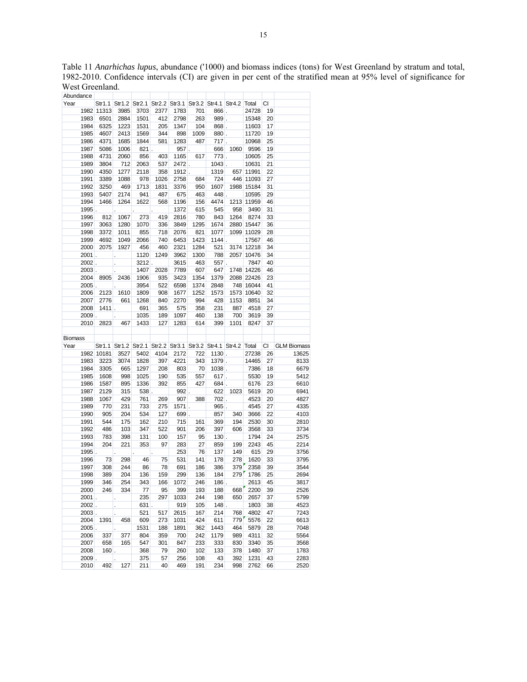Table 11 *Anarhichas lupus*, abundance ('1000) and biomass indices (tons) for West Greenland by stratum and total, 1982-2010. Confidence intervals (CI) are given in per cent of the stratified mean at 95% level of significance for West Greenland.

| Abundance |               |            |                                                           |                                                               |          |            |            |           |            |              |                 |                                                                         |
|-----------|---------------|------------|-----------------------------------------------------------|---------------------------------------------------------------|----------|------------|------------|-----------|------------|--------------|-----------------|-------------------------------------------------------------------------|
| Year      |               |            |                                                           | Str1.1 Str1.2 Str2.1 Str2.2 Str3.1 Str3.2 Str4.1 Str4.2 Total |          |            |            |           |            |              | CI              |                                                                         |
|           |               | 1982 11313 | 3985                                                      | 3703                                                          | 2377     | 1783       | 701        |           | $866$ .    | 24728        | 19              |                                                                         |
|           | 1983          | 6501       | 2884                                                      | 1501                                                          | 412      | 2798       | 263        | 989.      |            | 15348        | 20              |                                                                         |
|           | 1984          | 6325       | 1223                                                      | 1531                                                          | 205      | 1347       | 104        | $868$ .   |            | 11603        | 17              |                                                                         |
|           | 1985          | 4607       | 2413                                                      | 1569                                                          | 344      | 898        | 1009       | $880$ .   |            | 11720        | 19              |                                                                         |
|           | 1986          | 4371       | 1685                                                      | 1844                                                          | 581      | 1283       | 487        | $717$ .   |            | 10968        | 25              |                                                                         |
|           | 1987          | 5086       | 1006                                                      | 821 .                                                         |          |            | $957$ .    | 666       |            | 1060 9596    | 19              |                                                                         |
|           | 1988          | 4731       | 2060                                                      | 856                                                           | 403      | 1165       | 617        | $773$ .   |            | 10605        | 25              |                                                                         |
|           | 1989          | 3804       | 712                                                       | 2063                                                          | 537      | 2472.      |            | $1043$ .  |            | 10631        | 21              |                                                                         |
|           | 1990          | 4350       | 1277                                                      | 2118                                                          | 358      |            | $1912$ .   | 1319      |            | 657 11991    | 22              |                                                                         |
|           | 1991          | 3389       | 1088                                                      | 978                                                           | 1026     | 2758       | 684        | 724       |            | 446 11093    | 27              |                                                                         |
|           | 1992          | 3250       | 469                                                       | 1713                                                          | 1831     | 3376       | 950        | 1607      |            | 1988 15184   | 31              |                                                                         |
|           | 1993          | 5407       | 2174                                                      | 941                                                           | 487      | 675        | 463        | 448.      |            | 10595        | 29              |                                                                         |
|           | 1994          | 1466       | 1264                                                      | 1622                                                          | 568      | 1196       | 156        | 4474      |            | 1213 11959   | 46              |                                                                         |
|           | $1995$ .      |            |                                                           |                                                               |          | 1372       | 615        | 545       | 958        | 3490         | 31              |                                                                         |
|           | 1996          | 812        | 1067                                                      | 273                                                           | 419      | 2816       | 780        | 843       | 1264       | 8274         | 33              |                                                                         |
|           | 1997          | 3063       | 1280                                                      | 1070                                                          | 336      | 3849       | 1295       | 1674      |            | 2880 15447   | 36              |                                                                         |
|           | 1998          | 3372       | 1011                                                      | 855                                                           | 718      | 2076       | 821        | 1077      |            | 1099 11029   | 28              |                                                                         |
|           | 1999          | 4692       | 1049                                                      | 2066                                                          | 740      | 6453       | 1423       |           | $1144$ .   | 17567        | 46              |                                                                         |
|           | 2000          | 2075       | 1927                                                      | 456                                                           | 460      | 2321       | 1284       | 521       |            | 3174 12218   | 34              |                                                                         |
|           | $2001$ .      |            | $\mathcal{L}^{\text{max}}$ and $\mathcal{L}^{\text{max}}$ | 1120                                                          | 1249     | 3962       | 1300       | 788       |            | 2057 10476   | 34              |                                                                         |
|           | $2002$ .      |            | $\mathcal{L}^{\text{max}}$                                | $3212$ .                                                      |          | 3615       | 463        | $557$ .   |            | 7847         | 40              |                                                                         |
|           | $2003$ .      |            |                                                           | 1407                                                          | 2028     | 7789       | 607        | 647       |            | 1748 14226   | 46              |                                                                         |
|           | 2004          |            | 8905 2436                                                 | 1906                                                          | 935      | 3423       | 1354       | 1379      |            | 2088 22426   | 23              |                                                                         |
|           | $2005$ .      |            |                                                           | 3954                                                          | 522      | 6598       | 1374       | 2848      |            | 748 16044    | 41              |                                                                         |
|           | 2006          | 2123       | 1610                                                      | 1809                                                          | 908      | 1677       | 1252       | 1573      |            | 1573 10640   | 32              |                                                                         |
|           | 2007          | 2776       | 661                                                       | 1268                                                          | 840      | 2270       | 994        | 428       | 1153       | 8851         | 34              |                                                                         |
|           | 2008          |            | $1411$ .                                                  | 691                                                           | 365      | 575        | 358        | 231       | 887        | 4518         | 27              |                                                                         |
|           | $2009$ .      |            |                                                           | 1035                                                          | 189      | 1097       | 460        | 138       | 700        | 3619         | 39              |                                                                         |
|           | 2010          |            | 2823 467                                                  | 1433                                                          | 127      | 1283       | 614        | 399       | 1101       | 8247         | 37              |                                                                         |
|           |               |            |                                                           |                                                               |          |            |            |           |            |              |                 |                                                                         |
|           |               |            |                                                           |                                                               |          |            |            |           |            |              |                 |                                                                         |
|           |               |            |                                                           |                                                               |          |            |            |           |            |              |                 |                                                                         |
| Biomass   |               |            |                                                           |                                                               |          |            |            |           |            |              |                 |                                                                         |
| Year      |               |            |                                                           | Str1.1 Str1.2 Str2.1 Str2.2 Str3.1 Str3.2 Str4.1 Str4.2 Total |          |            |            |           |            |              |                 |                                                                         |
|           |               | 1982 10181 | 3527                                                      | 5402                                                          | 4104     | 2172       | 722        |           | $1130$ .   | 27238 26     |                 |                                                                         |
|           | 1983          | 3223       | 3074                                                      | 1828                                                          | 397      | 4221       | 343        |           | $1379$ .   | 14465        | 27              |                                                                         |
|           | 1984          | 3305       | 665                                                       | 1297                                                          | 208      | 803        | 70         | $1038$ .  |            | 7386         | 18              |                                                                         |
|           | 1985          | 1608       | 998                                                       | 1025                                                          | 190      | 535        | 557        | $617$ .   |            | 5530         | 19              |                                                                         |
|           | 1986          | 1587       | 895                                                       | 1336                                                          | 392      | 855        | 427        | $684$ .   |            | 6176         | 23              |                                                                         |
|           | 1987          | 2129       | 315                                                       | $538$ .                                                       |          | $992$ .    |            |           | 622 1023   | 5619         | 20              |                                                                         |
|           | 1988          | 1067       | 429                                                       | 761                                                           | 269      | 907        | 388        | $702$ .   |            | 4523         | 20              | 4827                                                                    |
|           | 1989          | 770        | 231                                                       | 733                                                           | 275      | $1571$ .   |            |           | $965$ .    | 4545         | 27              | CI GLM Biomass<br>13625<br>8133<br>6679<br>5412<br>6610<br>6941<br>4335 |
|           | 1990          | 905        | 204                                                       | 534                                                           | 127      | 699.       |            | 857       | 340        | 3666         | 22              |                                                                         |
|           | 1991          | 544        | 175                                                       | 162                                                           | 210      | 715        | 161        | 369       | 194        | 2530         | 30 <sup>°</sup> | 4103<br>2810                                                            |
|           | 1992          | 486        | 103                                                       | 347                                                           | 522      | 901        | 206        | 397       | 606        | 3568         | 33              | 3734                                                                    |
|           | 1993          | 783        | 398                                                       | 131                                                           | 100      | 157        | 95         | $130$ .   |            | 1794         | 24              | 2575                                                                    |
|           | 1994          | 204        | 221                                                       | 353                                                           | 97       | 283        | 27         | 859       | 199        | 2243         | 45              | 2214                                                                    |
|           | $1995$ .      |            |                                                           |                                                               |          | 253        | 76         | 137       | 149        | 615          | 29              | 3756                                                                    |
|           | 1996          | 73         | 298                                                       | 46                                                            | 75       | 531        | 141        | 178       | 278        | 1620         | 33              | 3795                                                                    |
|           | 1997          | 308        | 244                                                       | 86                                                            | 78       | 691        | 186        | 386       | 379        | 2358         | 39              | 3544                                                                    |
|           | 1998          | 389        | 204                                                       | 136                                                           | 159      | 299        | 136        | 184       |            | 279 1786     | 25              | 2694                                                                    |
|           | 1999          | 346        | 254                                                       | 343                                                           | 166      | 1072       | 246        | $186$ .   |            | 2613         | 45              | 3817                                                                    |
|           | 2000          | 246        | 334                                                       | 77                                                            | 95       | 399        | 193        | 188       | 668        | 2200         | 39              | 2526                                                                    |
|           | $2001$ .      |            | ł,                                                        | 235                                                           | 297      | 1033       | 244        | 198       | 650        | 2657         | 37              | 5799                                                                    |
|           | $2002$ .      |            | ł,                                                        | $631$ .                                                       |          | 919        | 105        | 148       |            | 1803         | 38              | 4523                                                                    |
|           | 2003.         |            |                                                           | 521                                                           | 517      | 2615       | 167        | 214       | 768        | 4802         | 47              | 7243                                                                    |
|           | 2004          | 1391       | 458                                                       | 609                                                           | 273      | 1031       | 424        | 611       | 779        | 5576         | 22              | 6613                                                                    |
|           | $2005$ .      |            |                                                           | 1531                                                          | 188      | 1891       | 362        | 1443      | 464        | 5879         | 28              | 7048                                                                    |
|           | 2006          | 337        | 377                                                       | 804                                                           | 359      | 700        | 242        | 1179      | 989        | 4311         | 32              | 5564                                                                    |
|           | 2007          | 658        | 165                                                       | 547                                                           | 301      | 847        | 233        | 333       | 830        | 3340         | 35              | 3568                                                                    |
|           | 2008          | $160$ .    |                                                           | 368                                                           | 79       | 260        | 102        | 133       | 378        | 1480         | 37              |                                                                         |
|           | 2009.<br>2010 | 492        | 127                                                       | 375<br>211                                                    | 57<br>40 | 256<br>469 | 108<br>191 | 43<br>234 | 392<br>998 | 1231<br>2762 | 43<br>66        | 1783<br>2283<br>2520                                                    |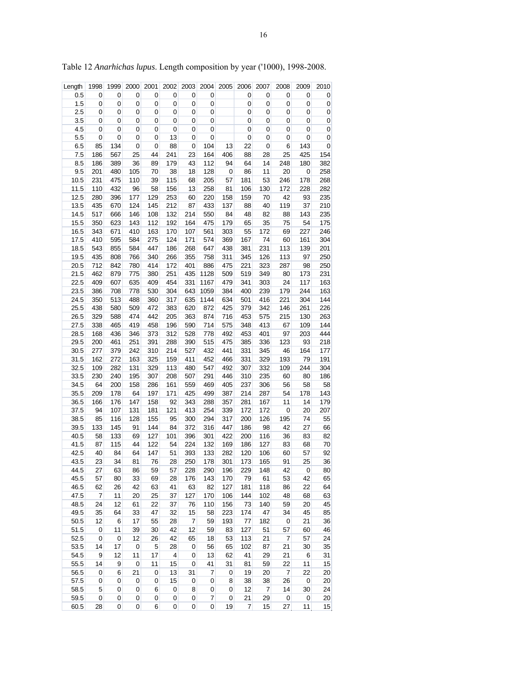| $\mathbf 0$<br>0.5<br>0<br>0<br>0<br>0<br>0<br>0<br>0<br>0<br>0<br>0<br>0<br>1.5<br>$\pmb{0}$<br>$\boldsymbol{0}$<br>0<br>$\boldsymbol{0}$<br>0<br>0<br>0<br>0<br>0<br>0<br>0<br>$\mathbf 0$<br>2.5<br>0<br>$\mathbf 0$<br>0<br>0<br>0<br>0<br>0<br>0<br>$\mathbf 0$<br>0<br>$\pmb{0}$<br>0<br>3.5<br>$\pmb{0}$<br>$\mathbf 0$<br>$\overline{0}$<br>0<br>0<br>0<br>0<br>0<br>0<br>0<br>0<br>0<br>4.5<br>$\pmb{0}$<br>$\boldsymbol{0}$<br>$\mathbf 0$<br>$\pmb{0}$<br>0<br>$\boldsymbol{0}$<br>$\pmb{0}$<br>0<br>0<br>0<br>0<br>0<br>$\mathbf 0$<br>5.5<br>0<br>0<br>0<br>13<br>0<br>0<br>$\mathbf 0$<br>$\pmb{0}$<br>0<br>0<br>0<br>22<br>134<br>88<br>104<br>13<br>143<br>$\pmb{0}$<br>6.5<br>85<br>0<br>0<br>0<br>6<br>0<br>7.5<br>186<br>567<br>25<br>44<br>241<br>23<br>164<br>406<br>88<br>25<br>425<br>154<br>28<br>8.5<br>186<br>389<br>36<br>89<br>179<br>43<br>112<br>64<br>248<br>180<br>382<br>94<br>14<br>38<br>128<br>20<br>258<br>9.5<br>201<br>480<br>105<br>70<br>18<br>0<br>86<br>11<br>0<br>10.5<br>231<br>475<br>110<br>39<br>115<br>181<br>246<br>178<br>268<br>68<br>205<br>57<br>53<br>11.5<br>110<br>432<br>13<br>258<br>106<br>228<br>282<br>96<br>58<br>156<br>81<br>130<br>172<br>12.5<br>129<br>42<br>93<br>235<br>280<br>396<br>177<br>253<br>60<br>220<br>158<br>159<br>70<br>13.5<br>435<br>124<br>145<br>212<br>87<br>433<br>137<br>88<br>119<br>37<br>210<br>670<br>40<br>14.5<br>517<br>666<br>146<br>108<br>132<br>214<br>48<br>143<br>235<br>550<br>84<br>82<br>88<br>15.5<br>350<br>112<br>164<br>65<br>35<br>54<br>175<br>623<br>143<br>192<br>475<br>179<br>75<br>410<br>163<br>303<br>55<br>172<br>69<br>227<br>246<br>16.5<br>343<br>671<br>170<br>107<br>561<br>17.5<br>410<br>275<br>167<br>161<br>304<br>595<br>584<br>124<br>171<br>574<br>369<br>74<br>60<br>855<br>447<br>268<br>113<br>201<br>18.5<br>543<br>584<br>186<br>647<br>438<br>381<br>231<br>139<br>19.5<br>435<br>808<br>340<br>355<br>758<br>311<br>126<br>113<br>97<br>250<br>766<br>266<br>345<br>20.5<br>712<br>842<br>414<br>401<br>886<br>475<br>221<br>323<br>287<br>98<br>250<br>780<br>172<br>21.5<br>462<br>435<br>1128<br>519<br>349<br>231<br>879<br>775<br>380<br>251<br>509<br>80<br>173<br>22.5<br>409<br>607<br>409<br>331<br>341<br>117<br>163<br>635<br>454<br>1167<br>479<br>303<br>24<br>163<br>23.5<br>386<br>708<br>778<br>530<br>304<br>643<br>1059<br>384<br>400<br>239<br>179<br>244<br>24.5<br>513<br>488<br>635<br>1144<br>634<br>416<br>221<br>304<br>144<br>350<br>360<br>317<br>501<br>226<br>25.5<br>438<br>580<br>472<br>620<br>872<br>425<br>379<br>146<br>261<br>509<br>383<br>342<br>329<br>442<br>716<br>453<br>26.5<br>588<br>474<br>205<br>363<br>874<br>575<br>215<br>130<br>263<br>465<br>590<br>144<br>27.5<br>338<br>419<br>458<br>196<br>714<br>575<br>348<br>413<br>67<br>109<br>444<br>436<br>373<br>312<br>528<br>453<br>97<br>203<br>28.5<br>168<br>346<br>778<br>492<br>401<br>93<br>218<br>29.5<br>200<br>461<br>251<br>391<br>288<br>390<br>515<br>475<br>385<br>336<br>123<br>30.5<br>277<br>310<br>527<br>432<br>441<br>331<br>46<br>164<br>177<br>379<br>242<br>214<br>345<br>31.5<br>162<br>272<br>163<br>325<br>411<br>466<br>331<br>329<br>193<br>79<br>191<br>159<br>452<br>32.5<br>329<br>113<br>480<br>244<br>304<br>109<br>282<br>131<br>547<br>492<br>307<br>332<br>109<br>33.5<br>186<br>230<br>240<br>195<br>307<br>208<br>507<br>291<br>446<br>310<br>235<br>60<br>80<br>34.5<br>200<br>286<br>559<br>469<br>405<br>237<br>58<br>58<br>64<br>158<br>161<br>306<br>56<br>35.5<br>197<br>425<br>214<br>178<br>143<br>209<br>178<br>64<br>171<br>499<br>387<br>287<br>54<br>166<br>176<br>147<br>158<br>92<br>343<br>288<br>357<br>281<br>11<br>14<br>179<br>36.5<br>167<br>37.5<br>107<br>181<br>121<br>413<br>339<br>$\mathbf 0$<br>20<br>207<br>94<br>131<br>254<br>172<br>172<br>116<br>155<br>317<br>126<br>55<br>38.5<br>85<br>128<br>95<br>300<br>294<br>200<br>195<br>74<br>39.5<br>133<br>145<br>144<br>316<br>186<br>98<br>42<br>27<br>66<br>91<br>84<br>372<br>447<br>40.5<br>133<br>127<br>396<br>422<br>82<br>58<br>69<br>101<br>301<br>200<br>116<br>36<br>83<br>41.5<br>115<br>122<br>224<br>132<br>169<br>186<br>127<br>68<br>70<br>87<br>44<br>54<br>83<br>147<br>92<br>42.5<br>40<br>84<br>51<br>393<br>282<br>120<br>57<br>64<br>133<br>106<br>60<br>34<br>25<br>36<br>43.5<br>23<br>81<br>76<br>28<br>250<br>178<br>301<br>173<br>165<br>91<br>44.5<br>228<br>229<br>148<br>27<br>63<br>86<br>59<br>290<br>196<br>42<br>0<br>80<br>57<br>79<br>45.5<br>57<br>80<br>33<br>69<br>176<br>143<br>170<br>61<br>53<br>42<br>65<br>28<br>46.5<br>63<br>127<br>62<br>26<br>42<br>63<br>41<br>82<br>181<br>118<br>22<br>64<br>86<br>47.5<br>11<br>25<br>127<br>102<br>48<br>63<br>7<br>20<br>37<br>170<br>106<br>144<br>68<br>45<br>48.5<br>12<br>22<br>110<br>73<br>20<br>24<br>61<br>37<br>76<br>156<br>140<br>59<br>49.5<br>223<br>35<br>64<br>33<br>47<br>32<br>15<br>58<br>174<br>47<br>34<br>45<br>85<br>50.5<br>12<br>6<br>17<br>28<br>59<br>193<br>182<br>$\pmb{0}$<br>21<br>36<br>55<br>7<br>77<br>51.5<br>11<br>39<br>42<br>12<br>59<br>83<br>127<br>51<br>60<br>46<br>0<br>30<br>57<br>52.5<br>0<br>0<br>12<br>26<br>42<br>65<br>18<br>53<br>113<br>21<br>7<br>57<br>24<br>53.5<br>17<br>5<br>56<br>102<br>35<br>14<br>0<br>28<br>0<br>65<br>87<br>21<br>30<br>54.5<br>9<br>12<br>13<br>41<br>31<br>11<br>17<br>4<br>0<br>62<br>29<br>21<br>6<br>55.5<br>9<br>11<br>41<br>31<br>15<br>14<br>0<br>15<br>0<br>81<br>59<br>22<br>11<br>19<br>56.5<br>6<br>21<br>13<br>31<br>7<br>20<br>22<br>20<br>0<br>0<br>0<br>7<br>57.5<br>38<br>$\pmb{0}$<br>0<br>0<br>0<br>15<br>0<br>0<br>8<br>38<br>26<br>0<br>20<br>12<br>24<br>58.5<br>5<br>0<br>0<br>6<br>0<br>8<br>0<br>7<br>14<br>30<br>0<br>$\pmb{0}$<br>7<br>21<br>20<br>59.5<br>0<br>0<br>0<br>0<br>0<br>0<br>29<br>0<br>0<br>60.5<br>$\boldsymbol{0}$<br>$\pmb{0}$<br>$\pmb{0}$<br>19<br>28<br>6<br>0<br>15<br>27<br>11 | Length | 1998 | 1999      | 2000 | 2001 | 2002 | 2003 | 2004 | 2005 | 2006           | 2007 | 2008 | 2009 | 2010 |
|--------------------------------------------------------------------------------------------------------------------------------------------------------------------------------------------------------------------------------------------------------------------------------------------------------------------------------------------------------------------------------------------------------------------------------------------------------------------------------------------------------------------------------------------------------------------------------------------------------------------------------------------------------------------------------------------------------------------------------------------------------------------------------------------------------------------------------------------------------------------------------------------------------------------------------------------------------------------------------------------------------------------------------------------------------------------------------------------------------------------------------------------------------------------------------------------------------------------------------------------------------------------------------------------------------------------------------------------------------------------------------------------------------------------------------------------------------------------------------------------------------------------------------------------------------------------------------------------------------------------------------------------------------------------------------------------------------------------------------------------------------------------------------------------------------------------------------------------------------------------------------------------------------------------------------------------------------------------------------------------------------------------------------------------------------------------------------------------------------------------------------------------------------------------------------------------------------------------------------------------------------------------------------------------------------------------------------------------------------------------------------------------------------------------------------------------------------------------------------------------------------------------------------------------------------------------------------------------------------------------------------------------------------------------------------------------------------------------------------------------------------------------------------------------------------------------------------------------------------------------------------------------------------------------------------------------------------------------------------------------------------------------------------------------------------------------------------------------------------------------------------------------------------------------------------------------------------------------------------------------------------------------------------------------------------------------------------------------------------------------------------------------------------------------------------------------------------------------------------------------------------------------------------------------------------------------------------------------------------------------------------------------------------------------------------------------------------------------------------------------------------------------------------------------------------------------------------------------------------------------------------------------------------------------------------------------------------------------------------------------------------------------------------------------------------------------------------------------------------------------------------------------------------------------------------------------------------------------------------------------------------------------------------------------------------------------------------------------------------------------------------------------------------------------------------------------------------------------------------------------------------------------------------------------------------------------------------------------------------------------------------------------------------------------------------------------------------------------------------------------------------------------------------------------------------------------------------------------------------------------------------------------------------------------------------------------------------------------------------------------------------------------------------------------------------------------------------------------------------------------------------------------------------------------------------------------------------------------------------------------------------------------------------------------------------------------------------------------------------------------------------------------------------------------------------------------------------------------------------------------------------------------------------------------------------------------------------------------------------------------------------------------------------------------------------------------------------------------------------------------------------------------------------------------------------------------------------------------------------------------------------------------------------------------------------------------------------------------|--------|------|-----------|------|------|------|------|------|------|----------------|------|------|------|------|
|                                                                                                                                                                                                                                                                                                                                                                                                                                                                                                                                                                                                                                                                                                                                                                                                                                                                                                                                                                                                                                                                                                                                                                                                                                                                                                                                                                                                                                                                                                                                                                                                                                                                                                                                                                                                                                                                                                                                                                                                                                                                                                                                                                                                                                                                                                                                                                                                                                                                                                                                                                                                                                                                                                                                                                                                                                                                                                                                                                                                                                                                                                                                                                                                                                                                                                                                                                                                                                                                                                                                                                                                                                                                                                                                                                                                                                                                                                                                                                                                                                                                                                                                                                                                                                                                                                                                                                                                                                                                                                                                                                                                                                                                                                                                                                                                                                                                                                                                                                                                                                                                                                                                                                                                                                                                                                                                                                                                                                                                                                                                                                                                                                                                                                                                                                                                                                                                                                                                                                    |        |      |           |      |      |      |      |      |      |                |      |      |      |      |
|                                                                                                                                                                                                                                                                                                                                                                                                                                                                                                                                                                                                                                                                                                                                                                                                                                                                                                                                                                                                                                                                                                                                                                                                                                                                                                                                                                                                                                                                                                                                                                                                                                                                                                                                                                                                                                                                                                                                                                                                                                                                                                                                                                                                                                                                                                                                                                                                                                                                                                                                                                                                                                                                                                                                                                                                                                                                                                                                                                                                                                                                                                                                                                                                                                                                                                                                                                                                                                                                                                                                                                                                                                                                                                                                                                                                                                                                                                                                                                                                                                                                                                                                                                                                                                                                                                                                                                                                                                                                                                                                                                                                                                                                                                                                                                                                                                                                                                                                                                                                                                                                                                                                                                                                                                                                                                                                                                                                                                                                                                                                                                                                                                                                                                                                                                                                                                                                                                                                                                    |        |      |           |      |      |      |      |      |      |                |      |      |      |      |
|                                                                                                                                                                                                                                                                                                                                                                                                                                                                                                                                                                                                                                                                                                                                                                                                                                                                                                                                                                                                                                                                                                                                                                                                                                                                                                                                                                                                                                                                                                                                                                                                                                                                                                                                                                                                                                                                                                                                                                                                                                                                                                                                                                                                                                                                                                                                                                                                                                                                                                                                                                                                                                                                                                                                                                                                                                                                                                                                                                                                                                                                                                                                                                                                                                                                                                                                                                                                                                                                                                                                                                                                                                                                                                                                                                                                                                                                                                                                                                                                                                                                                                                                                                                                                                                                                                                                                                                                                                                                                                                                                                                                                                                                                                                                                                                                                                                                                                                                                                                                                                                                                                                                                                                                                                                                                                                                                                                                                                                                                                                                                                                                                                                                                                                                                                                                                                                                                                                                                                    |        |      |           |      |      |      |      |      |      |                |      |      |      |      |
|                                                                                                                                                                                                                                                                                                                                                                                                                                                                                                                                                                                                                                                                                                                                                                                                                                                                                                                                                                                                                                                                                                                                                                                                                                                                                                                                                                                                                                                                                                                                                                                                                                                                                                                                                                                                                                                                                                                                                                                                                                                                                                                                                                                                                                                                                                                                                                                                                                                                                                                                                                                                                                                                                                                                                                                                                                                                                                                                                                                                                                                                                                                                                                                                                                                                                                                                                                                                                                                                                                                                                                                                                                                                                                                                                                                                                                                                                                                                                                                                                                                                                                                                                                                                                                                                                                                                                                                                                                                                                                                                                                                                                                                                                                                                                                                                                                                                                                                                                                                                                                                                                                                                                                                                                                                                                                                                                                                                                                                                                                                                                                                                                                                                                                                                                                                                                                                                                                                                                                    |        |      |           |      |      |      |      |      |      |                |      |      |      |      |
|                                                                                                                                                                                                                                                                                                                                                                                                                                                                                                                                                                                                                                                                                                                                                                                                                                                                                                                                                                                                                                                                                                                                                                                                                                                                                                                                                                                                                                                                                                                                                                                                                                                                                                                                                                                                                                                                                                                                                                                                                                                                                                                                                                                                                                                                                                                                                                                                                                                                                                                                                                                                                                                                                                                                                                                                                                                                                                                                                                                                                                                                                                                                                                                                                                                                                                                                                                                                                                                                                                                                                                                                                                                                                                                                                                                                                                                                                                                                                                                                                                                                                                                                                                                                                                                                                                                                                                                                                                                                                                                                                                                                                                                                                                                                                                                                                                                                                                                                                                                                                                                                                                                                                                                                                                                                                                                                                                                                                                                                                                                                                                                                                                                                                                                                                                                                                                                                                                                                                                    |        |      |           |      |      |      |      |      |      |                |      |      |      |      |
|                                                                                                                                                                                                                                                                                                                                                                                                                                                                                                                                                                                                                                                                                                                                                                                                                                                                                                                                                                                                                                                                                                                                                                                                                                                                                                                                                                                                                                                                                                                                                                                                                                                                                                                                                                                                                                                                                                                                                                                                                                                                                                                                                                                                                                                                                                                                                                                                                                                                                                                                                                                                                                                                                                                                                                                                                                                                                                                                                                                                                                                                                                                                                                                                                                                                                                                                                                                                                                                                                                                                                                                                                                                                                                                                                                                                                                                                                                                                                                                                                                                                                                                                                                                                                                                                                                                                                                                                                                                                                                                                                                                                                                                                                                                                                                                                                                                                                                                                                                                                                                                                                                                                                                                                                                                                                                                                                                                                                                                                                                                                                                                                                                                                                                                                                                                                                                                                                                                                                                    |        |      |           |      |      |      |      |      |      |                |      |      |      |      |
|                                                                                                                                                                                                                                                                                                                                                                                                                                                                                                                                                                                                                                                                                                                                                                                                                                                                                                                                                                                                                                                                                                                                                                                                                                                                                                                                                                                                                                                                                                                                                                                                                                                                                                                                                                                                                                                                                                                                                                                                                                                                                                                                                                                                                                                                                                                                                                                                                                                                                                                                                                                                                                                                                                                                                                                                                                                                                                                                                                                                                                                                                                                                                                                                                                                                                                                                                                                                                                                                                                                                                                                                                                                                                                                                                                                                                                                                                                                                                                                                                                                                                                                                                                                                                                                                                                                                                                                                                                                                                                                                                                                                                                                                                                                                                                                                                                                                                                                                                                                                                                                                                                                                                                                                                                                                                                                                                                                                                                                                                                                                                                                                                                                                                                                                                                                                                                                                                                                                                                    |        |      |           |      |      |      |      |      |      |                |      |      |      |      |
|                                                                                                                                                                                                                                                                                                                                                                                                                                                                                                                                                                                                                                                                                                                                                                                                                                                                                                                                                                                                                                                                                                                                                                                                                                                                                                                                                                                                                                                                                                                                                                                                                                                                                                                                                                                                                                                                                                                                                                                                                                                                                                                                                                                                                                                                                                                                                                                                                                                                                                                                                                                                                                                                                                                                                                                                                                                                                                                                                                                                                                                                                                                                                                                                                                                                                                                                                                                                                                                                                                                                                                                                                                                                                                                                                                                                                                                                                                                                                                                                                                                                                                                                                                                                                                                                                                                                                                                                                                                                                                                                                                                                                                                                                                                                                                                                                                                                                                                                                                                                                                                                                                                                                                                                                                                                                                                                                                                                                                                                                                                                                                                                                                                                                                                                                                                                                                                                                                                                                                    |        |      |           |      |      |      |      |      |      |                |      |      |      |      |
|                                                                                                                                                                                                                                                                                                                                                                                                                                                                                                                                                                                                                                                                                                                                                                                                                                                                                                                                                                                                                                                                                                                                                                                                                                                                                                                                                                                                                                                                                                                                                                                                                                                                                                                                                                                                                                                                                                                                                                                                                                                                                                                                                                                                                                                                                                                                                                                                                                                                                                                                                                                                                                                                                                                                                                                                                                                                                                                                                                                                                                                                                                                                                                                                                                                                                                                                                                                                                                                                                                                                                                                                                                                                                                                                                                                                                                                                                                                                                                                                                                                                                                                                                                                                                                                                                                                                                                                                                                                                                                                                                                                                                                                                                                                                                                                                                                                                                                                                                                                                                                                                                                                                                                                                                                                                                                                                                                                                                                                                                                                                                                                                                                                                                                                                                                                                                                                                                                                                                                    |        |      |           |      |      |      |      |      |      |                |      |      |      |      |
|                                                                                                                                                                                                                                                                                                                                                                                                                                                                                                                                                                                                                                                                                                                                                                                                                                                                                                                                                                                                                                                                                                                                                                                                                                                                                                                                                                                                                                                                                                                                                                                                                                                                                                                                                                                                                                                                                                                                                                                                                                                                                                                                                                                                                                                                                                                                                                                                                                                                                                                                                                                                                                                                                                                                                                                                                                                                                                                                                                                                                                                                                                                                                                                                                                                                                                                                                                                                                                                                                                                                                                                                                                                                                                                                                                                                                                                                                                                                                                                                                                                                                                                                                                                                                                                                                                                                                                                                                                                                                                                                                                                                                                                                                                                                                                                                                                                                                                                                                                                                                                                                                                                                                                                                                                                                                                                                                                                                                                                                                                                                                                                                                                                                                                                                                                                                                                                                                                                                                                    |        |      |           |      |      |      |      |      |      |                |      |      |      |      |
|                                                                                                                                                                                                                                                                                                                                                                                                                                                                                                                                                                                                                                                                                                                                                                                                                                                                                                                                                                                                                                                                                                                                                                                                                                                                                                                                                                                                                                                                                                                                                                                                                                                                                                                                                                                                                                                                                                                                                                                                                                                                                                                                                                                                                                                                                                                                                                                                                                                                                                                                                                                                                                                                                                                                                                                                                                                                                                                                                                                                                                                                                                                                                                                                                                                                                                                                                                                                                                                                                                                                                                                                                                                                                                                                                                                                                                                                                                                                                                                                                                                                                                                                                                                                                                                                                                                                                                                                                                                                                                                                                                                                                                                                                                                                                                                                                                                                                                                                                                                                                                                                                                                                                                                                                                                                                                                                                                                                                                                                                                                                                                                                                                                                                                                                                                                                                                                                                                                                                                    |        |      |           |      |      |      |      |      |      |                |      |      |      |      |
|                                                                                                                                                                                                                                                                                                                                                                                                                                                                                                                                                                                                                                                                                                                                                                                                                                                                                                                                                                                                                                                                                                                                                                                                                                                                                                                                                                                                                                                                                                                                                                                                                                                                                                                                                                                                                                                                                                                                                                                                                                                                                                                                                                                                                                                                                                                                                                                                                                                                                                                                                                                                                                                                                                                                                                                                                                                                                                                                                                                                                                                                                                                                                                                                                                                                                                                                                                                                                                                                                                                                                                                                                                                                                                                                                                                                                                                                                                                                                                                                                                                                                                                                                                                                                                                                                                                                                                                                                                                                                                                                                                                                                                                                                                                                                                                                                                                                                                                                                                                                                                                                                                                                                                                                                                                                                                                                                                                                                                                                                                                                                                                                                                                                                                                                                                                                                                                                                                                                                                    |        |      |           |      |      |      |      |      |      |                |      |      |      |      |
|                                                                                                                                                                                                                                                                                                                                                                                                                                                                                                                                                                                                                                                                                                                                                                                                                                                                                                                                                                                                                                                                                                                                                                                                                                                                                                                                                                                                                                                                                                                                                                                                                                                                                                                                                                                                                                                                                                                                                                                                                                                                                                                                                                                                                                                                                                                                                                                                                                                                                                                                                                                                                                                                                                                                                                                                                                                                                                                                                                                                                                                                                                                                                                                                                                                                                                                                                                                                                                                                                                                                                                                                                                                                                                                                                                                                                                                                                                                                                                                                                                                                                                                                                                                                                                                                                                                                                                                                                                                                                                                                                                                                                                                                                                                                                                                                                                                                                                                                                                                                                                                                                                                                                                                                                                                                                                                                                                                                                                                                                                                                                                                                                                                                                                                                                                                                                                                                                                                                                                    |        |      |           |      |      |      |      |      |      |                |      |      |      |      |
|                                                                                                                                                                                                                                                                                                                                                                                                                                                                                                                                                                                                                                                                                                                                                                                                                                                                                                                                                                                                                                                                                                                                                                                                                                                                                                                                                                                                                                                                                                                                                                                                                                                                                                                                                                                                                                                                                                                                                                                                                                                                                                                                                                                                                                                                                                                                                                                                                                                                                                                                                                                                                                                                                                                                                                                                                                                                                                                                                                                                                                                                                                                                                                                                                                                                                                                                                                                                                                                                                                                                                                                                                                                                                                                                                                                                                                                                                                                                                                                                                                                                                                                                                                                                                                                                                                                                                                                                                                                                                                                                                                                                                                                                                                                                                                                                                                                                                                                                                                                                                                                                                                                                                                                                                                                                                                                                                                                                                                                                                                                                                                                                                                                                                                                                                                                                                                                                                                                                                                    |        |      |           |      |      |      |      |      |      |                |      |      |      |      |
|                                                                                                                                                                                                                                                                                                                                                                                                                                                                                                                                                                                                                                                                                                                                                                                                                                                                                                                                                                                                                                                                                                                                                                                                                                                                                                                                                                                                                                                                                                                                                                                                                                                                                                                                                                                                                                                                                                                                                                                                                                                                                                                                                                                                                                                                                                                                                                                                                                                                                                                                                                                                                                                                                                                                                                                                                                                                                                                                                                                                                                                                                                                                                                                                                                                                                                                                                                                                                                                                                                                                                                                                                                                                                                                                                                                                                                                                                                                                                                                                                                                                                                                                                                                                                                                                                                                                                                                                                                                                                                                                                                                                                                                                                                                                                                                                                                                                                                                                                                                                                                                                                                                                                                                                                                                                                                                                                                                                                                                                                                                                                                                                                                                                                                                                                                                                                                                                                                                                                                    |        |      |           |      |      |      |      |      |      |                |      |      |      |      |
|                                                                                                                                                                                                                                                                                                                                                                                                                                                                                                                                                                                                                                                                                                                                                                                                                                                                                                                                                                                                                                                                                                                                                                                                                                                                                                                                                                                                                                                                                                                                                                                                                                                                                                                                                                                                                                                                                                                                                                                                                                                                                                                                                                                                                                                                                                                                                                                                                                                                                                                                                                                                                                                                                                                                                                                                                                                                                                                                                                                                                                                                                                                                                                                                                                                                                                                                                                                                                                                                                                                                                                                                                                                                                                                                                                                                                                                                                                                                                                                                                                                                                                                                                                                                                                                                                                                                                                                                                                                                                                                                                                                                                                                                                                                                                                                                                                                                                                                                                                                                                                                                                                                                                                                                                                                                                                                                                                                                                                                                                                                                                                                                                                                                                                                                                                                                                                                                                                                                                                    |        |      |           |      |      |      |      |      |      |                |      |      |      |      |
|                                                                                                                                                                                                                                                                                                                                                                                                                                                                                                                                                                                                                                                                                                                                                                                                                                                                                                                                                                                                                                                                                                                                                                                                                                                                                                                                                                                                                                                                                                                                                                                                                                                                                                                                                                                                                                                                                                                                                                                                                                                                                                                                                                                                                                                                                                                                                                                                                                                                                                                                                                                                                                                                                                                                                                                                                                                                                                                                                                                                                                                                                                                                                                                                                                                                                                                                                                                                                                                                                                                                                                                                                                                                                                                                                                                                                                                                                                                                                                                                                                                                                                                                                                                                                                                                                                                                                                                                                                                                                                                                                                                                                                                                                                                                                                                                                                                                                                                                                                                                                                                                                                                                                                                                                                                                                                                                                                                                                                                                                                                                                                                                                                                                                                                                                                                                                                                                                                                                                                    |        |      |           |      |      |      |      |      |      |                |      |      |      |      |
|                                                                                                                                                                                                                                                                                                                                                                                                                                                                                                                                                                                                                                                                                                                                                                                                                                                                                                                                                                                                                                                                                                                                                                                                                                                                                                                                                                                                                                                                                                                                                                                                                                                                                                                                                                                                                                                                                                                                                                                                                                                                                                                                                                                                                                                                                                                                                                                                                                                                                                                                                                                                                                                                                                                                                                                                                                                                                                                                                                                                                                                                                                                                                                                                                                                                                                                                                                                                                                                                                                                                                                                                                                                                                                                                                                                                                                                                                                                                                                                                                                                                                                                                                                                                                                                                                                                                                                                                                                                                                                                                                                                                                                                                                                                                                                                                                                                                                                                                                                                                                                                                                                                                                                                                                                                                                                                                                                                                                                                                                                                                                                                                                                                                                                                                                                                                                                                                                                                                                                    |        |      |           |      |      |      |      |      |      |                |      |      |      |      |
|                                                                                                                                                                                                                                                                                                                                                                                                                                                                                                                                                                                                                                                                                                                                                                                                                                                                                                                                                                                                                                                                                                                                                                                                                                                                                                                                                                                                                                                                                                                                                                                                                                                                                                                                                                                                                                                                                                                                                                                                                                                                                                                                                                                                                                                                                                                                                                                                                                                                                                                                                                                                                                                                                                                                                                                                                                                                                                                                                                                                                                                                                                                                                                                                                                                                                                                                                                                                                                                                                                                                                                                                                                                                                                                                                                                                                                                                                                                                                                                                                                                                                                                                                                                                                                                                                                                                                                                                                                                                                                                                                                                                                                                                                                                                                                                                                                                                                                                                                                                                                                                                                                                                                                                                                                                                                                                                                                                                                                                                                                                                                                                                                                                                                                                                                                                                                                                                                                                                                                    |        |      |           |      |      |      |      |      |      |                |      |      |      |      |
|                                                                                                                                                                                                                                                                                                                                                                                                                                                                                                                                                                                                                                                                                                                                                                                                                                                                                                                                                                                                                                                                                                                                                                                                                                                                                                                                                                                                                                                                                                                                                                                                                                                                                                                                                                                                                                                                                                                                                                                                                                                                                                                                                                                                                                                                                                                                                                                                                                                                                                                                                                                                                                                                                                                                                                                                                                                                                                                                                                                                                                                                                                                                                                                                                                                                                                                                                                                                                                                                                                                                                                                                                                                                                                                                                                                                                                                                                                                                                                                                                                                                                                                                                                                                                                                                                                                                                                                                                                                                                                                                                                                                                                                                                                                                                                                                                                                                                                                                                                                                                                                                                                                                                                                                                                                                                                                                                                                                                                                                                                                                                                                                                                                                                                                                                                                                                                                                                                                                                                    |        |      |           |      |      |      |      |      |      |                |      |      |      |      |
|                                                                                                                                                                                                                                                                                                                                                                                                                                                                                                                                                                                                                                                                                                                                                                                                                                                                                                                                                                                                                                                                                                                                                                                                                                                                                                                                                                                                                                                                                                                                                                                                                                                                                                                                                                                                                                                                                                                                                                                                                                                                                                                                                                                                                                                                                                                                                                                                                                                                                                                                                                                                                                                                                                                                                                                                                                                                                                                                                                                                                                                                                                                                                                                                                                                                                                                                                                                                                                                                                                                                                                                                                                                                                                                                                                                                                                                                                                                                                                                                                                                                                                                                                                                                                                                                                                                                                                                                                                                                                                                                                                                                                                                                                                                                                                                                                                                                                                                                                                                                                                                                                                                                                                                                                                                                                                                                                                                                                                                                                                                                                                                                                                                                                                                                                                                                                                                                                                                                                                    |        |      |           |      |      |      |      |      |      |                |      |      |      |      |
|                                                                                                                                                                                                                                                                                                                                                                                                                                                                                                                                                                                                                                                                                                                                                                                                                                                                                                                                                                                                                                                                                                                                                                                                                                                                                                                                                                                                                                                                                                                                                                                                                                                                                                                                                                                                                                                                                                                                                                                                                                                                                                                                                                                                                                                                                                                                                                                                                                                                                                                                                                                                                                                                                                                                                                                                                                                                                                                                                                                                                                                                                                                                                                                                                                                                                                                                                                                                                                                                                                                                                                                                                                                                                                                                                                                                                                                                                                                                                                                                                                                                                                                                                                                                                                                                                                                                                                                                                                                                                                                                                                                                                                                                                                                                                                                                                                                                                                                                                                                                                                                                                                                                                                                                                                                                                                                                                                                                                                                                                                                                                                                                                                                                                                                                                                                                                                                                                                                                                                    |        |      |           |      |      |      |      |      |      |                |      |      |      |      |
|                                                                                                                                                                                                                                                                                                                                                                                                                                                                                                                                                                                                                                                                                                                                                                                                                                                                                                                                                                                                                                                                                                                                                                                                                                                                                                                                                                                                                                                                                                                                                                                                                                                                                                                                                                                                                                                                                                                                                                                                                                                                                                                                                                                                                                                                                                                                                                                                                                                                                                                                                                                                                                                                                                                                                                                                                                                                                                                                                                                                                                                                                                                                                                                                                                                                                                                                                                                                                                                                                                                                                                                                                                                                                                                                                                                                                                                                                                                                                                                                                                                                                                                                                                                                                                                                                                                                                                                                                                                                                                                                                                                                                                                                                                                                                                                                                                                                                                                                                                                                                                                                                                                                                                                                                                                                                                                                                                                                                                                                                                                                                                                                                                                                                                                                                                                                                                                                                                                                                                    |        |      |           |      |      |      |      |      |      |                |      |      |      |      |
|                                                                                                                                                                                                                                                                                                                                                                                                                                                                                                                                                                                                                                                                                                                                                                                                                                                                                                                                                                                                                                                                                                                                                                                                                                                                                                                                                                                                                                                                                                                                                                                                                                                                                                                                                                                                                                                                                                                                                                                                                                                                                                                                                                                                                                                                                                                                                                                                                                                                                                                                                                                                                                                                                                                                                                                                                                                                                                                                                                                                                                                                                                                                                                                                                                                                                                                                                                                                                                                                                                                                                                                                                                                                                                                                                                                                                                                                                                                                                                                                                                                                                                                                                                                                                                                                                                                                                                                                                                                                                                                                                                                                                                                                                                                                                                                                                                                                                                                                                                                                                                                                                                                                                                                                                                                                                                                                                                                                                                                                                                                                                                                                                                                                                                                                                                                                                                                                                                                                                                    |        |      |           |      |      |      |      |      |      |                |      |      |      |      |
|                                                                                                                                                                                                                                                                                                                                                                                                                                                                                                                                                                                                                                                                                                                                                                                                                                                                                                                                                                                                                                                                                                                                                                                                                                                                                                                                                                                                                                                                                                                                                                                                                                                                                                                                                                                                                                                                                                                                                                                                                                                                                                                                                                                                                                                                                                                                                                                                                                                                                                                                                                                                                                                                                                                                                                                                                                                                                                                                                                                                                                                                                                                                                                                                                                                                                                                                                                                                                                                                                                                                                                                                                                                                                                                                                                                                                                                                                                                                                                                                                                                                                                                                                                                                                                                                                                                                                                                                                                                                                                                                                                                                                                                                                                                                                                                                                                                                                                                                                                                                                                                                                                                                                                                                                                                                                                                                                                                                                                                                                                                                                                                                                                                                                                                                                                                                                                                                                                                                                                    |        |      |           |      |      |      |      |      |      |                |      |      |      |      |
|                                                                                                                                                                                                                                                                                                                                                                                                                                                                                                                                                                                                                                                                                                                                                                                                                                                                                                                                                                                                                                                                                                                                                                                                                                                                                                                                                                                                                                                                                                                                                                                                                                                                                                                                                                                                                                                                                                                                                                                                                                                                                                                                                                                                                                                                                                                                                                                                                                                                                                                                                                                                                                                                                                                                                                                                                                                                                                                                                                                                                                                                                                                                                                                                                                                                                                                                                                                                                                                                                                                                                                                                                                                                                                                                                                                                                                                                                                                                                                                                                                                                                                                                                                                                                                                                                                                                                                                                                                                                                                                                                                                                                                                                                                                                                                                                                                                                                                                                                                                                                                                                                                                                                                                                                                                                                                                                                                                                                                                                                                                                                                                                                                                                                                                                                                                                                                                                                                                                                                    |        |      |           |      |      |      |      |      |      |                |      |      |      |      |
|                                                                                                                                                                                                                                                                                                                                                                                                                                                                                                                                                                                                                                                                                                                                                                                                                                                                                                                                                                                                                                                                                                                                                                                                                                                                                                                                                                                                                                                                                                                                                                                                                                                                                                                                                                                                                                                                                                                                                                                                                                                                                                                                                                                                                                                                                                                                                                                                                                                                                                                                                                                                                                                                                                                                                                                                                                                                                                                                                                                                                                                                                                                                                                                                                                                                                                                                                                                                                                                                                                                                                                                                                                                                                                                                                                                                                                                                                                                                                                                                                                                                                                                                                                                                                                                                                                                                                                                                                                                                                                                                                                                                                                                                                                                                                                                                                                                                                                                                                                                                                                                                                                                                                                                                                                                                                                                                                                                                                                                                                                                                                                                                                                                                                                                                                                                                                                                                                                                                                                    |        |      |           |      |      |      |      |      |      |                |      |      |      |      |
|                                                                                                                                                                                                                                                                                                                                                                                                                                                                                                                                                                                                                                                                                                                                                                                                                                                                                                                                                                                                                                                                                                                                                                                                                                                                                                                                                                                                                                                                                                                                                                                                                                                                                                                                                                                                                                                                                                                                                                                                                                                                                                                                                                                                                                                                                                                                                                                                                                                                                                                                                                                                                                                                                                                                                                                                                                                                                                                                                                                                                                                                                                                                                                                                                                                                                                                                                                                                                                                                                                                                                                                                                                                                                                                                                                                                                                                                                                                                                                                                                                                                                                                                                                                                                                                                                                                                                                                                                                                                                                                                                                                                                                                                                                                                                                                                                                                                                                                                                                                                                                                                                                                                                                                                                                                                                                                                                                                                                                                                                                                                                                                                                                                                                                                                                                                                                                                                                                                                                                    |        |      |           |      |      |      |      |      |      |                |      |      |      |      |
|                                                                                                                                                                                                                                                                                                                                                                                                                                                                                                                                                                                                                                                                                                                                                                                                                                                                                                                                                                                                                                                                                                                                                                                                                                                                                                                                                                                                                                                                                                                                                                                                                                                                                                                                                                                                                                                                                                                                                                                                                                                                                                                                                                                                                                                                                                                                                                                                                                                                                                                                                                                                                                                                                                                                                                                                                                                                                                                                                                                                                                                                                                                                                                                                                                                                                                                                                                                                                                                                                                                                                                                                                                                                                                                                                                                                                                                                                                                                                                                                                                                                                                                                                                                                                                                                                                                                                                                                                                                                                                                                                                                                                                                                                                                                                                                                                                                                                                                                                                                                                                                                                                                                                                                                                                                                                                                                                                                                                                                                                                                                                                                                                                                                                                                                                                                                                                                                                                                                                                    |        |      |           |      |      |      |      |      |      |                |      |      |      |      |
|                                                                                                                                                                                                                                                                                                                                                                                                                                                                                                                                                                                                                                                                                                                                                                                                                                                                                                                                                                                                                                                                                                                                                                                                                                                                                                                                                                                                                                                                                                                                                                                                                                                                                                                                                                                                                                                                                                                                                                                                                                                                                                                                                                                                                                                                                                                                                                                                                                                                                                                                                                                                                                                                                                                                                                                                                                                                                                                                                                                                                                                                                                                                                                                                                                                                                                                                                                                                                                                                                                                                                                                                                                                                                                                                                                                                                                                                                                                                                                                                                                                                                                                                                                                                                                                                                                                                                                                                                                                                                                                                                                                                                                                                                                                                                                                                                                                                                                                                                                                                                                                                                                                                                                                                                                                                                                                                                                                                                                                                                                                                                                                                                                                                                                                                                                                                                                                                                                                                                                    |        |      |           |      |      |      |      |      |      |                |      |      |      |      |
|                                                                                                                                                                                                                                                                                                                                                                                                                                                                                                                                                                                                                                                                                                                                                                                                                                                                                                                                                                                                                                                                                                                                                                                                                                                                                                                                                                                                                                                                                                                                                                                                                                                                                                                                                                                                                                                                                                                                                                                                                                                                                                                                                                                                                                                                                                                                                                                                                                                                                                                                                                                                                                                                                                                                                                                                                                                                                                                                                                                                                                                                                                                                                                                                                                                                                                                                                                                                                                                                                                                                                                                                                                                                                                                                                                                                                                                                                                                                                                                                                                                                                                                                                                                                                                                                                                                                                                                                                                                                                                                                                                                                                                                                                                                                                                                                                                                                                                                                                                                                                                                                                                                                                                                                                                                                                                                                                                                                                                                                                                                                                                                                                                                                                                                                                                                                                                                                                                                                                                    |        |      |           |      |      |      |      |      |      |                |      |      |      |      |
|                                                                                                                                                                                                                                                                                                                                                                                                                                                                                                                                                                                                                                                                                                                                                                                                                                                                                                                                                                                                                                                                                                                                                                                                                                                                                                                                                                                                                                                                                                                                                                                                                                                                                                                                                                                                                                                                                                                                                                                                                                                                                                                                                                                                                                                                                                                                                                                                                                                                                                                                                                                                                                                                                                                                                                                                                                                                                                                                                                                                                                                                                                                                                                                                                                                                                                                                                                                                                                                                                                                                                                                                                                                                                                                                                                                                                                                                                                                                                                                                                                                                                                                                                                                                                                                                                                                                                                                                                                                                                                                                                                                                                                                                                                                                                                                                                                                                                                                                                                                                                                                                                                                                                                                                                                                                                                                                                                                                                                                                                                                                                                                                                                                                                                                                                                                                                                                                                                                                                                    |        |      |           |      |      |      |      |      |      |                |      |      |      |      |
|                                                                                                                                                                                                                                                                                                                                                                                                                                                                                                                                                                                                                                                                                                                                                                                                                                                                                                                                                                                                                                                                                                                                                                                                                                                                                                                                                                                                                                                                                                                                                                                                                                                                                                                                                                                                                                                                                                                                                                                                                                                                                                                                                                                                                                                                                                                                                                                                                                                                                                                                                                                                                                                                                                                                                                                                                                                                                                                                                                                                                                                                                                                                                                                                                                                                                                                                                                                                                                                                                                                                                                                                                                                                                                                                                                                                                                                                                                                                                                                                                                                                                                                                                                                                                                                                                                                                                                                                                                                                                                                                                                                                                                                                                                                                                                                                                                                                                                                                                                                                                                                                                                                                                                                                                                                                                                                                                                                                                                                                                                                                                                                                                                                                                                                                                                                                                                                                                                                                                                    |        |      |           |      |      |      |      |      |      |                |      |      |      |      |
|                                                                                                                                                                                                                                                                                                                                                                                                                                                                                                                                                                                                                                                                                                                                                                                                                                                                                                                                                                                                                                                                                                                                                                                                                                                                                                                                                                                                                                                                                                                                                                                                                                                                                                                                                                                                                                                                                                                                                                                                                                                                                                                                                                                                                                                                                                                                                                                                                                                                                                                                                                                                                                                                                                                                                                                                                                                                                                                                                                                                                                                                                                                                                                                                                                                                                                                                                                                                                                                                                                                                                                                                                                                                                                                                                                                                                                                                                                                                                                                                                                                                                                                                                                                                                                                                                                                                                                                                                                                                                                                                                                                                                                                                                                                                                                                                                                                                                                                                                                                                                                                                                                                                                                                                                                                                                                                                                                                                                                                                                                                                                                                                                                                                                                                                                                                                                                                                                                                                                                    |        |      |           |      |      |      |      |      |      |                |      |      |      |      |
|                                                                                                                                                                                                                                                                                                                                                                                                                                                                                                                                                                                                                                                                                                                                                                                                                                                                                                                                                                                                                                                                                                                                                                                                                                                                                                                                                                                                                                                                                                                                                                                                                                                                                                                                                                                                                                                                                                                                                                                                                                                                                                                                                                                                                                                                                                                                                                                                                                                                                                                                                                                                                                                                                                                                                                                                                                                                                                                                                                                                                                                                                                                                                                                                                                                                                                                                                                                                                                                                                                                                                                                                                                                                                                                                                                                                                                                                                                                                                                                                                                                                                                                                                                                                                                                                                                                                                                                                                                                                                                                                                                                                                                                                                                                                                                                                                                                                                                                                                                                                                                                                                                                                                                                                                                                                                                                                                                                                                                                                                                                                                                                                                                                                                                                                                                                                                                                                                                                                                                    |        |      |           |      |      |      |      |      |      |                |      |      |      |      |
|                                                                                                                                                                                                                                                                                                                                                                                                                                                                                                                                                                                                                                                                                                                                                                                                                                                                                                                                                                                                                                                                                                                                                                                                                                                                                                                                                                                                                                                                                                                                                                                                                                                                                                                                                                                                                                                                                                                                                                                                                                                                                                                                                                                                                                                                                                                                                                                                                                                                                                                                                                                                                                                                                                                                                                                                                                                                                                                                                                                                                                                                                                                                                                                                                                                                                                                                                                                                                                                                                                                                                                                                                                                                                                                                                                                                                                                                                                                                                                                                                                                                                                                                                                                                                                                                                                                                                                                                                                                                                                                                                                                                                                                                                                                                                                                                                                                                                                                                                                                                                                                                                                                                                                                                                                                                                                                                                                                                                                                                                                                                                                                                                                                                                                                                                                                                                                                                                                                                                                    |        |      |           |      |      |      |      |      |      |                |      |      |      |      |
|                                                                                                                                                                                                                                                                                                                                                                                                                                                                                                                                                                                                                                                                                                                                                                                                                                                                                                                                                                                                                                                                                                                                                                                                                                                                                                                                                                                                                                                                                                                                                                                                                                                                                                                                                                                                                                                                                                                                                                                                                                                                                                                                                                                                                                                                                                                                                                                                                                                                                                                                                                                                                                                                                                                                                                                                                                                                                                                                                                                                                                                                                                                                                                                                                                                                                                                                                                                                                                                                                                                                                                                                                                                                                                                                                                                                                                                                                                                                                                                                                                                                                                                                                                                                                                                                                                                                                                                                                                                                                                                                                                                                                                                                                                                                                                                                                                                                                                                                                                                                                                                                                                                                                                                                                                                                                                                                                                                                                                                                                                                                                                                                                                                                                                                                                                                                                                                                                                                                                                    |        |      |           |      |      |      |      |      |      |                |      |      |      |      |
|                                                                                                                                                                                                                                                                                                                                                                                                                                                                                                                                                                                                                                                                                                                                                                                                                                                                                                                                                                                                                                                                                                                                                                                                                                                                                                                                                                                                                                                                                                                                                                                                                                                                                                                                                                                                                                                                                                                                                                                                                                                                                                                                                                                                                                                                                                                                                                                                                                                                                                                                                                                                                                                                                                                                                                                                                                                                                                                                                                                                                                                                                                                                                                                                                                                                                                                                                                                                                                                                                                                                                                                                                                                                                                                                                                                                                                                                                                                                                                                                                                                                                                                                                                                                                                                                                                                                                                                                                                                                                                                                                                                                                                                                                                                                                                                                                                                                                                                                                                                                                                                                                                                                                                                                                                                                                                                                                                                                                                                                                                                                                                                                                                                                                                                                                                                                                                                                                                                                                                    |        |      |           |      |      |      |      |      |      |                |      |      |      |      |
|                                                                                                                                                                                                                                                                                                                                                                                                                                                                                                                                                                                                                                                                                                                                                                                                                                                                                                                                                                                                                                                                                                                                                                                                                                                                                                                                                                                                                                                                                                                                                                                                                                                                                                                                                                                                                                                                                                                                                                                                                                                                                                                                                                                                                                                                                                                                                                                                                                                                                                                                                                                                                                                                                                                                                                                                                                                                                                                                                                                                                                                                                                                                                                                                                                                                                                                                                                                                                                                                                                                                                                                                                                                                                                                                                                                                                                                                                                                                                                                                                                                                                                                                                                                                                                                                                                                                                                                                                                                                                                                                                                                                                                                                                                                                                                                                                                                                                                                                                                                                                                                                                                                                                                                                                                                                                                                                                                                                                                                                                                                                                                                                                                                                                                                                                                                                                                                                                                                                                                    |        |      |           |      |      |      |      |      |      |                |      |      |      |      |
|                                                                                                                                                                                                                                                                                                                                                                                                                                                                                                                                                                                                                                                                                                                                                                                                                                                                                                                                                                                                                                                                                                                                                                                                                                                                                                                                                                                                                                                                                                                                                                                                                                                                                                                                                                                                                                                                                                                                                                                                                                                                                                                                                                                                                                                                                                                                                                                                                                                                                                                                                                                                                                                                                                                                                                                                                                                                                                                                                                                                                                                                                                                                                                                                                                                                                                                                                                                                                                                                                                                                                                                                                                                                                                                                                                                                                                                                                                                                                                                                                                                                                                                                                                                                                                                                                                                                                                                                                                                                                                                                                                                                                                                                                                                                                                                                                                                                                                                                                                                                                                                                                                                                                                                                                                                                                                                                                                                                                                                                                                                                                                                                                                                                                                                                                                                                                                                                                                                                                                    |        |      |           |      |      |      |      |      |      |                |      |      |      |      |
|                                                                                                                                                                                                                                                                                                                                                                                                                                                                                                                                                                                                                                                                                                                                                                                                                                                                                                                                                                                                                                                                                                                                                                                                                                                                                                                                                                                                                                                                                                                                                                                                                                                                                                                                                                                                                                                                                                                                                                                                                                                                                                                                                                                                                                                                                                                                                                                                                                                                                                                                                                                                                                                                                                                                                                                                                                                                                                                                                                                                                                                                                                                                                                                                                                                                                                                                                                                                                                                                                                                                                                                                                                                                                                                                                                                                                                                                                                                                                                                                                                                                                                                                                                                                                                                                                                                                                                                                                                                                                                                                                                                                                                                                                                                                                                                                                                                                                                                                                                                                                                                                                                                                                                                                                                                                                                                                                                                                                                                                                                                                                                                                                                                                                                                                                                                                                                                                                                                                                                    |        |      |           |      |      |      |      |      |      |                |      |      |      |      |
|                                                                                                                                                                                                                                                                                                                                                                                                                                                                                                                                                                                                                                                                                                                                                                                                                                                                                                                                                                                                                                                                                                                                                                                                                                                                                                                                                                                                                                                                                                                                                                                                                                                                                                                                                                                                                                                                                                                                                                                                                                                                                                                                                                                                                                                                                                                                                                                                                                                                                                                                                                                                                                                                                                                                                                                                                                                                                                                                                                                                                                                                                                                                                                                                                                                                                                                                                                                                                                                                                                                                                                                                                                                                                                                                                                                                                                                                                                                                                                                                                                                                                                                                                                                                                                                                                                                                                                                                                                                                                                                                                                                                                                                                                                                                                                                                                                                                                                                                                                                                                                                                                                                                                                                                                                                                                                                                                                                                                                                                                                                                                                                                                                                                                                                                                                                                                                                                                                                                                                    |        |      |           |      |      |      |      |      |      |                |      |      |      |      |
|                                                                                                                                                                                                                                                                                                                                                                                                                                                                                                                                                                                                                                                                                                                                                                                                                                                                                                                                                                                                                                                                                                                                                                                                                                                                                                                                                                                                                                                                                                                                                                                                                                                                                                                                                                                                                                                                                                                                                                                                                                                                                                                                                                                                                                                                                                                                                                                                                                                                                                                                                                                                                                                                                                                                                                                                                                                                                                                                                                                                                                                                                                                                                                                                                                                                                                                                                                                                                                                                                                                                                                                                                                                                                                                                                                                                                                                                                                                                                                                                                                                                                                                                                                                                                                                                                                                                                                                                                                                                                                                                                                                                                                                                                                                                                                                                                                                                                                                                                                                                                                                                                                                                                                                                                                                                                                                                                                                                                                                                                                                                                                                                                                                                                                                                                                                                                                                                                                                                                                    |        |      |           |      |      |      |      |      |      |                |      |      |      |      |
|                                                                                                                                                                                                                                                                                                                                                                                                                                                                                                                                                                                                                                                                                                                                                                                                                                                                                                                                                                                                                                                                                                                                                                                                                                                                                                                                                                                                                                                                                                                                                                                                                                                                                                                                                                                                                                                                                                                                                                                                                                                                                                                                                                                                                                                                                                                                                                                                                                                                                                                                                                                                                                                                                                                                                                                                                                                                                                                                                                                                                                                                                                                                                                                                                                                                                                                                                                                                                                                                                                                                                                                                                                                                                                                                                                                                                                                                                                                                                                                                                                                                                                                                                                                                                                                                                                                                                                                                                                                                                                                                                                                                                                                                                                                                                                                                                                                                                                                                                                                                                                                                                                                                                                                                                                                                                                                                                                                                                                                                                                                                                                                                                                                                                                                                                                                                                                                                                                                                                                    |        |      |           |      |      |      |      |      |      |                |      |      |      |      |
|                                                                                                                                                                                                                                                                                                                                                                                                                                                                                                                                                                                                                                                                                                                                                                                                                                                                                                                                                                                                                                                                                                                                                                                                                                                                                                                                                                                                                                                                                                                                                                                                                                                                                                                                                                                                                                                                                                                                                                                                                                                                                                                                                                                                                                                                                                                                                                                                                                                                                                                                                                                                                                                                                                                                                                                                                                                                                                                                                                                                                                                                                                                                                                                                                                                                                                                                                                                                                                                                                                                                                                                                                                                                                                                                                                                                                                                                                                                                                                                                                                                                                                                                                                                                                                                                                                                                                                                                                                                                                                                                                                                                                                                                                                                                                                                                                                                                                                                                                                                                                                                                                                                                                                                                                                                                                                                                                                                                                                                                                                                                                                                                                                                                                                                                                                                                                                                                                                                                                                    |        |      |           |      |      |      |      |      |      |                |      |      |      |      |
|                                                                                                                                                                                                                                                                                                                                                                                                                                                                                                                                                                                                                                                                                                                                                                                                                                                                                                                                                                                                                                                                                                                                                                                                                                                                                                                                                                                                                                                                                                                                                                                                                                                                                                                                                                                                                                                                                                                                                                                                                                                                                                                                                                                                                                                                                                                                                                                                                                                                                                                                                                                                                                                                                                                                                                                                                                                                                                                                                                                                                                                                                                                                                                                                                                                                                                                                                                                                                                                                                                                                                                                                                                                                                                                                                                                                                                                                                                                                                                                                                                                                                                                                                                                                                                                                                                                                                                                                                                                                                                                                                                                                                                                                                                                                                                                                                                                                                                                                                                                                                                                                                                                                                                                                                                                                                                                                                                                                                                                                                                                                                                                                                                                                                                                                                                                                                                                                                                                                                                    |        |      |           |      |      |      |      |      |      |                |      |      |      |      |
|                                                                                                                                                                                                                                                                                                                                                                                                                                                                                                                                                                                                                                                                                                                                                                                                                                                                                                                                                                                                                                                                                                                                                                                                                                                                                                                                                                                                                                                                                                                                                                                                                                                                                                                                                                                                                                                                                                                                                                                                                                                                                                                                                                                                                                                                                                                                                                                                                                                                                                                                                                                                                                                                                                                                                                                                                                                                                                                                                                                                                                                                                                                                                                                                                                                                                                                                                                                                                                                                                                                                                                                                                                                                                                                                                                                                                                                                                                                                                                                                                                                                                                                                                                                                                                                                                                                                                                                                                                                                                                                                                                                                                                                                                                                                                                                                                                                                                                                                                                                                                                                                                                                                                                                                                                                                                                                                                                                                                                                                                                                                                                                                                                                                                                                                                                                                                                                                                                                                                                    |        |      |           |      |      |      |      |      |      |                |      |      |      |      |
|                                                                                                                                                                                                                                                                                                                                                                                                                                                                                                                                                                                                                                                                                                                                                                                                                                                                                                                                                                                                                                                                                                                                                                                                                                                                                                                                                                                                                                                                                                                                                                                                                                                                                                                                                                                                                                                                                                                                                                                                                                                                                                                                                                                                                                                                                                                                                                                                                                                                                                                                                                                                                                                                                                                                                                                                                                                                                                                                                                                                                                                                                                                                                                                                                                                                                                                                                                                                                                                                                                                                                                                                                                                                                                                                                                                                                                                                                                                                                                                                                                                                                                                                                                                                                                                                                                                                                                                                                                                                                                                                                                                                                                                                                                                                                                                                                                                                                                                                                                                                                                                                                                                                                                                                                                                                                                                                                                                                                                                                                                                                                                                                                                                                                                                                                                                                                                                                                                                                                                    |        |      |           |      |      |      |      |      |      |                |      |      |      |      |
|                                                                                                                                                                                                                                                                                                                                                                                                                                                                                                                                                                                                                                                                                                                                                                                                                                                                                                                                                                                                                                                                                                                                                                                                                                                                                                                                                                                                                                                                                                                                                                                                                                                                                                                                                                                                                                                                                                                                                                                                                                                                                                                                                                                                                                                                                                                                                                                                                                                                                                                                                                                                                                                                                                                                                                                                                                                                                                                                                                                                                                                                                                                                                                                                                                                                                                                                                                                                                                                                                                                                                                                                                                                                                                                                                                                                                                                                                                                                                                                                                                                                                                                                                                                                                                                                                                                                                                                                                                                                                                                                                                                                                                                                                                                                                                                                                                                                                                                                                                                                                                                                                                                                                                                                                                                                                                                                                                                                                                                                                                                                                                                                                                                                                                                                                                                                                                                                                                                                                                    |        |      |           |      |      |      |      |      |      |                |      |      |      |      |
|                                                                                                                                                                                                                                                                                                                                                                                                                                                                                                                                                                                                                                                                                                                                                                                                                                                                                                                                                                                                                                                                                                                                                                                                                                                                                                                                                                                                                                                                                                                                                                                                                                                                                                                                                                                                                                                                                                                                                                                                                                                                                                                                                                                                                                                                                                                                                                                                                                                                                                                                                                                                                                                                                                                                                                                                                                                                                                                                                                                                                                                                                                                                                                                                                                                                                                                                                                                                                                                                                                                                                                                                                                                                                                                                                                                                                                                                                                                                                                                                                                                                                                                                                                                                                                                                                                                                                                                                                                                                                                                                                                                                                                                                                                                                                                                                                                                                                                                                                                                                                                                                                                                                                                                                                                                                                                                                                                                                                                                                                                                                                                                                                                                                                                                                                                                                                                                                                                                                                                    |        |      |           |      |      |      |      |      |      |                |      |      |      |      |
|                                                                                                                                                                                                                                                                                                                                                                                                                                                                                                                                                                                                                                                                                                                                                                                                                                                                                                                                                                                                                                                                                                                                                                                                                                                                                                                                                                                                                                                                                                                                                                                                                                                                                                                                                                                                                                                                                                                                                                                                                                                                                                                                                                                                                                                                                                                                                                                                                                                                                                                                                                                                                                                                                                                                                                                                                                                                                                                                                                                                                                                                                                                                                                                                                                                                                                                                                                                                                                                                                                                                                                                                                                                                                                                                                                                                                                                                                                                                                                                                                                                                                                                                                                                                                                                                                                                                                                                                                                                                                                                                                                                                                                                                                                                                                                                                                                                                                                                                                                                                                                                                                                                                                                                                                                                                                                                                                                                                                                                                                                                                                                                                                                                                                                                                                                                                                                                                                                                                                                    |        |      |           |      |      |      |      |      |      |                |      |      |      |      |
|                                                                                                                                                                                                                                                                                                                                                                                                                                                                                                                                                                                                                                                                                                                                                                                                                                                                                                                                                                                                                                                                                                                                                                                                                                                                                                                                                                                                                                                                                                                                                                                                                                                                                                                                                                                                                                                                                                                                                                                                                                                                                                                                                                                                                                                                                                                                                                                                                                                                                                                                                                                                                                                                                                                                                                                                                                                                                                                                                                                                                                                                                                                                                                                                                                                                                                                                                                                                                                                                                                                                                                                                                                                                                                                                                                                                                                                                                                                                                                                                                                                                                                                                                                                                                                                                                                                                                                                                                                                                                                                                                                                                                                                                                                                                                                                                                                                                                                                                                                                                                                                                                                                                                                                                                                                                                                                                                                                                                                                                                                                                                                                                                                                                                                                                                                                                                                                                                                                                                                    |        |      |           |      |      |      |      |      |      |                |      |      |      |      |
|                                                                                                                                                                                                                                                                                                                                                                                                                                                                                                                                                                                                                                                                                                                                                                                                                                                                                                                                                                                                                                                                                                                                                                                                                                                                                                                                                                                                                                                                                                                                                                                                                                                                                                                                                                                                                                                                                                                                                                                                                                                                                                                                                                                                                                                                                                                                                                                                                                                                                                                                                                                                                                                                                                                                                                                                                                                                                                                                                                                                                                                                                                                                                                                                                                                                                                                                                                                                                                                                                                                                                                                                                                                                                                                                                                                                                                                                                                                                                                                                                                                                                                                                                                                                                                                                                                                                                                                                                                                                                                                                                                                                                                                                                                                                                                                                                                                                                                                                                                                                                                                                                                                                                                                                                                                                                                                                                                                                                                                                                                                                                                                                                                                                                                                                                                                                                                                                                                                                                                    |        |      |           |      |      |      |      |      |      |                |      |      |      |      |
|                                                                                                                                                                                                                                                                                                                                                                                                                                                                                                                                                                                                                                                                                                                                                                                                                                                                                                                                                                                                                                                                                                                                                                                                                                                                                                                                                                                                                                                                                                                                                                                                                                                                                                                                                                                                                                                                                                                                                                                                                                                                                                                                                                                                                                                                                                                                                                                                                                                                                                                                                                                                                                                                                                                                                                                                                                                                                                                                                                                                                                                                                                                                                                                                                                                                                                                                                                                                                                                                                                                                                                                                                                                                                                                                                                                                                                                                                                                                                                                                                                                                                                                                                                                                                                                                                                                                                                                                                                                                                                                                                                                                                                                                                                                                                                                                                                                                                                                                                                                                                                                                                                                                                                                                                                                                                                                                                                                                                                                                                                                                                                                                                                                                                                                                                                                                                                                                                                                                                                    |        |      |           |      |      |      |      |      |      |                |      |      |      |      |
|                                                                                                                                                                                                                                                                                                                                                                                                                                                                                                                                                                                                                                                                                                                                                                                                                                                                                                                                                                                                                                                                                                                                                                                                                                                                                                                                                                                                                                                                                                                                                                                                                                                                                                                                                                                                                                                                                                                                                                                                                                                                                                                                                                                                                                                                                                                                                                                                                                                                                                                                                                                                                                                                                                                                                                                                                                                                                                                                                                                                                                                                                                                                                                                                                                                                                                                                                                                                                                                                                                                                                                                                                                                                                                                                                                                                                                                                                                                                                                                                                                                                                                                                                                                                                                                                                                                                                                                                                                                                                                                                                                                                                                                                                                                                                                                                                                                                                                                                                                                                                                                                                                                                                                                                                                                                                                                                                                                                                                                                                                                                                                                                                                                                                                                                                                                                                                                                                                                                                                    |        |      |           |      |      |      |      |      |      |                |      |      |      |      |
|                                                                                                                                                                                                                                                                                                                                                                                                                                                                                                                                                                                                                                                                                                                                                                                                                                                                                                                                                                                                                                                                                                                                                                                                                                                                                                                                                                                                                                                                                                                                                                                                                                                                                                                                                                                                                                                                                                                                                                                                                                                                                                                                                                                                                                                                                                                                                                                                                                                                                                                                                                                                                                                                                                                                                                                                                                                                                                                                                                                                                                                                                                                                                                                                                                                                                                                                                                                                                                                                                                                                                                                                                                                                                                                                                                                                                                                                                                                                                                                                                                                                                                                                                                                                                                                                                                                                                                                                                                                                                                                                                                                                                                                                                                                                                                                                                                                                                                                                                                                                                                                                                                                                                                                                                                                                                                                                                                                                                                                                                                                                                                                                                                                                                                                                                                                                                                                                                                                                                                    |        |      |           |      |      |      |      |      |      |                |      |      |      |      |
|                                                                                                                                                                                                                                                                                                                                                                                                                                                                                                                                                                                                                                                                                                                                                                                                                                                                                                                                                                                                                                                                                                                                                                                                                                                                                                                                                                                                                                                                                                                                                                                                                                                                                                                                                                                                                                                                                                                                                                                                                                                                                                                                                                                                                                                                                                                                                                                                                                                                                                                                                                                                                                                                                                                                                                                                                                                                                                                                                                                                                                                                                                                                                                                                                                                                                                                                                                                                                                                                                                                                                                                                                                                                                                                                                                                                                                                                                                                                                                                                                                                                                                                                                                                                                                                                                                                                                                                                                                                                                                                                                                                                                                                                                                                                                                                                                                                                                                                                                                                                                                                                                                                                                                                                                                                                                                                                                                                                                                                                                                                                                                                                                                                                                                                                                                                                                                                                                                                                                                    |        |      |           |      |      |      |      |      |      |                |      |      |      |      |
|                                                                                                                                                                                                                                                                                                                                                                                                                                                                                                                                                                                                                                                                                                                                                                                                                                                                                                                                                                                                                                                                                                                                                                                                                                                                                                                                                                                                                                                                                                                                                                                                                                                                                                                                                                                                                                                                                                                                                                                                                                                                                                                                                                                                                                                                                                                                                                                                                                                                                                                                                                                                                                                                                                                                                                                                                                                                                                                                                                                                                                                                                                                                                                                                                                                                                                                                                                                                                                                                                                                                                                                                                                                                                                                                                                                                                                                                                                                                                                                                                                                                                                                                                                                                                                                                                                                                                                                                                                                                                                                                                                                                                                                                                                                                                                                                                                                                                                                                                                                                                                                                                                                                                                                                                                                                                                                                                                                                                                                                                                                                                                                                                                                                                                                                                                                                                                                                                                                                                                    |        |      |           |      |      |      |      |      |      |                |      |      |      |      |
|                                                                                                                                                                                                                                                                                                                                                                                                                                                                                                                                                                                                                                                                                                                                                                                                                                                                                                                                                                                                                                                                                                                                                                                                                                                                                                                                                                                                                                                                                                                                                                                                                                                                                                                                                                                                                                                                                                                                                                                                                                                                                                                                                                                                                                                                                                                                                                                                                                                                                                                                                                                                                                                                                                                                                                                                                                                                                                                                                                                                                                                                                                                                                                                                                                                                                                                                                                                                                                                                                                                                                                                                                                                                                                                                                                                                                                                                                                                                                                                                                                                                                                                                                                                                                                                                                                                                                                                                                                                                                                                                                                                                                                                                                                                                                                                                                                                                                                                                                                                                                                                                                                                                                                                                                                                                                                                                                                                                                                                                                                                                                                                                                                                                                                                                                                                                                                                                                                                                                                    |        |      | $\pmb{0}$ |      |      |      |      |      |      | $\overline{7}$ |      |      |      | 15   |

Table 12 *Anarhichas lupus*. Length composition by year ('1000), 1998-2008.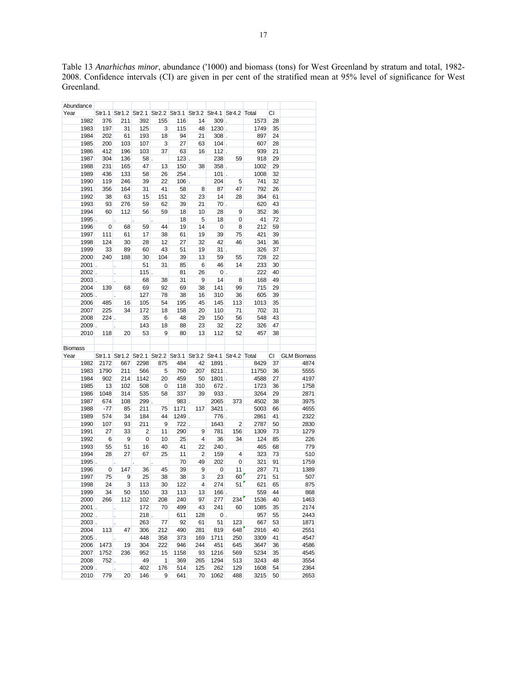Table 13 *Anarhichas minor*, abundance ('1000) and biomass (tons) for West Greenland by stratum and total, 1982- 2008. Confidence intervals (CI) are given in per cent of the stratified mean at 95% level of significance for West Greenland.

| Abundance        |                |                            |                      |                      |            |                |                 |                                          |              |          |                    |
|------------------|----------------|----------------------------|----------------------|----------------------|------------|----------------|-----------------|------------------------------------------|--------------|----------|--------------------|
| Year             |                |                            | Str1.1 Str1.2 Str2.1 | Str2.2 Str3.1 Str3.2 |            |                |                 | Str4.1 Str4.2 Total                      |              | СI       |                    |
| 1982             | 376            | 211                        | 392                  | 155                  | 116        | 14             | $309$ .         |                                          | 1573         | 28       |                    |
| 1983             | 197            | 31                         | 125                  | 3                    | 115        | 48             | $1230$ .        |                                          | 1749         | 35       |                    |
| 1984             | 202            | 61                         | 193                  | 18                   | 94         | 21             | $308$ .         |                                          | 897          | 24       |                    |
| 1985             | 200            | 103                        | 107                  | 3                    | 27         | 63             | $104$ .         |                                          | 607          | 28       |                    |
| 1986             | 412            | 196                        | 103                  | 37                   | 63         | 16             | $112$ .         |                                          | 939          | 21       |                    |
| 1987             | 304            | 136                        | $58$ .               |                      | $123$ .    |                | 238             | 59                                       | 918          | 29       |                    |
| 1988             | 231            | 165                        | 47                   | 13                   | 150        | 38             | 358.            |                                          | 1002         | 29       |                    |
| 1989             | 436            | 133                        | 58                   | 26                   | $254$ .    |                | $101$ .         |                                          | 1008         | 32       |                    |
| 1990             | 119            | 246                        | 39                   | 22                   | $106$ .    |                | 204             | 5                                        | 741          | 32       |                    |
| 1991             | 356            | 164                        | 31                   | 41                   | 58         | 8              | 87              | 47                                       | 792          | 26       |                    |
| 1992             | 38             | 63                         | 15                   | 151                  | 32         | 23             | 14              | 28                                       | 364          | 61       |                    |
| 1993             | 93             | 276                        | 59                   | 62                   | 39         | 21             | $70$ .          |                                          | 620          | 43       |                    |
| 1994             | 60             | 112                        | 56                   | 59                   | 18         | 10             | 28              | 9                                        | 352          | 36       |                    |
|                  |                |                            |                      |                      |            |                |                 |                                          | 41           | 72       |                    |
| $1995$ .         |                | $\ddot{\phantom{0}}$       |                      |                      | 18         | 5              | 18              | 0                                        |              |          |                    |
| 1996             | 0              | 68                         | 59                   | 44                   | 19         | 14             | 0               | 8                                        | 212          | 59       |                    |
| 1997             | 111            | 61                         | 17                   | 38                   | 61         | 19             | 39              | 75                                       | 421          | 39       |                    |
| 1998             | 124            | 30                         | 28                   | 12                   | 27         | 32             | 42              | 46                                       | 341          | 36       |                    |
| 1999             | 33             | 89                         | 60                   | 43                   | 51         | 19             | 31              |                                          | 326          | 37       |                    |
| 2000             | 240            | 188                        | 30                   | 104                  | 39         | 13             | 59              | 55                                       | 728          | 22       |                    |
| 2001             |                |                            | 51                   | 31                   | 85         | 6              | 46              | 14                                       | 233          | 30       |                    |
| $2002$ .         |                | ł,                         | $115$ .              |                      | 81         | 26             | $0$ .           |                                          | 222          | 40       |                    |
| $2003$ .         |                |                            | 68                   | 38                   | 31         | 9              | 14              | 8                                        | 168          | 49       |                    |
| 2004             | 139            | 68                         | 69                   | 92                   | 69         | 38             | 141             | 99                                       | 715          | 29       |                    |
| 2005             |                |                            | 127                  | 78                   | 38         | 16             | 310             | 36                                       | 605          | 39       |                    |
| 2006             | 485            | 16                         | 105                  | 54                   | 195        | 45             | 145             | 113                                      | 1013         | 35       |                    |
| 2007             | 225            | 34                         | 172                  | 18                   | 158        | 20             | 110             | 71                                       | 702          | 31       |                    |
| 2008             | $224$ .        |                            | 35                   | 6                    | 48         | 29             | 150             | 56                                       | 548          | 43       |                    |
| 2009             |                |                            | 143                  | 18                   | 88         | 23             | 32              | 22                                       | 326          | 47       |                    |
| 2010             | 118            | 20                         | 53                   | 9                    | 80         | 13             | 112             | 52                                       | 457          | 38       |                    |
|                  |                |                            |                      |                      |            |                |                 |                                          |              |          |                    |
|                  |                |                            |                      |                      |            |                |                 |                                          |              |          |                    |
| Biomass          |                |                            |                      |                      |            |                |                 |                                          |              |          |                    |
| Year             |                | Str1.1 Str1.2 Str2.1       |                      |                      |            |                |                 | Str2.2 Str3.1 Str3.2 Str4.1 Str4.2 Total |              | CI       | <b>GLM Biomass</b> |
| 1982             | 2172           | 667                        | 2298                 | 875                  | 484        | 42             | 1891.           |                                          | 8429         | 37       | 4874               |
| 1983             | 1790           | 211                        | 566                  | 5                    | 760        | 207            | $8211$ .        |                                          | 11750        | 36       |                    |
|                  |                |                            |                      |                      |            |                |                 |                                          |              | 27       | 5555               |
| 1984             | 902            | 214                        | 1142                 | 20                   | 459        | 50             | $1801$ .        |                                          | 4588         | 36       | 4197               |
| 1985<br>1986     | 13             | 102                        | 508                  | 0<br>58              | 118        | 310<br>39      | $672$ .<br>933. |                                          | 1723         | 29       | 1758               |
|                  | 1048           | 314                        | 535                  |                      | 337        |                |                 |                                          | 3264         | 38       | 2871               |
| 1987             | 674            | 108                        | 299.                 |                      | 983.       |                | 2065            | 373                                      | 4502         |          | 3975               |
| 1988             | $-77$          | 85                         | 211                  | 75                   | 1171       | 117            | $3421$ .        |                                          | 5003         | 66       | 4655               |
| 1989             | 574            | 34                         | 184                  | 44                   | $1249$ .   |                | 776.            |                                          | 2861         | 41       | 2322               |
| 1990             | 107            | 93                         | 211                  | 9                    | $722$ .    |                | 1643            | 2                                        | 2787         | 50       | 2830               |
| 1991             | 27             | 33                         | $\overline{2}$       | 11                   | 290        | 9              | 781             | 156                                      | 1309         | 73       | 1279               |
| 1992             | 6              | 9                          | 0                    | 10                   | 25         | 4              | 36              | 34                                       | 124          | 85       | 226                |
| 1993             | 55             | 51                         | 16                   | 40                   | 41         | 22             | $240$ .         |                                          | 465          | 68       | 779                |
| 1994             | 28             | 27                         | 67                   | 25                   | 11         | 2              | 159             | 4                                        | 323          | 73       | 510                |
| $1995$ .         |                | ÷.                         |                      | $\ddot{\phantom{0}}$ | 70         | 49             | 202             | 0                                        | 321          | 91       | 1759               |
| 1996             | $\overline{0}$ | 147                        | 36                   | 45                   | 39         | $\overline{9}$ | 0               | 11                                       | 287          | 71       | 1389               |
| 1997             | 75             | 9                          | 25                   | 38                   | 38         | 3              | 23              | 60                                       | 271          | 51       | 507                |
| 1998             | 24             | 3                          | 113                  | 30                   | 122        | 4              | 274             | 51                                       | 621          | 65       | 875                |
| 1999             | 34             | 50                         | 150                  | 33                   | 113        | 13             | $166$ .         |                                          | 559          | 44       | 868                |
| 2000             | 266            | 112                        | 102                  | 208                  | 240        | 97             | 277             | 234                                      | 1536         | 40       | 1463               |
| 2001             |                |                            | 172                  | 70                   | 499        | 43             | 241             | 60                                       | 1085         | 35       | 2174               |
| $2002$ .         |                | $\ddot{\phantom{0}}$       | $218$ .              |                      | 611        | 128            | $0$ .           |                                          | 957          | 55       | 2443               |
| 2003.            |                |                            | 263                  | 77                   | 92         | 61             | 51              | 123                                      | 667          | 53       | 1871               |
| 2004             | 113            | 47                         | 306                  | 212                  | 490        | 281            | 819             | 648                                      | 2916         | 40       | 2551               |
| $2005$ .         |                |                            | 448                  | 358                  | 373        | 169            | 1711            | 250                                      | 3309         | 41       | 4547               |
| 2006             | 1473           | 19                         | 304                  | 222                  | 946        | 244            | 451             | 645                                      | 3647         | 36       | 4586               |
| 2007             | 1752           | 236                        | 952                  | 15                   | 1158       | 93             | 1216            | 569                                      | 5234         | 35       | 4545               |
| 2008             | $752$ .        |                            | 49                   | 1                    | 369        | 265            | 1294            | 513                                      | 3243         | 48       | 3554               |
| $2009$ .<br>2010 | 779            | $\ddot{\phantom{0}}$<br>20 | 402<br>146           | 176<br>9             | 514<br>641 | 125<br>70      | 262<br>1062     | 129<br>488                               | 1608<br>3215 | 54<br>50 | 2364<br>2653       |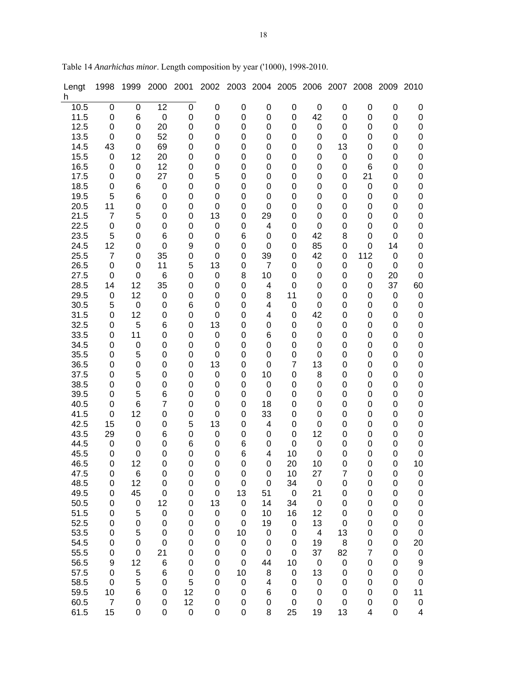| Lengt<br>h.  | 1998                 | 1999                       | 2000                  | 2001             | 2002                       | 2003                            |                   | 2004 2005             | 2006        | 2007            | 2008           | 2009              | 2010                                 |
|--------------|----------------------|----------------------------|-----------------------|------------------|----------------------------|---------------------------------|-------------------|-----------------------|-------------|-----------------|----------------|-------------------|--------------------------------------|
| 10.5         | 0                    | 0                          | 12                    | 0                | 0                          | $\boldsymbol{0}$                | 0                 | $\boldsymbol{0}$      | 0           | $\pmb{0}$       | 0              | $\mathbf 0$       | $\mathbf 0$                          |
| 11.5         | 0                    | 6                          | $\pmb{0}$             | 0                | $\boldsymbol{0}$           | 0                               | $\mathbf 0$       | 0                     | 42          | 0               | 0              | $\boldsymbol{0}$  | $\pmb{0}$                            |
| 12.5         | 0                    | $\boldsymbol{0}$           | 20                    | $\mathbf 0$      | $\boldsymbol{0}$           | 0                               | $\mathbf 0$       | 0                     | 0           | 0               | 0              | $\boldsymbol{0}$  | $\mathbf 0$                          |
| 13.5         | 0<br>43              | $\mathbf 0$<br>$\mathbf 0$ | 52                    | 0<br>$\mathbf 0$ | 0<br>$\mathbf 0$           | 0<br>0                          | 0                 | 0                     | 0           | 0               | 0<br>0         | 0                 | 0<br>$\mathbf 0$                     |
| 14.5<br>15.5 | 0                    | 12                         | 69<br>20              | 0                | $\mathbf 0$                | 0                               | 0<br>0            | 0<br>0                | 0<br>0      | 13<br>$\pmb{0}$ | 0              | 0<br>0            | $\mathbf 0$                          |
| 16.5         | 0                    | 0                          | 12                    | 0                | $\mathbf 0$                | 0                               | 0                 | 0                     | 0           | 0               | 6              | 0                 | $\mathbf 0$                          |
| 17.5         | 0                    | $\boldsymbol{0}$           | 27                    | 0                | 5                          | $\mathbf 0$                     | $\mathbf 0$       | 0                     | 0           | 0               | 21             | $\mathbf 0$       | $\mathbf 0$                          |
| 18.5         | 0                    | 6                          | 0                     | 0                | $\mathbf 0$                | $\boldsymbol{0}$                | 0                 | 0                     | 0           | 0               | 0              | 0                 | $\mathbf 0$                          |
| 19.5         | 5                    | 6                          | $\boldsymbol{0}$      | 0                | $\mathbf 0$                | $\boldsymbol{0}$                | 0                 | 0                     | 0           | 0               | 0              | 0                 | $\mathbf 0$                          |
| 20.5         | 11                   | 0                          | $\boldsymbol{0}$      | 0                | 0                          | 0                               | $\mathbf 0$       | 0                     | 0           | 0               | 0              | $\mathbf 0$       | $\mathbf 0$                          |
| 21.5         | $\overline{7}$       | 5                          | $\boldsymbol{0}$      | 0                | 13                         | 0                               | 29                | 0                     | 0           | 0               | 0              | 0                 | $\mathbf 0$                          |
| 22.5         | 0                    | 0                          | 0                     | 0                | 0                          | 0                               | 4                 | 0                     | 0           | 0               | 0              | 0                 | $\mathbf 0$                          |
| 23.5         | 5                    | $\boldsymbol{0}$           | 6                     | 0                | 0                          | 6                               | $\mathbf 0$       | 0                     | 42          | 8               | 0              | $\mathbf 0$       | $\mathbf 0$                          |
| 24.5<br>25.5 | 12<br>$\overline{7}$ | $\boldsymbol{0}$<br>0      | $\mathbf 0$<br>35     | 9<br>0           | $\mathbf 0$<br>$\mathbf 0$ | 0<br>$\boldsymbol{0}$           | $\mathbf 0$<br>39 | 0<br>0                | 85<br>42    | 0<br>0          | 0<br>112       | 14<br>$\mathbf 0$ | $\boldsymbol{0}$<br>$\boldsymbol{0}$ |
| 26.5         | 0                    | 0                          | 11                    | 5                | 13                         | 0                               | $\overline{7}$    | 0                     | 0           | 0               | 0              | $\mathbf 0$       | $\mathbf 0$                          |
| 27.5         | 0                    | $\mathbf 0$                | 6                     | 0                | 0                          | 8                               | 10                | 0                     | 0           | 0               | 0              | 20                | $\mathbf 0$                          |
| 28.5         | 14                   | 12                         | 35                    | 0                | 0                          | 0                               | 4                 | $\pmb{0}$             | 0           | 0               | 0              | 37                | 60                                   |
| 29.5         | 0                    | 12                         | 0                     | 0                | 0                          | 0                               | 8                 | 11                    | 0           | 0               | 0              | $\mathbf 0$       | 0                                    |
| 30.5         | 5                    | 0                          | $\boldsymbol{0}$      | 6                | $\mathbf 0$                | 0                               | 4                 | 0                     | 0           | 0               | 0              | 0                 | $\mathbf 0$                          |
| 31.5         | 0                    | 12                         | $\boldsymbol{0}$      | 0                | 0                          | 0                               | 4                 | 0                     | 42          | 0               | 0              | 0                 | $\mathbf 0$                          |
| 32.5         | 0                    | 5                          | 6                     | 0                | 13                         | 0                               | 0                 | 0                     | 0           | 0               | 0              | 0                 | $\mathbf 0$                          |
| 33.5<br>34.5 | 0<br>0               | 11<br>$\pmb{0}$            | $\boldsymbol{0}$<br>0 | 0<br>0           | $\pmb{0}$<br>0             | 0<br>0                          | 6<br>0            | 0<br>0                | 0<br>0      | 0<br>0          | 0<br>0         | 0<br>0            | $\pmb{0}$<br>$\pmb{0}$               |
| 35.5         | 0                    | 5                          | 0                     | 0                | 0                          | 0                               | $\mathbf 0$       | 0                     | 0           | 0               | 0              | $\mathbf 0$       | $\mathbf 0$                          |
| 36.5         | 0                    | $\boldsymbol{0}$           | 0                     | 0                | 13                         | 0                               | $\mathbf 0$       | $\overline{7}$        | 13          | 0               | 0              | $\mathbf 0$       | $\mathbf 0$                          |
| 37.5         | 0                    | 5                          | $\boldsymbol{0}$      | 0                | 0                          | $\boldsymbol{0}$                | 10                | 0                     | 8           | 0               | 0              | 0                 | $\boldsymbol{0}$                     |
| 38.5         | 0                    | 0                          | $\boldsymbol{0}$      | $\mathbf 0$      | $\mathbf 0$                | $\boldsymbol{0}$                | $\mathbf 0$       | 0                     | 0           | 0               | 0              | 0                 | $\mathbf 0$                          |
| 39.5         | 0                    | 5                          | 6                     | 0                | 0                          | $\boldsymbol{0}$                | $\mathbf 0$       | 0                     | 0           | 0               | 0              | 0                 | $\mathbf 0$                          |
| 40.5         | 0                    | 6                          | $\overline{7}$        | $\mathbf 0$      | 0                          | $\boldsymbol{0}$                | 18                | 0                     | 0           | 0               | 0              | 0                 | $\mathbf 0$                          |
| 41.5         | 0                    | 12                         | $\boldsymbol{0}$      | 0                | $\mathbf 0$                | 0                               | 33                | 0                     | 0           | 0               | 0              | $\mathbf 0$       | $\mathbf 0$                          |
| 42.5<br>43.5 | 15<br>29             | 0<br>0                     | 0<br>6                | 5<br>0           | 13<br>0                    | 0<br>$\boldsymbol{0}$           | 4<br>0            | 0<br>0                | 0<br>12     | 0<br>0          | 0<br>0         | $\mathbf 0$<br>0  | $\mathbf 0$<br>$\mathbf 0$           |
| 44.5         | 0                    | 0                          | 0                     | 6                | 0                          | 6                               | 0                 | $\mathbf 0$           | 0           | 0               | 0              | 0                 | $\mathbf 0$                          |
| 45.5         | 0                    | 0                          | 0                     | 0                | 0                          | 6                               | 4                 | 10                    | 0           | 0               | 0              | 0                 | $\mathbf 0$                          |
| 46.5         | 0                    | 12                         | 0                     | 0                | 0                          | 0                               | 0                 | 20                    | 10          | 0               | 0              | 0                 | 10                                   |
| 47.5         | 0                    | 6                          | $\pmb{0}$             | 0                | 0                          | $\pmb{0}$                       | 0                 | 10                    | 27          | $\overline{7}$  | 0              | $\mathbf 0$       | 0                                    |
| 48.5         | 0                    | 12                         | $\mathbf 0$           | $\boldsymbol{0}$ | 0                          | 0                               | $\mathbf 0$       | 34                    | $\mathbf 0$ | 0               | 0              | $\mathbf 0$       | $\mathbf 0$                          |
| 49.5         | 0                    | 45                         | $\boldsymbol{0}$      | 0                | 0                          | 13                              | 51                | $\pmb{0}$             | 21          | 0               | 0              | 0                 | $\mathbf 0$                          |
| 50.5         | 0                    | $\pmb{0}$                  | 12                    | 0                | 13                         | $\boldsymbol{0}$                | 14                | 34                    | 0<br>12     | 0               | 0<br>0         | 0                 | $\mathbf 0$                          |
| 51.5<br>52.5 | 0<br>0               | $\mathbf 5$<br>$\pmb{0}$   | $\mathbf 0$<br>0      | 0<br>0           | $\pmb{0}$<br>0             | $\mathbf 0$<br>$\boldsymbol{0}$ | 10<br>19          | 16<br>0               | 13          | 0<br>0          | 0              | 0<br>0            | $\mathbf 0$<br>0                     |
| 53.5         | 0                    | $\mathbf 5$                | 0                     | 0                | 0                          | 10                              | 0                 | $\pmb{0}$             | 4           | 13              | 0              | 0                 | $\mathbf 0$                          |
| 54.5         | 0                    | $\pmb{0}$                  | $\boldsymbol{0}$      | 0                | 0                          | $\mathbf 0$                     | $\mathbf 0$       | $\mathbf 0$           | 19          | 8               | 0              | 0                 | 20                                   |
| 55.5         | 0                    | $\boldsymbol{0}$           | 21                    | 0                | 0                          | $\pmb{0}$                       | $\mathbf 0$       | $\pmb{0}$             | 37          | 82              | $\overline{7}$ | 0                 | 0                                    |
| 56.5         | 9                    | 12                         | $\,6$                 | 0                | $\boldsymbol{0}$           | 0                               | 44                | 10                    | 0           | $\pmb{0}$       | 0              | $\mathbf 0$       | 9                                    |
| 57.5         | 0                    | $\sqrt{5}$                 | 6                     | 0                | 0                          | 10                              | 8                 | $\boldsymbol{0}$      | 13          | 0               | 0              | 0                 | $\mathbf 0$                          |
| 58.5         | 0                    | 5                          | $\boldsymbol{0}$      | 5                | 0                          | $\,0\,$                         | 4                 | $\pmb{0}$             | 0           | 0               | 0              | 0                 | $\pmb{0}$                            |
| 59.5<br>60.5 | 10<br>$\overline{7}$ | $\,6$<br>$\pmb{0}$         | 0<br>0                | 12<br>12         | 0<br>0                     | $\pmb{0}$<br>$\pmb{0}$          | 6<br>0            | 0<br>$\boldsymbol{0}$ | 0<br>0      | 0<br>0          | 0<br>0         | 0<br>0            | 11<br>$\pmb{0}$                      |
| 61.5         | 15                   | $\pmb{0}$                  | 0                     | $\mathsf 0$      | 0                          | 0                               | 8                 | 25                    | 19          | 13              | 4              | 0                 | 4                                    |

Table 14 *Anarhichas minor*. Length composition by year ('1000), 1998-2010.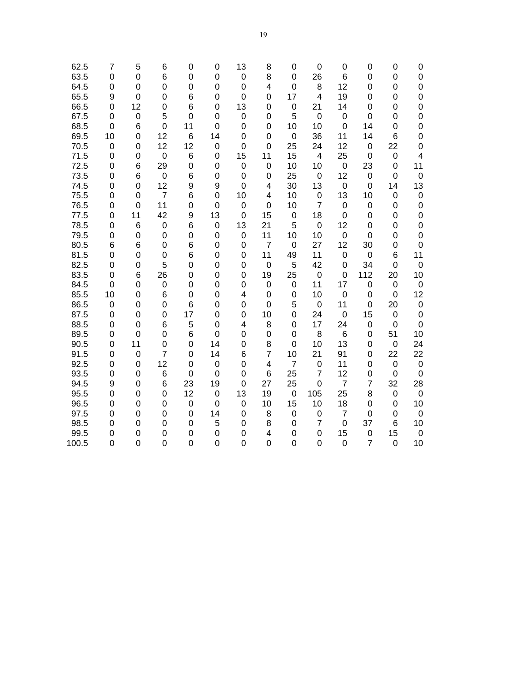| 62.5<br>63.5 | 7<br>0         | 5<br>$\mathbf 0$ | 6<br>6         | 0<br>0         | 0<br>0            | 13<br>$\mathbf 0$ | 8<br>8                  | 0<br>0            | 0<br>26                       | 0<br>6               | 0<br>0              | 0<br>0           | 0<br>0                  |
|--------------|----------------|------------------|----------------|----------------|-------------------|-------------------|-------------------------|-------------------|-------------------------------|----------------------|---------------------|------------------|-------------------------|
| 64.5         | 0              | 0                | 0              | 0              | 0                 | 0                 | $\overline{\mathbf{4}}$ | $\mathbf 0$       | 8                             | 12                   | 0                   | 0                | 0                       |
| 65.5         | 9              | $\mathbf 0$      | 0              | 6              | 0                 | 0                 | 0                       | 17                | 4                             | 19                   | 0                   | 0                | $\mathbf 0$             |
| 66.5         | 0              | 12               | 0              | 6              | 0                 | 13                | 0                       | $\mathbf 0$       | 21                            | 14                   | 0                   | 0                | 0                       |
| 67.5         | 0              | 0                | 5              | 0              | 0                 | $\boldsymbol{0}$  | 0                       | 5                 | $\mathbf 0$                   | 0                    | 0                   | 0                | $\mathbf 0$             |
| 68.5         | 0              | 6                | $\mathbf 0$    | 11             | $\overline{0}$    | 0                 | 0                       | 10                | 10                            | 0                    | 14                  | 0                | $\mathbf 0$             |
| 69.5         | 10             | 0                | 12             | 6              | 14                | 0                 | 0                       | $\mathbf 0$       | 36                            | 11                   | 14                  | 6                | 0                       |
| 70.5         | 0              | $\mathbf 0$      | 12             | 12             | $\mathbf 0$       | 0                 | $\mathbf 0$             | 25                | 24                            | 12                   | $\mathbf 0$         | 22               | $\mathbf 0$             |
| 71.5         | 0              | $\mathbf 0$      | $\mathbf 0$    | 6              | $\overline{0}$    | 15                | 11                      | 15                | $\overline{4}$                | 25                   | $\mathbf 0$         | $\mathbf 0$      | $\overline{\mathbf{4}}$ |
| 72.5         | 0              | 6                | 29             | $\overline{0}$ | 0                 | $\mathbf 0$       | $\mathbf 0$             | 10                | 10                            | 0                    | 23                  | $\overline{0}$   | 11                      |
| 73.5         | 0              | 6                | $\mathbf 0$    | 6              | 0                 | $\mathbf 0$       | $\mathbf 0$             | 25                | $\mathbf 0$                   | 12                   | $\mathbf 0$         | $\mathbf 0$      | $\mathbf 0$             |
| 74.5         | 0              | 0                | 12             | 9              | 9                 | $\mathbf 0$       | 4                       | 30                | 13                            | 0                    | 0                   | 14               | 13                      |
| 75.5         | 0              | 0                | $\overline{7}$ | 6              | 0                 | 10                | 4                       | 10                | 0                             | 13                   | 10                  | 0                | $\boldsymbol{0}$        |
| 76.5         | 0              | $\mathbf 0$      | 11             | 0              | 0                 | $\mathbf 0$       | 0                       | 10                | $\overline{7}$                | 0                    | 0                   | 0                | 0                       |
| 77.5         | 0              | 11               | 42             | 9              | 13                | 0                 | 15                      | $\mathbf 0$       | 18                            | 0                    | 0                   | 0                | 0                       |
| 78.5         | 0              | 6                | $\mathbf 0$    | 6              | 0                 | 13                | 21                      | 5                 | $\boldsymbol{0}$              | 12                   | 0                   | 0                | 0                       |
| 79.5         | 0              | 0                | $\mathbf 0$    | 0              | 0                 | $\mathbf 0$       | 11                      | 10                | 10                            | 0                    | 0                   | 0                | $\mathbf 0$             |
| 80.5         | 6              | 6                | 0              | 6              | 0                 | 0                 | $\overline{7}$          | $\mathbf 0$       | 27                            | 12                   | 30                  | 0                | $\mathbf 0$             |
| 81.5         | 0              | 0                | 0              | 6              | 0                 | 0                 | 11                      | 49                | 11                            | 0                    | $\mathbf 0$         | 6                | 11                      |
| 82.5         | 0              | 0                | 5              | 0              | 0                 | 0                 | $\mathbf 0$             | 5                 | 42                            | 0                    | 34                  | 0                | $\mathbf 0$             |
| 83.5         | 0              | 6                | 26             | 0              | 0                 | 0                 | 19                      | 25                | $\mathbf 0$                   | 0                    | 112                 | 20               | 10                      |
| 84.5         | $\overline{0}$ | 0                | 0              | $\overline{0}$ | 0                 | 0                 | $\mathbf 0$             | $\mathbf 0$       | 11                            | 17                   | 0                   | 0                | $\mathbf 0$             |
| 85.5         | 10             | 0                | 6              | 0              | 0                 | 4                 | $\mathbf 0$             | $\mathbf 0$       | 10                            | 0                    | 0                   | 0                | 12                      |
| 86.5         | 0              | 0                | $\overline{0}$ | 6              | 0                 | 0                 | $\overline{0}$          | 5                 | $\mathbf 0$                   | 11                   | 0                   | 20               | $\mathbf 0$             |
| 87.5         | 0              | 0                | $\overline{0}$ | 17             | 0                 | 0                 | 10                      | $\overline{0}$    | 24                            | $\mathbf 0$          | 15                  | 0                | $\mathbf 0$             |
| 88.5         | 0              | $\mathbf 0$      | 6              | 5              | 0                 | 4                 | 8                       | 0                 | 17                            | 24                   | 0                   | $\pmb{0}$        | $\pmb{0}$               |
| 89.5         | 0              | 0                | 0              | 6              | 0                 | 0                 | $\pmb{0}$               | $\mathbf 0$       | 8                             | 6                    | 0                   | 51               | 10                      |
| 90.5         | 0              | 11               | $\mathbf 0$    | 0              | 14                | 0                 | 8                       | $\mathbf 0$       | 10                            | 13                   | 0                   | $\boldsymbol{0}$ | 24                      |
| 91.5         | 0              | $\mathbf 0$      | $\overline{7}$ | 0              | 14                | 6                 | $\overline{7}$          | 10                | 21                            | 91                   | 0                   | 22               | 22                      |
| 92.5         | 0              | 0                | 12             | 0              | 0                 | 0                 | $\overline{\mathbf{4}}$ | $\overline{7}$    | $\mathbf 0$<br>$\overline{7}$ | 11                   | 0                   | 0                | $\boldsymbol{0}$        |
| 93.5         | 0              | 0                | 6              | $\mathbf 0$    | $\mathbf 0$       | 0                 | 6                       | 25                |                               | 12                   | 0                   | 0                | $\boldsymbol{0}$        |
| 94.5<br>95.5 | 9<br>0         | 0<br>0           | 6<br>0         | 23<br>12       | 19<br>$\mathbf 0$ | 0<br>13           | 27<br>19                | 25<br>$\mathbf 0$ | $\mathbf 0$<br>105            | $\overline{7}$<br>25 | $\overline{7}$<br>8 | 32               | 28<br>$\boldsymbol{0}$  |
| 96.5         | 0              | 0                | 0              | $\mathbf 0$    | $\overline{0}$    | $\mathbf 0$       | 10                      | 15                | 10                            | 18                   | 0                   | 0<br>0           | 10                      |
| 97.5         | 0              | 0                | 0              | 0              | 14                |                   | 8                       | $\mathbf 0$       | $\boldsymbol{0}$              | $\overline{7}$       | 0                   | $\mathbf 0$      | $\mathbf 0$             |
| 98.5         | 0              | 0                | 0              | 0              | 5                 | 0<br>0            | 8                       | $\mathbf 0$       | $\overline{7}$                | 0                    | 37                  | 6                | 10                      |
| 99.5         | 0              | 0                | 0              | $\overline{0}$ | 0                 | 0                 | $\overline{\mathbf{4}}$ | $\mathbf 0$       | 0                             | 15                   | 0                   | 15               | $\boldsymbol{0}$        |
| 100.5        | $\overline{0}$ | $\overline{0}$   | 0              | $\overline{0}$ | 0                 | $\overline{0}$    | $\mathbf 0$             | $\overline{0}$    | $\mathbf 0$                   | $\mathbf 0$          | $\overline{7}$      | $\overline{0}$   | 10                      |
|              |                |                  |                |                |                   |                   |                         |                   |                               |                      |                     |                  |                         |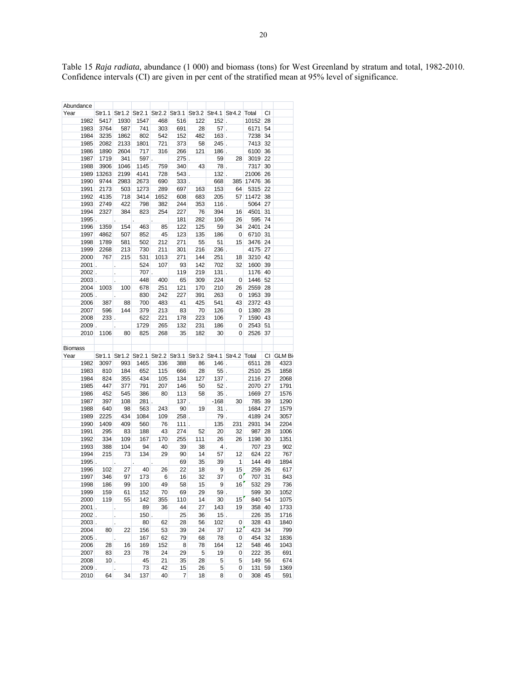| Abundance |          |            |                                                               |         |                      |         |         |                 |                         |              |    |           |
|-----------|----------|------------|---------------------------------------------------------------|---------|----------------------|---------|---------|-----------------|-------------------------|--------------|----|-----------|
| Year      |          |            | Str1.1 Str1.2 Str2.1 Str2.2 Str3.1 Str3.2 Str4.1 Str4.2 Total |         |                      |         |         |                 |                         |              | СI |           |
|           | 1982     | 5417       | 1930                                                          | 1547    | 468                  | 516     | 122     | $152$ .         |                         | 10152 28     |    |           |
|           | 1983     | 3764       | 587                                                           | 741     | 303                  | 691     | 28      | $57$ .          |                         | 6171         | 54 |           |
|           | 1984     | 3235       | 1862                                                          | 802     | 542                  | 152     | 482     | $163$ .         |                         | 7238         | 34 |           |
|           | 1985     | 2082       | 2133                                                          | 1801    | 721                  | 373     | 58      | $245$ .         |                         | 7413         | 32 |           |
|           | 1986     | 1890       | 2604                                                          | 717     | 316                  | 266     | 121     | $186$ .         |                         | 6100         | 36 |           |
|           | 1987     | 1719       | 341                                                           | $597$ . |                      | $275$ . |         | 59              | 28                      | 3019         | 22 |           |
|           | 1988     | 3906       | 1046                                                          | 1145    | 759                  | 340     | 43      | $78$ .          |                         | 7317         | 30 |           |
|           |          | 1989 13263 | 2199                                                          | 4141    | 728                  |         | $543$ . | $132$ .         |                         | 21006 26     |    |           |
|           | 1990     | 9744       | 2983                                                          | 2673    | 690                  |         | $333$ . | 668             |                         | 385 17476 36 |    |           |
|           | 1991     | 2173       | 503                                                           | 1273    | 289                  | 697     | 163     | 153             | 64                      | 5315 22      |    |           |
|           | 1992     | 4135       | 718                                                           | 3414    | 1652                 | 608     | 683     | 205             |                         | 57 11472 38  |    |           |
|           | 1993     | 2749       | 422                                                           | 798     | 382                  | 244     | 353     | $116$ .         |                         | 5064 27      |    |           |
|           | 1994     | 2327       | 384                                                           | 823     | 254                  | 227     | 76      | 394             | 16                      | 4501         | 31 |           |
|           | $1995$ . |            | ¥,                                                            | ¥.      | ¥.                   | 181     | 282     | 106             | 26                      | 595 74       |    |           |
|           | 1996     | 1359       | 154                                                           | 463     | 85                   | 122     | 125     | 59              | 34                      | 2401         | 24 |           |
|           | 1997     | 4862       | 507                                                           | 852     | 45                   | 123     | 135     | 186             | 0                       | 6710 31      |    |           |
|           | 1998     | 1789       | 581                                                           | 502     | 212                  | 271     | 55      | 51              | 15                      | 3476 24      |    |           |
|           | 1999     | 2268       | 213                                                           | 730     | 211                  | 301     | 216     | $236$ .         |                         | 4175 27      |    |           |
|           | 2000     | 767        | 215                                                           | 531     | 1013                 | 271     | 144     | 251             | 18                      | 3210 42      |    |           |
|           |          |            |                                                               |         |                      |         |         |                 |                         |              |    |           |
|           | $2001$ . |            | ¥,                                                            | 524     | 107                  | 93      | 142     | 702<br>$131$ .  | 32                      | 1600 39      |    |           |
|           | $2002$ . |            | $\cdot$                                                       | $707$ . |                      | 119     | 219     |                 |                         | 1176 40      |    |           |
|           |          | $2003$ .   |                                                               | 448     | 400                  | 65      | 309     | 224             | $\overline{\mathbf{0}}$ | 1446 52      |    |           |
|           | 2004     | 1003       | 100                                                           | 678     | 251                  | 121     | 170     | 210             | 26                      | 2559 28      |    |           |
|           | $2005$ . |            |                                                               | 830     | 242                  | 227     | 391     | 263             | 0                       | 1953 39      |    |           |
|           | 2006     | 387        | 88                                                            | 700     | 483                  | 41      | 425     | 541             | 43                      | 2372 43      |    |           |
|           | 2007     | 596        | 144                                                           | 379     | 213                  | 83      | 70      | 126             | $\mathbf 0$             | 1380 28      |    |           |
|           | 2008     | $233$ .    |                                                               | 622     | 221                  | 178     | 223     | 106             | 7                       | 1590 43      |    |           |
|           | $2009$ . |            |                                                               | 1729    | 265                  | 132     | 231     | 186             | 0                       | 2543 51      |    |           |
|           | 2010     | 1106       | 80                                                            | 825     | 268                  | 35      | 182     | 30 <sub>2</sub> | 0                       | 2526 37      |    |           |
|           |          |            |                                                               |         |                      |         |         |                 |                         |              |    |           |
|           |          |            |                                                               |         |                      |         |         |                 |                         |              |    |           |
| Biomass   |          |            |                                                               |         |                      |         |         |                 |                         |              |    |           |
| Year      |          |            | Str1.1 Str1.2 Str2.1 Str2.2 Str3.1 Str3.2 Str4.1 Str4.2 Total |         |                      |         |         |                 |                         |              |    | CI GLM Bi |
|           | 1982     | 3097       | 993                                                           | 1465    | 336                  | 388     | 86      | $146$ .         |                         | 6511 28      |    | 4323      |
|           | 1983     | 810        | 184                                                           | 652     | 115                  | 666     | 28      | $55$ .          |                         | 2510         | 25 | 1858      |
|           | 1984     | 824        | 355                                                           | 434     | 105                  | 134     | 127     | $137$ .         |                         | 2116 27      |    | 2068      |
|           | 1985     | 447        | 377                                                           | 791     | 207                  | 146     | 50      | $52$ .          |                         | 2070 27      |    | 1791      |
|           | 1986     | 452        | 545                                                           | 386     | 80                   | 113     | 58      |                 | $35$ .                  | 1669 27      |    | 1576      |
|           | 1987     | 397        | 108                                                           |         | $281$ .              |         | $137$ . | $-168$          | 30                      | 785 39       |    | 1290      |
|           | 1988     | 640        | 98                                                            | 563     | 243                  | 90      | 19      |                 | $31$ .                  | 1684 27      |    | 1579      |
|           | 1989     | 2225       | 434                                                           | 1084    | 109                  |         | $258$ . |                 | $79$ .                  | 4189 24      |    | 3057      |
|           | 1990     | 1409       | 409                                                           | 560     | 76                   |         | 111.    | 135             | 231                     | 2931         | 34 | 2204      |
|           | 1991     | 295        | 83                                                            | 188     | 43                   | 274     | 52      | 20              | 32                      | 987          | 28 | 1006      |
|           | 1992     | 334        | 109                                                           | 167     | 170                  | 255     | 111     | 26              | 26                      | 1198         | 30 | 1351      |
|           | 1993     | 388        | 104                                                           | 94      | 40                   | 39      | 38      | $4$ .           |                         | 707 23       |    | 902       |
|           | 1994     | 215        | 73                                                            | 134     | 29                   | 90      | 14      | 57              | 12                      | 624 22       |    | 767       |
|           | 1995.    |            | ¥.                                                            | ÷.      | $\ddot{\phantom{0}}$ | 69      | 35      | 39              | $\mathbf{1}$            | 144 49       |    | 1894      |
|           | 1996     | 102        | 27                                                            | 40      | 26                   | 22      | 18      | 9               | 15                      | 259          | 26 | 617       |
|           | 1997     | 346        | 97                                                            | 173     | 6                    | 16      | 32      | 37              | $0^{\prime}$            | 707          | 31 | 843       |
|           | 1998     | 186        | 99                                                            | 100     | 49                   | 58      | 15      | 9               | 16                      | 532          | 29 | 736       |
|           | 1999     | 159        | 61                                                            | 152     | 70                   | 69      | 29      | $59$ .          |                         | 599 30       |    | 1052      |
|           | 2000     | 119        | 55                                                            | 142     | 355                  | 110     | 14      | 30              | 15                      | 840          | 54 | 1075      |
|           | 2001     |            |                                                               | 89      | 36                   | 44      | 27      | 143             | 19                      | 358          | 40 | 1733      |
|           | $2002$ . |            | $\ddot{\phantom{0}}$                                          | $150$ . |                      | 25      | 36      | $15$ .          |                         | 226          | 35 | 1716      |
|           | $2003$ . |            |                                                               | 80      | 62                   | 28      | 56      | 102             | 0                       | 328          | 43 | 1840      |
|           | 2004     | 80         | 22                                                            | 156     | 53                   | 39      | 24      | 37              | 12                      | 423 34       |    | 799       |
|           | $2005$ . |            |                                                               | 167     | 62                   | 79      | 68      | 78              | 0                       | 454          | 32 | 1836      |
|           | 2006     | 28         | 16                                                            | 169     | 152                  | 8       | 78      | 164             | 12                      | 548 46       |    | 1043      |
|           | 2007     | 83         | 23                                                            | 78      | 24                   | 29      | 5       | 19              | 0                       | 222          | 35 | 691       |
|           | 2008     | $10$ .     |                                                               | 45      | 21                   | 35      | 28      | 5               | 5                       | 149          | 56 | 674       |
|           | $2009$ . |            |                                                               | 73      | 42                   | 15      | 26      | 5               | 0                       | 131          | 59 | 1369      |

Table 15 *Raja radiata*, abundance (1 000) and biomass (tons) for West Greenland by stratum and total, 1982-2010. Confidence intervals (CI) are given in per cent of the stratified mean at 95% level of significance.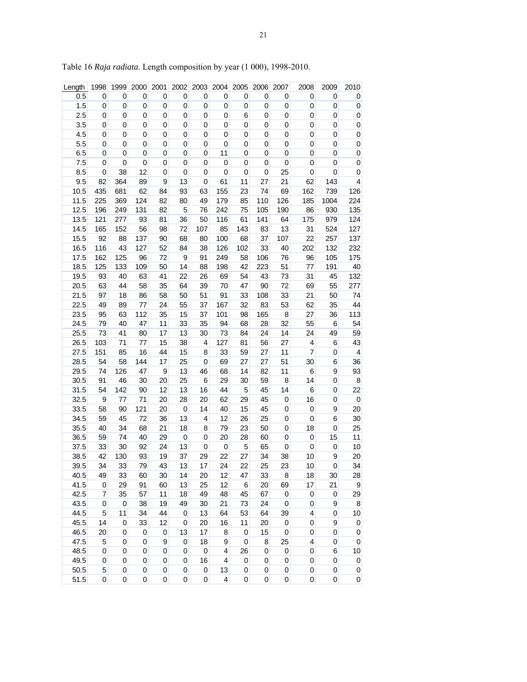| Length       | 1998        | 1999        | 2000        | 2001             | 2002        | 2003                    | 2004             | 2005        | 2006        | 2007                | 2008           | 2009              | 2010                    |
|--------------|-------------|-------------|-------------|------------------|-------------|-------------------------|------------------|-------------|-------------|---------------------|----------------|-------------------|-------------------------|
| 0.5          | 0           | 0           | $\pmb{0}$   | 0                | $\pmb{0}$   | 0                       | $\mathbf 0$      | 0           | 0           | 0                   | 0              | $\mathbf 0$       | $\mathbf 0$             |
| 1.5          | 0           | 0           | 0           | 0                | 0           | 0                       | 0                | 0           | 0           | 0                   | 0              | 0                 | 0                       |
| 2.5          | 0           | 0           | 0           | 0                | 0           | 0                       | $\mathbf 0$      | 6           | $\mathbf 0$ | 0                   | 0              | 0                 | $\pmb{0}$               |
| 3.5          | 0           | 0           | 0           | 0                | 0           | 0                       | 0                | 0           | 0           | 0                   | 0              | 0                 | $\boldsymbol{0}$        |
| 4.5          | 0           | 0           | 0           | 0                | 0           | 0                       | 0                | 0           | 0           | $\pmb{0}$           | 0              | $\pmb{0}$         | $\mathbf 0$             |
| 5.5          | 0           | 0           | 0           | 0                | 0           | 0                       | $\mathbf 0$      | 0           | 0           | 0                   | 0              | 0                 | $\mathbf 0$             |
| 6.5          | 0           | 0           | 0           | 0                | 0           | 0                       | 11               | 0           | 0           | 0                   | $\pmb{0}$      | $\pmb{0}$         | $\overline{0}$          |
| 7.5          | 0           | $\mathbf 0$ | $\pmb{0}$   | 0                | 0           | 0                       | 0                | 0           | 0           | 0                   | 0              | 0                 | $\pmb{0}$               |
| 8.5          | 0           | 38          | 12          | 0                | 0           | 0                       | $\mathbf 0$      | 0           | $\mathbf 0$ | 25                  | 0              | 0                 | $\pmb{0}$               |
| 9.5          | 82          | 364         | 89          | $\boldsymbol{9}$ | 13          | 0                       | 61               | 11          | 27          | 21                  | 62             | 143               | 4                       |
| 10.5         | 435         | 681         | 62          | 84               | 93          | 63                      | 155              | 23          | 74          | 69                  | 162            | 739               | 126                     |
| 11.5         | 225         | 369         | 124         | 82               | 80          | 49                      | 179              | 85          | 110         | 126                 | 185            | 1004              | 224                     |
| 12.5         | 196         | 249         | 131         | 82               | 5           | 76                      | 242              | 75          | 105         | 190                 | 86             | 930               | 135                     |
| 13.5         | 121         | 277         | 93          | 81               | 36          | 50                      | 116              | 61          | 141         | 64                  | 175            | 979               | 124                     |
| 14.5         | 165         | 152         | 56          | 98               | 72          | 107                     | 85               | 143         | 83          | 13                  | 31             | 524               | 127                     |
| 15.5         | 92          | 88          | 137         | 90               | 68          | 80                      | 100              | 68          | 37          | 107                 | 22             | 257               | 137                     |
| 16.5         | 116         | 43          | 127         | 52               | 84          | 38                      | 126              | 102         | 33          | 40                  | 202            | 132               | 232                     |
| 17.5         | 162         | 125         | 96          | 72               | 9           | 91                      | 249              | 58          | 106         | 76                  | 96             | 105               | 175                     |
| 18.5         | 125         | 133         | 109         | 50               | 14          | 88                      | 198              | 42          | 223         | 51                  | 77             | 191               | 40                      |
| 19.5         | 93          | 40          | 63          | 41               | 22          | 26                      | 69               | 54          | 43          | 73                  | 31             | 45                | 132                     |
| 20.5         | 63          | 44          | 58          | 35               | 64          | 39                      | 70               | 47          | 90          | 72                  | 69             | 55                | 277                     |
| 21.5         | 97          | 18          | 86          | 58               | 50          | 51                      | 91               | 33          | 108         | 33                  | 21             | 50                | 74                      |
| 22.5         | 49          | 89          | 77          | 24               | 55          | 37                      | 167              | 32          | 83          | 53                  | 62             | 35                | 44                      |
| 23.5         | 95          | 63          | 112         | 35               | 15          | 37                      | 101              | 98          | 165         | 8                   | 27             | 36                | 113                     |
| 24.5         | 79          | 40          | 47          | 11               | 33          | 35                      | 94               | 68          | 28          | 32                  | 55             | $6\phantom{a}$    | 54                      |
| 25.5         | 73          | 41          | 80          | 17               | 13          | 30                      | 73               | 84          | 24          | 14                  | 24             | 49                | 59                      |
| 26.5         | 103         | 71          | 77          | 15               | 38          | $\overline{\mathbf{4}}$ | 127              | 81          | 56          | 27                  | 4              | 6                 | 43                      |
| 27.5         | 151         | 85          | 16          | 44               | 15          | 8                       | 33               | 59          | 27          | 11                  | $\overline{7}$ | $\pmb{0}$         | $\overline{\mathbf{4}}$ |
| 28.5         | 54          | 58          | 144         | 17               | 25          | 0                       | 69               | 27          | 27          | 51                  | 30             | $\,$ 6 $\,$       | 36                      |
| 29.5         | 74          | 126         | 47          | 9                | 13          | 46                      | 68               | 14          | 82          | 11                  | $\,6$          | 9                 | 93                      |
| 30.5         | 91          | 46          | 30          | 20               | 25          | 6                       | 29               | 30          | 59          | 8                   | 14             | $\mathbf 0$       | $\boldsymbol{8}$        |
| 31.5         | 54          | 142         | 90          | 12               | 13          | 16                      | 44               | 5           | 45          | 14                  | 6              | 0                 | 22                      |
| 32.5         | 9           | 77          | 71          | 20               | 28          | 20                      | 62               | 29          | 45          | 0                   | 16             | $\mathbf 0$       | $\pmb{0}$               |
| 33.5         | 58          | 90          | 121         | 20               | 0           | 14                      | 40               | 15          | 45          | 0                   | 0              | 9                 | 20                      |
| 34.5         | 59          | 45          | 72          | 36               | 13          | 4                       | 12               | 26          | 25          | $\pmb{0}$           | 0              | 6                 | 30                      |
| 35.5         | 40          | 34          | 68          | 21               | 18          | 8                       | 79               | 23          | 50          | 0                   | 18             | 0                 | 25                      |
| 36.5         | 59          | 74          | 40          | 29               | 0           | 0                       | 20               | 28          | 60          | 0                   | $\pmb{0}$      | 15                | 11                      |
| 37.5         | 33          | 30          | 92          | 24               | 13          | 0                       | 0                | 5           | 65          | 0                   | 0              | 0                 | 10                      |
| 38.5         | 42          | 130         | 93          | 19               | 37          | 29                      | 22               | 27          | 34          | 38                  | 10             | 9                 | 20                      |
|              |             |             |             |                  |             |                         |                  |             |             |                     |                |                   |                         |
| 39.5<br>40.5 | 34<br>49    | 33<br>33    | 79<br>60    | 43<br>30         | 13<br>14    | 17<br>20                | 24<br>12         | 22<br>47    | 25<br>33    | 23<br>8             | 10<br>18       | $\mathbf 0$<br>30 | 34<br>28                |
| 41.5         | 0           | 29          | 91          | 60               | 13          | 25                      | 12               | $\,6$       | 20          | 69                  | 17             | 21                | 9                       |
| 42.5         | 7           | 35          |             |                  |             | 49                      |                  | 45          |             |                     |                | $\pmb{0}$         |                         |
|              |             |             | 57          | 11<br>19         | 18          |                         | 48               |             | 67          | $\pmb{0}$           | 0              |                   | 29                      |
| 43.5         | 0           | 0           | 38          |                  | 49          | 30                      | 21               | 73          | 24          | 0                   | 0              | 9                 | 8                       |
| 44.5         | 5           | 11          | 34          | 44<br>12         | 0           | 13                      | 64               | 53<br>11    | 64          | 39                  | 4              | 0                 | 10                      |
| 45.5         | 14          | 0           | 33          |                  | 0           | 20                      | 16               |             | 20          | $\pmb{0}$           | $\pmb{0}$      | 9                 | $\mathbf 0$             |
| 46.5         | 20          | 0           | $\pmb{0}$   | 0                | 13          | 17                      | 8                | 0           | 15          | $\pmb{0}$           | 0              | $\pmb{0}$         | 0                       |
| 47.5         | 5           | 0           | $\mathbf 0$ | 9                | 0           | 18                      | $\boldsymbol{9}$ | $\mathbf 0$ | 8           | 25                  | 4              | $\pmb{0}$         | $\pmb{0}$               |
| 48.5         | $\mathbf 0$ | $\mathbf 0$ | $\mathbf 0$ | $\pmb{0}$        | $\mathbf 0$ | $\mathbf 0$             | 4                | 26          | $\mathbf 0$ | $\mathbf 0$         | $\pmb{0}$      | 6                 | 10                      |
| 49.5         | 0           | 0           | 0           | 0                | 0           | 16                      | 4                | 0           | 0           | 0                   | 0              | 0                 | $\pmb{0}$               |
| 50.5         | 5           | 0           | 0           | 0                | $\pmb{0}$   | $\pmb{0}$               | 13               | 0           | 0           | 0                   | 0              | $\mathbf 0$       | 0                       |
| 51.5         | 0           | $\mathbf 0$ | $\mathbf 0$ | $\pmb{0}$        | $\mathbf 0$ | $\mathbf 0$             | 4                | 0           | 0           | $\mathsf{O}\xspace$ | $\pmb{0}$      | $\mathbf 0$       | $\overline{0}$          |

Table 16 *Raja radiata*. Length composition by year (1 000), 1998-2010.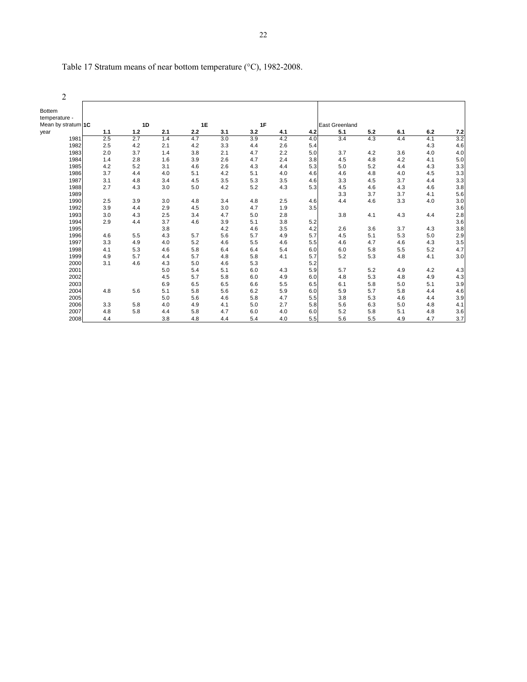| 2                              |     |     |     |     |     |     |     |     |                       |     |     |     |     |
|--------------------------------|-----|-----|-----|-----|-----|-----|-----|-----|-----------------------|-----|-----|-----|-----|
| <b>Bottem</b><br>temperature - |     |     |     |     |     |     |     |     |                       |     |     |     |     |
| Mean by stratum 1C             |     | 1D  |     | 1E  |     | 1F  |     |     | <b>East Greenland</b> |     |     |     |     |
| year                           | 1.1 | 1.2 | 2.1 | 2.2 | 3.1 | 3.2 | 4.1 | 4.2 | 5.1                   | 5.2 | 6.1 | 6.2 | 7.2 |
| 1981                           | 2.5 | 2.7 | 1.4 | 4.7 | 3.0 | 3.9 | 4.2 | 4.0 | 3.4                   | 4.3 | 4.4 | 4.1 | 3.2 |
| 1982                           | 2.5 | 4.2 | 2.1 | 4.2 | 3.3 | 4.4 | 2.6 | 5.4 |                       |     |     | 4.3 | 4.6 |
| 1983                           | 2.0 | 3.7 | 1.4 | 3.8 | 2.1 | 4.7 | 2.2 | 5.0 | 3.7                   | 4.2 | 3.6 | 4.0 | 4.0 |
| 1984                           | 1.4 | 2.8 | 1.6 | 3.9 | 2.6 | 4.7 | 2.4 | 3.8 | 4.5                   | 4.8 | 4.2 | 4.1 | 5.0 |
| 1985                           | 4.2 | 5.2 | 3.1 | 4.6 | 2.6 | 4.3 | 4.4 | 5.3 | 5.0                   | 5.2 | 4.4 | 4.3 | 3.3 |
| 1986                           | 3.7 | 4.4 | 4.0 | 5.1 | 4.2 | 5.1 | 4.0 | 4.6 | 4.6                   | 4.8 | 4.0 | 4.5 | 3.3 |
| 1987                           | 3.1 | 4.8 | 3.4 | 4.5 | 3.5 | 5.3 | 3.5 | 4.6 | 3.3                   | 4.5 | 3.7 | 4.4 | 3.3 |
| 1988                           | 2.7 | 4.3 | 3.0 | 5.0 | 4.2 | 5.2 | 4.3 | 5.3 | 4.5                   | 4.6 | 4.3 | 4.6 | 3.8 |
| 1989                           |     |     |     |     |     |     |     |     | 3.3                   | 3.7 | 3.7 | 4.1 | 5.6 |
| 1990                           | 2.5 | 3.9 | 3.0 | 4.8 | 3.4 | 4.8 | 2.5 | 4.6 | 4.4                   | 4.6 | 3.3 | 4.0 | 3.0 |
| 1992                           | 3.9 | 4.4 | 2.9 | 4.5 | 3.0 | 4.7 | 1.9 | 3.5 |                       |     |     |     | 3.6 |
| 1993                           | 3.0 | 4.3 | 2.5 | 3.4 | 4.7 | 5.0 | 2.8 |     | 3.8                   | 4.1 | 4.3 | 4.4 | 2.8 |
| 1994                           | 2.9 | 4.4 | 3.7 | 4.6 | 3.9 | 5.1 | 3.8 | 5.2 |                       |     |     |     | 3.6 |
| 1995                           |     |     | 3.8 |     | 4.2 | 4.6 | 3.5 | 4.2 | 2.6                   | 3.6 | 3.7 | 4.3 | 3.8 |
| 1996                           | 4.6 | 5.5 | 4.3 | 5.7 | 5.6 | 5.7 | 4.9 | 5.7 | 4.5                   | 5.1 | 5.3 | 5.0 | 2.9 |
| 1997                           | 3.3 | 4.9 | 4.0 | 5.2 | 4.6 | 5.5 | 4.6 | 5.5 | 4.6                   | 4.7 | 4.6 | 4.3 | 3.5 |
| 1998                           | 4.1 | 5.3 | 4.6 | 5.8 | 6.4 | 6.4 | 5.4 | 6.0 | 6.0                   | 5.8 | 5.5 | 5.2 | 4.7 |
| 1999                           | 4.9 | 5.7 | 4.4 | 5.7 | 4.8 | 5.8 | 4.1 | 5.7 | 5.2                   | 5.3 | 4.8 | 4.1 | 3.0 |
| 2000                           | 3.1 | 4.6 | 4.3 | 5.0 | 4.6 | 5.3 |     | 5.2 |                       |     |     |     |     |
| 2001                           |     |     | 5.0 | 5.4 | 5.1 | 6.0 | 4.3 | 5.9 | 5.7                   | 5.2 | 4.9 | 4.2 | 4.3 |
| 2002                           |     |     | 4.5 | 5.7 | 5.8 | 6.0 | 4.9 | 6.0 | 4.8                   | 5.3 | 4.8 | 4.9 | 4.3 |
| 2003                           |     |     | 6.9 | 6.5 | 6.5 | 6.6 | 5.5 | 6.5 | 6.1                   | 5.8 | 5.0 | 5.1 | 3.9 |
| 2004                           | 4.8 | 5.6 | 5.1 | 5.8 | 5.6 | 6.2 | 5.9 | 6.0 | 5.9                   | 5.7 | 5.8 | 4.4 | 4.6 |
| 2005                           |     |     | 5.0 | 5.6 | 4.6 | 5.8 | 4.7 | 5.5 | 3.8                   | 5.3 | 4.6 | 4.4 | 3.9 |
| 2006                           | 3.3 | 5.8 | 4.0 | 4.9 | 4.1 | 5.0 | 2.7 | 5.8 | 5.6                   | 6.3 | 5.0 | 4.8 | 4.1 |
| 2007                           | 4.8 | 5.8 | 4.4 | 5.8 | 4.7 | 6.0 | 4.0 | 6.0 | 5.2                   | 5.8 | 5.1 | 4.8 | 3.6 |
| 2008                           | 4.4 |     | 3.8 | 4.8 | 4.4 | 5.4 | 4.0 | 5.5 | 5.6                   | 5.5 | 4.9 | 4.7 | 3.7 |

| Table 17 Stratum means of near bottom temperature $(°C)$ , 1982-2008. |  |
|-----------------------------------------------------------------------|--|
|-----------------------------------------------------------------------|--|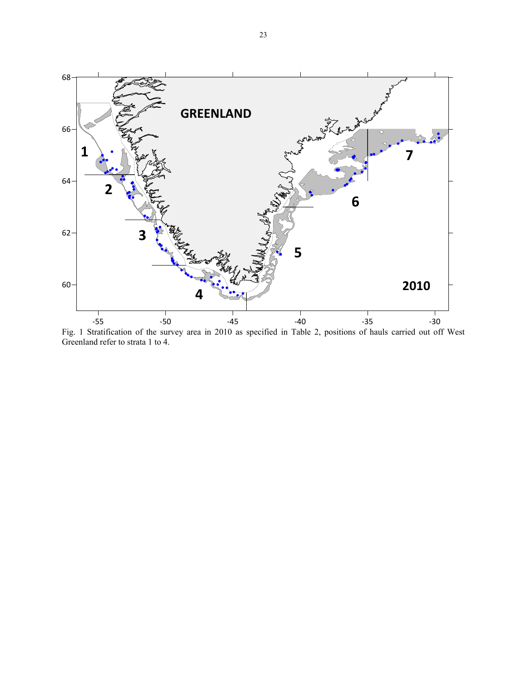

Fig. 1 Stratification of the survey area in 2010 as specified in Table 2, positions of hauls carried out off West Greenland refer to strata 1 to 4.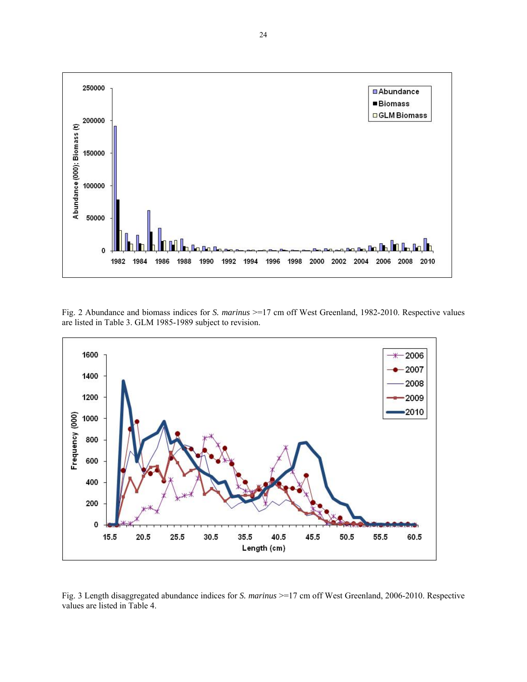

Fig. 2 Abundance and biomass indices for *S. marinus* >=17 cm off West Greenland, 1982-2010. Respective values are listed in Table 3. GLM 1985-1989 subject to revision.



Fig. 3 Length disaggregated abundance indices for *S. marinus* >=17 cm off West Greenland, 2006-2010. Respective values are listed in Table 4.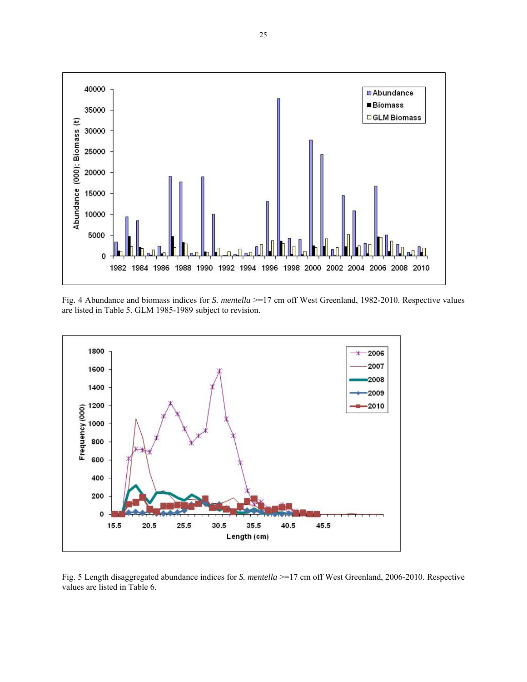

Fig. 4 Abundance and biomass indices for *S. mentella* >=17 cm off West Greenland, 1982-2010. Respective values are listed in Table 5. GLM 1985-1989 subject to revision.



Fig. 5 Length disaggregated abundance indices for *S. mentella* >=17 cm off West Greenland, 2006-2010. Respective values are listed in Table 6.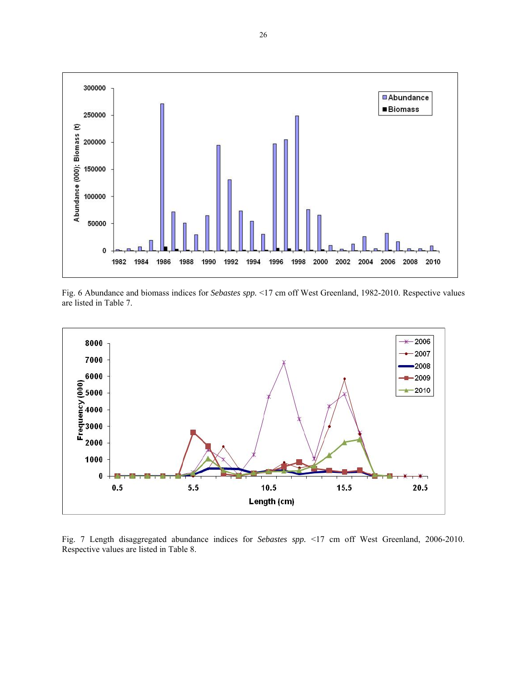

Fig. 6 Abundance and biomass indices for *Sebastes spp.* <17 cm off West Greenland, 1982-2010. Respective values are listed in Table 7.



Fig. 7 Length disaggregated abundance indices for *Sebastes spp.* <17 cm off West Greenland, 2006-2010. Respective values are listed in Table 8.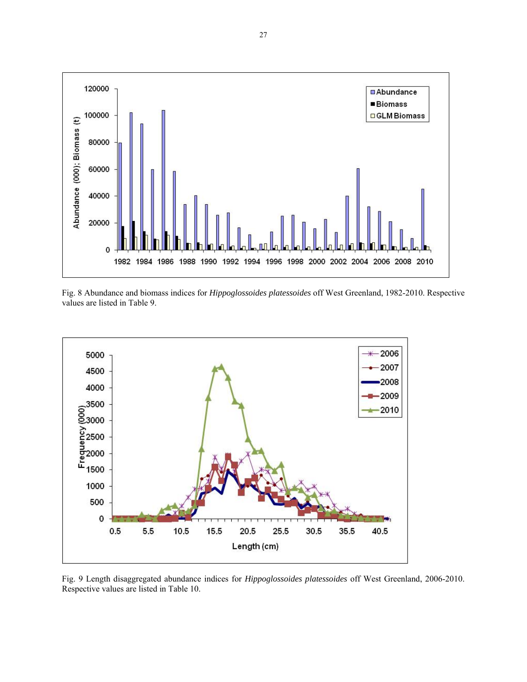

Fig. 8 Abundance and biomass indices for *Hippoglossoides platessoides* off West Greenland, 1982-2010. Respective values are listed in Table 9.



Fig. 9 Length disaggregated abundance indices for *Hippoglossoides platessoides* off West Greenland, 2006-2010. Respective values are listed in Table 10.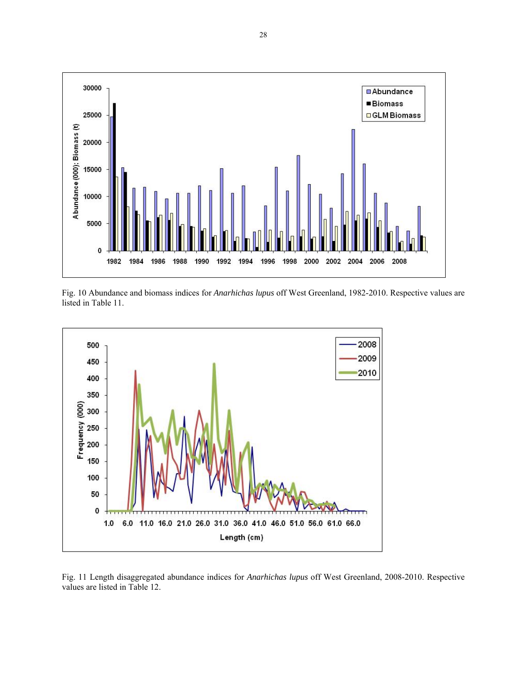

Fig. 10 Abundance and biomass indices for *Anarhichas lupus* off West Greenland, 1982-2010. Respective values are listed in Table 11.



Fig. 11 Length disaggregated abundance indices for *Anarhichas lupus* off West Greenland, 2008-2010. Respective values are listed in Table 12.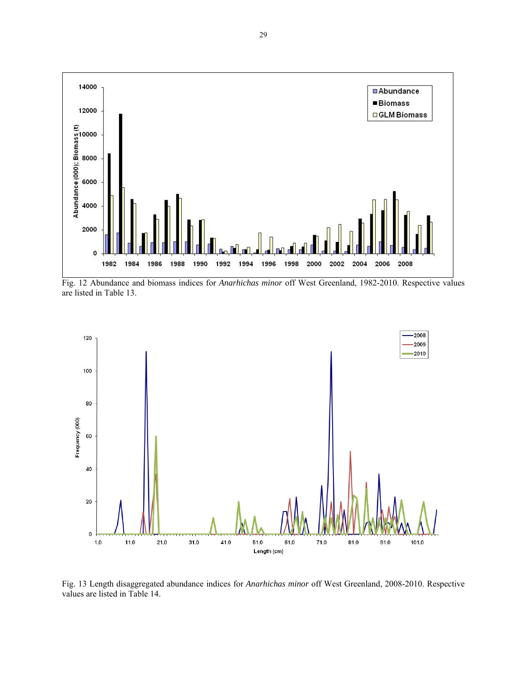

Fig. 12 Abundance and biomass indices for *Anarhichas minor* off West Greenland, 1982-2010. Respective values are listed in Table 13.



Fig. 13 Length disaggregated abundance indices for *Anarhichas minor* off West Greenland, 2008-2010. Respective values are listed in Table 14.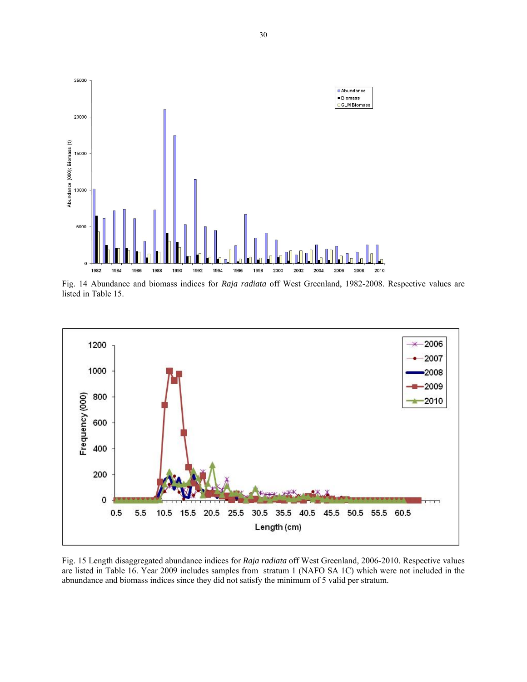

Fig. 14 Abundance and biomass indices for *Raja radiata* off West Greenland, 1982-2008. Respective values are listed in Table 15.



Fig. 15 Length disaggregated abundance indices for *Raja radiata* off West Greenland, 2006-2010. Respective values are listed in Table 16. Year 2009 includes samples from stratum 1 (NAFO SA 1C) which were not included in the abnundance and biomass indices since they did not satisfy the minimum of 5 valid per stratum.